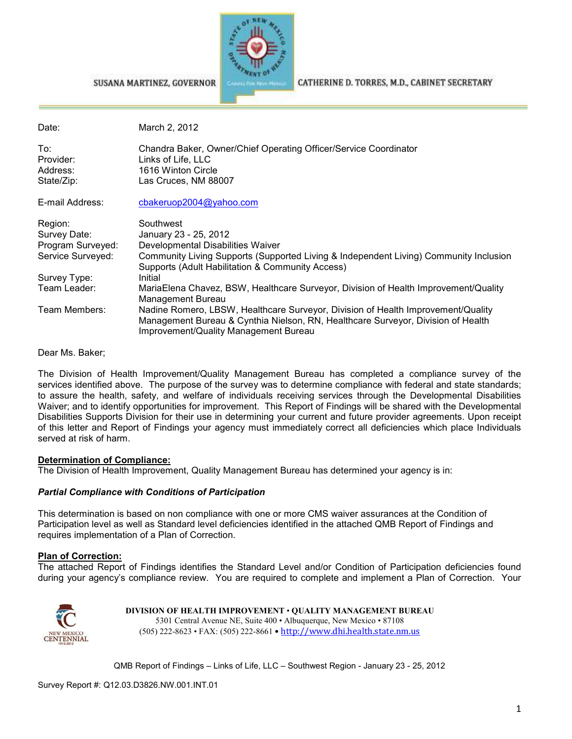

SUSANA MARTINEZ, GOVERNOR

CATHERINE D. TORRES, M.D., CABINET SECRETARY

| Date:             | March 2, 2012                                                                                                                                                                                                 |
|-------------------|---------------------------------------------------------------------------------------------------------------------------------------------------------------------------------------------------------------|
| To:<br>Provider:  | Chandra Baker, Owner/Chief Operating Officer/Service Coordinator<br>Links of Life, LLC                                                                                                                        |
| Address:          | 1616 Winton Circle                                                                                                                                                                                            |
| State/Zip:        | Las Cruces, NM 88007                                                                                                                                                                                          |
| E-mail Address:   | cbakeruop2004@yahoo.com                                                                                                                                                                                       |
| Region:           | Southwest                                                                                                                                                                                                     |
| Survey Date:      | January 23 - 25, 2012                                                                                                                                                                                         |
| Program Surveyed: | Developmental Disabilities Waiver                                                                                                                                                                             |
| Service Surveyed: | Community Living Supports (Supported Living & Independent Living) Community Inclusion<br>Supports (Adult Habilitation & Community Access)                                                                     |
| Survey Type:      | Initial                                                                                                                                                                                                       |
| Team Leader:      | MariaElena Chavez, BSW, Healthcare Surveyor, Division of Health Improvement/Quality<br>Management Bureau                                                                                                      |
| Team Members:     | Nadine Romero, LBSW, Healthcare Surveyor, Division of Health Improvement/Quality<br>Management Bureau & Cynthia Nielson, RN, Healthcare Surveyor, Division of Health<br>Improvement/Quality Management Bureau |

Dear Ms. Baker;

The Division of Health Improvement/Quality Management Bureau has completed a compliance survey of the services identified above. The purpose of the survey was to determine compliance with federal and state standards; to assure the health, safety, and welfare of individuals receiving services through the Developmental Disabilities Waiver; and to identify opportunities for improvement. This Report of Findings will be shared with the Developmental Disabilities Supports Division for their use in determining your current and future provider agreements. Upon receipt of this letter and Report of Findings your agency must immediately correct all deficiencies which place Individuals served at risk of harm.

#### **Determination of Compliance:**

The Division of Health Improvement, Quality Management Bureau has determined your agency is in:

#### *Partial Compliance with Conditions of Participation*

This determination is based on non compliance with one or more CMS waiver assurances at the Condition of Participation level as well as Standard level deficiencies identified in the attached QMB Report of Findings and requires implementation of a Plan of Correction.

#### **Plan of Correction:**

The attached Report of Findings identifies the Standard Level and/or Condition of Participation deficiencies found during your agency's compliance review. You are required to complete and implement a Plan of Correction. Your



**DIVISION OF HEALTH IMPROVEMENT** • **QUALITY MANAGEMENT BUREAU** 5301 Central Avenue NE, Suite 400 • Albuquerque, New Mexico • 87108 (505) 222-8623 • FAX: (505) 222-8661 • http://www.dhi.health.state.nm.us

QMB Report of Findings – Links of Life, LLC – Southwest Region - January 23 - 25, 2012

Survey Report #: Q12.03.D3826.NW.001.INT.01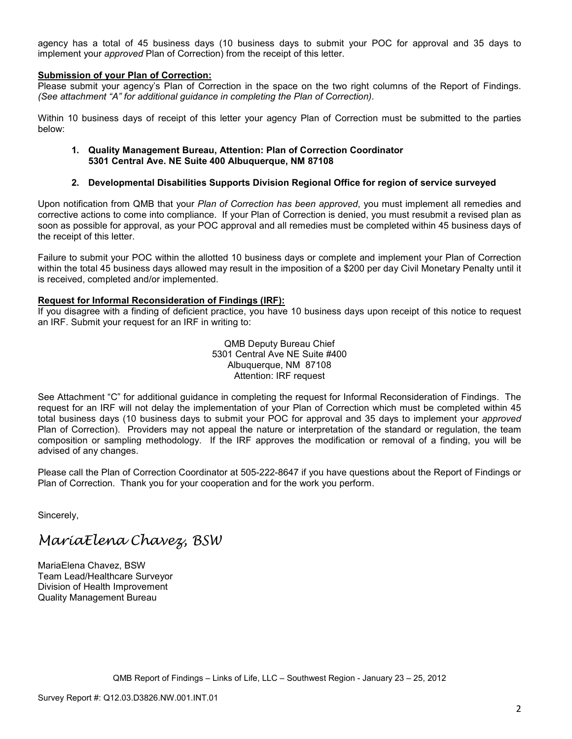agency has a total of 45 business days (10 business days to submit your POC for approval and 35 days to implement your *approved* Plan of Correction) from the receipt of this letter.

#### **Submission of your Plan of Correction:**

Please submit your agency's Plan of Correction in the space on the two right columns of the Report of Findings. *(See attachment "A" for additional guidance in completing the Plan of Correction)*.

Within 10 business days of receipt of this letter your agency Plan of Correction must be submitted to the parties below:

#### **1. Quality Management Bureau, Attention: Plan of Correction Coordinator 5301 Central Ave. NE Suite 400 Albuquerque, NM 87108**

#### **2. Developmental Disabilities Supports Division Regional Office for region of service surveyed**

Upon notification from QMB that your *Plan of Correction has been approved*, you must implement all remedies and corrective actions to come into compliance. If your Plan of Correction is denied, you must resubmit a revised plan as soon as possible for approval, as your POC approval and all remedies must be completed within 45 business days of the receipt of this letter.

Failure to submit your POC within the allotted 10 business days or complete and implement your Plan of Correction within the total 45 business days allowed may result in the imposition of a \$200 per day Civil Monetary Penalty until it is received, completed and/or implemented.

#### **Request for Informal Reconsideration of Findings (IRF):**

If you disagree with a finding of deficient practice, you have 10 business days upon receipt of this notice to request an IRF. Submit your request for an IRF in writing to:

> QMB Deputy Bureau Chief 5301 Central Ave NE Suite #400 Albuquerque, NM 87108 Attention: IRF request

See Attachment "C" for additional guidance in completing the request for Informal Reconsideration of Findings. The request for an IRF will not delay the implementation of your Plan of Correction which must be completed within 45 total business days (10 business days to submit your POC for approval and 35 days to implement your *approved* Plan of Correction). Providers may not appeal the nature or interpretation of the standard or regulation, the team composition or sampling methodology. If the IRF approves the modification or removal of a finding, you will be advised of any changes.

Please call the Plan of Correction Coordinator at 505-222-8647 if you have questions about the Report of Findings or Plan of Correction. Thank you for your cooperation and for the work you perform.

Sincerely,

# MariaElena Chavez, BSW

MariaElena Chavez, BSW Team Lead/Healthcare Surveyor Division of Health Improvement Quality Management Bureau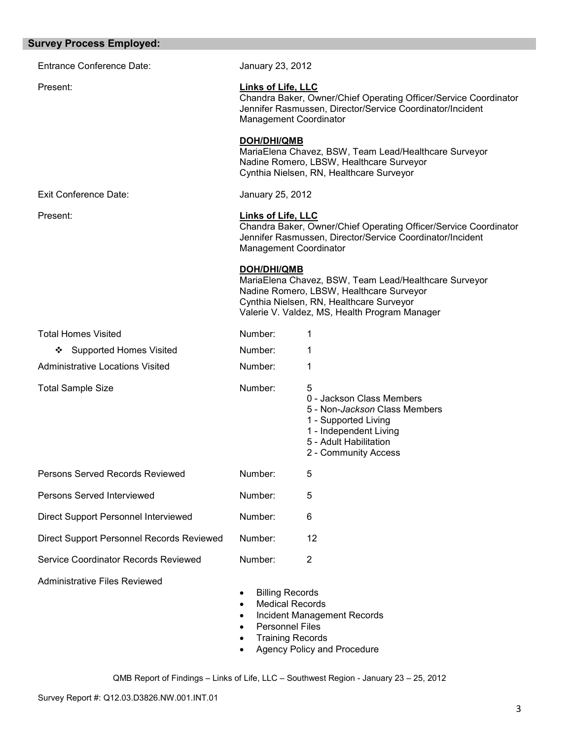| <b>Survey Process Employed:</b>           |                                                                                                                                                                                             |                                                                                                                                                                                                |
|-------------------------------------------|---------------------------------------------------------------------------------------------------------------------------------------------------------------------------------------------|------------------------------------------------------------------------------------------------------------------------------------------------------------------------------------------------|
| <b>Entrance Conference Date:</b>          | January 23, 2012                                                                                                                                                                            |                                                                                                                                                                                                |
| Present:                                  | <b>Links of Life, LLC</b><br>Chandra Baker, Owner/Chief Operating Officer/Service Coordinator<br>Jennifer Rasmussen, Director/Service Coordinator/Incident<br><b>Management Coordinator</b> |                                                                                                                                                                                                |
|                                           | DOH/DHI/QMB                                                                                                                                                                                 | MariaElena Chavez, BSW, Team Lead/Healthcare Surveyor<br>Nadine Romero, LBSW, Healthcare Surveyor<br>Cynthia Nielsen, RN, Healthcare Surveyor                                                  |
| <b>Exit Conference Date:</b>              | January 25, 2012                                                                                                                                                                            |                                                                                                                                                                                                |
| Present:                                  | Links of Life, LLC<br>Chandra Baker, Owner/Chief Operating Officer/Service Coordinator<br>Jennifer Rasmussen, Director/Service Coordinator/Incident<br>Management Coordinator               |                                                                                                                                                                                                |
|                                           | <b>DOH/DHI/QMB</b>                                                                                                                                                                          | MariaElena Chavez, BSW, Team Lead/Healthcare Surveyor<br>Nadine Romero, LBSW, Healthcare Surveyor<br>Cynthia Nielsen, RN, Healthcare Surveyor<br>Valerie V. Valdez, MS, Health Program Manager |
| <b>Total Homes Visited</b>                | Number:                                                                                                                                                                                     | 1                                                                                                                                                                                              |
| <b>Supported Homes Visited</b><br>❖       | Number:                                                                                                                                                                                     | 1                                                                                                                                                                                              |
| <b>Administrative Locations Visited</b>   | Number:                                                                                                                                                                                     | 1                                                                                                                                                                                              |
| <b>Total Sample Size</b>                  | Number:                                                                                                                                                                                     | 5<br>0 - Jackson Class Members<br>5 - Non- <i>Jackson</i> Class Members<br>1 - Supported Living<br>1 - Independent Living<br>5 - Adult Habilitation<br>2 - Community Access                    |
| Persons Served Records Reviewed           | Number:                                                                                                                                                                                     | 5                                                                                                                                                                                              |
| Persons Served Interviewed                | Number:                                                                                                                                                                                     | 5                                                                                                                                                                                              |
| Direct Support Personnel Interviewed      | Number:                                                                                                                                                                                     | 6                                                                                                                                                                                              |
| Direct Support Personnel Records Reviewed | Number:                                                                                                                                                                                     | 12                                                                                                                                                                                             |
| Service Coordinator Records Reviewed      | Number:                                                                                                                                                                                     | $\overline{2}$                                                                                                                                                                                 |
| <b>Administrative Files Reviewed</b>      | <b>Billing Records</b><br>$\bullet$<br><b>Medical Records</b><br>$\bullet$<br>$\bullet$<br><b>Personnel Files</b><br><b>Training Records</b><br>$\bullet$                                   | Incident Management Records<br>Agency Policy and Procedure                                                                                                                                     |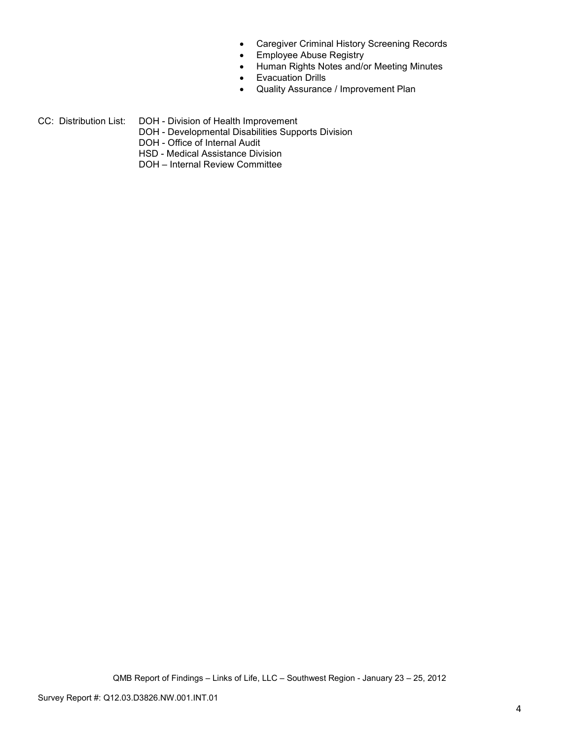- Caregiver Criminal History Screening Records
- Employee Abuse Registry
- Human Rights Notes and/or Meeting Minutes
- Evacuation Drills
- Quality Assurance / Improvement Plan
- CC: Distribution List: DOH Division of Health Improvement
	- DOH Developmental Disabilities Supports Division
	- DOH Office of Internal Audit
	- HSD Medical Assistance Division
	- DOH Internal Review Committee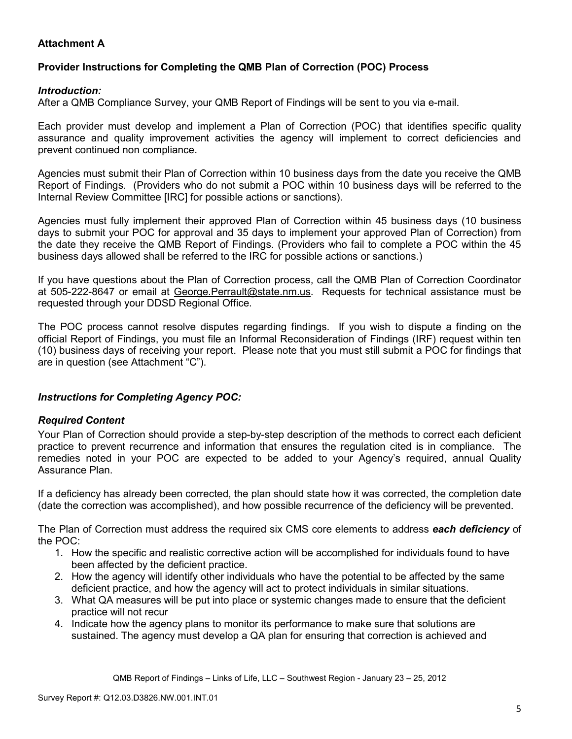## **Attachment A**

## **Provider Instructions for Completing the QMB Plan of Correction (POC) Process**

#### *Introduction:*

After a QMB Compliance Survey, your QMB Report of Findings will be sent to you via e-mail.

Each provider must develop and implement a Plan of Correction (POC) that identifies specific quality assurance and quality improvement activities the agency will implement to correct deficiencies and prevent continued non compliance.

Agencies must submit their Plan of Correction within 10 business days from the date you receive the QMB Report of Findings. (Providers who do not submit a POC within 10 business days will be referred to the Internal Review Committee [IRC] for possible actions or sanctions).

Agencies must fully implement their approved Plan of Correction within 45 business days (10 business days to submit your POC for approval and 35 days to implement your approved Plan of Correction) from the date they receive the QMB Report of Findings. (Providers who fail to complete a POC within the 45 business days allowed shall be referred to the IRC for possible actions or sanctions.)

If you have questions about the Plan of Correction process, call the QMB Plan of Correction Coordinator at 505-222-8647 or email at George. Perrault@state.nm.us. Requests for technical assistance must be requested through your DDSD Regional Office.

The POC process cannot resolve disputes regarding findings. If you wish to dispute a finding on the official Report of Findings, you must file an Informal Reconsideration of Findings (IRF) request within ten (10) business days of receiving your report. Please note that you must still submit a POC for findings that are in question (see Attachment "C").

#### *Instructions for Completing Agency POC:*

#### *Required Content*

Your Plan of Correction should provide a step-by-step description of the methods to correct each deficient practice to prevent recurrence and information that ensures the regulation cited is in compliance. The remedies noted in your POC are expected to be added to your Agency's required, annual Quality Assurance Plan.

If a deficiency has already been corrected, the plan should state how it was corrected, the completion date (date the correction was accomplished), and how possible recurrence of the deficiency will be prevented.

The Plan of Correction must address the required six CMS core elements to address *each deficiency* of the POC:

- 1. How the specific and realistic corrective action will be accomplished for individuals found to have been affected by the deficient practice.
- 2. How the agency will identify other individuals who have the potential to be affected by the same deficient practice, and how the agency will act to protect individuals in similar situations.
- 3. What QA measures will be put into place or systemic changes made to ensure that the deficient practice will not recur
- 4. Indicate how the agency plans to monitor its performance to make sure that solutions are sustained. The agency must develop a QA plan for ensuring that correction is achieved and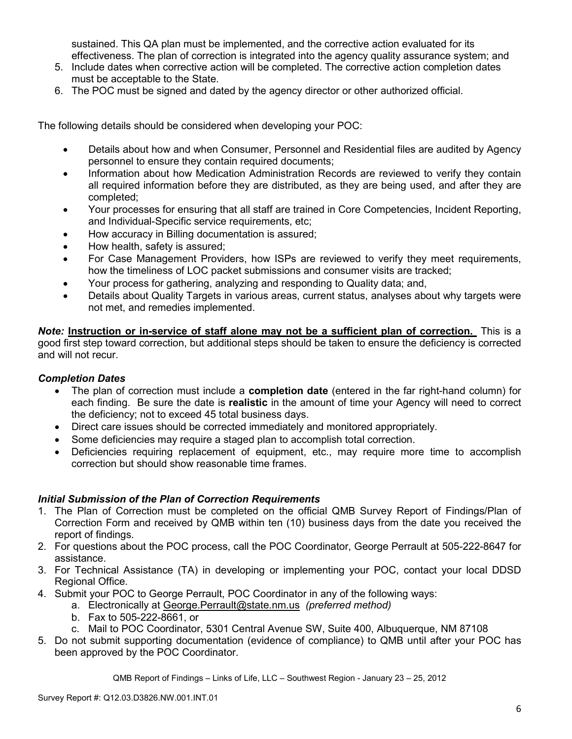sustained. This QA plan must be implemented, and the corrective action evaluated for its effectiveness. The plan of correction is integrated into the agency quality assurance system; and

- 5. Include dates when corrective action will be completed. The corrective action completion dates must be acceptable to the State.
- 6. The POC must be signed and dated by the agency director or other authorized official.

The following details should be considered when developing your POC:

- Details about how and when Consumer, Personnel and Residential files are audited by Agency personnel to ensure they contain required documents;
- Information about how Medication Administration Records are reviewed to verify they contain all required information before they are distributed, as they are being used, and after they are completed;
- Your processes for ensuring that all staff are trained in Core Competencies, Incident Reporting, and Individual-Specific service requirements, etc;
- How accuracy in Billing documentation is assured;
- How health, safety is assured;
- For Case Management Providers, how ISPs are reviewed to verify they meet requirements, how the timeliness of LOC packet submissions and consumer visits are tracked;
- Your process for gathering, analyzing and responding to Quality data; and,
- Details about Quality Targets in various areas, current status, analyses about why targets were not met, and remedies implemented.

*Note:* **Instruction or in-service of staff alone may not be a sufficient plan of correction.** This is a good first step toward correction, but additional steps should be taken to ensure the deficiency is corrected and will not recur.

#### *Completion Dates*

- The plan of correction must include a **completion date** (entered in the far right-hand column) for each finding. Be sure the date is **realistic** in the amount of time your Agency will need to correct the deficiency; not to exceed 45 total business days.
- Direct care issues should be corrected immediately and monitored appropriately.
- Some deficiencies may require a staged plan to accomplish total correction.
- Deficiencies requiring replacement of equipment, etc., may require more time to accomplish correction but should show reasonable time frames.

#### *Initial Submission of the Plan of Correction Requirements*

- 1. The Plan of Correction must be completed on the official QMB Survey Report of Findings/Plan of Correction Form and received by QMB within ten (10) business days from the date you received the report of findings.
- 2. For questions about the POC process, call the POC Coordinator, George Perrault at 505-222-8647 for assistance.
- 3. For Technical Assistance (TA) in developing or implementing your POC, contact your local DDSD Regional Office.
- 4. Submit your POC to George Perrault, POC Coordinator in any of the following ways:
	- a. Electronically at George.Perrault@state.nm.us *(preferred method)*
	- b. Fax to 505-222-8661, or
	- c. Mail to POC Coordinator, 5301 Central Avenue SW, Suite 400, Albuquerque, NM 87108
- 5. Do not submit supporting documentation (evidence of compliance) to QMB until after your POC has been approved by the POC Coordinator.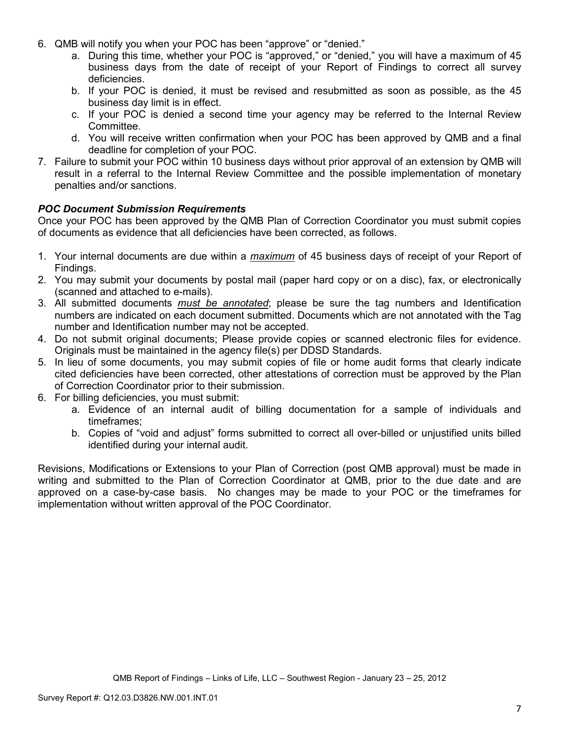- 6. QMB will notify you when your POC has been "approve" or "denied."
	- a. During this time, whether your POC is "approved," or "denied," you will have a maximum of 45 business days from the date of receipt of your Report of Findings to correct all survey deficiencies.
	- b. If your POC is denied, it must be revised and resubmitted as soon as possible, as the 45 business day limit is in effect.
	- c. If your POC is denied a second time your agency may be referred to the Internal Review Committee.
	- d. You will receive written confirmation when your POC has been approved by QMB and a final deadline for completion of your POC.
- 7. Failure to submit your POC within 10 business days without prior approval of an extension by QMB will result in a referral to the Internal Review Committee and the possible implementation of monetary penalties and/or sanctions.

#### *POC Document Submission Requirements*

Once your POC has been approved by the QMB Plan of Correction Coordinator you must submit copies of documents as evidence that all deficiencies have been corrected, as follows.

- 1. Your internal documents are due within a *maximum* of 45 business days of receipt of your Report of Findings.
- 2. You may submit your documents by postal mail (paper hard copy or on a disc), fax, or electronically (scanned and attached to e-mails).
- 3. All submitted documents *must be annotated*; please be sure the tag numbers and Identification numbers are indicated on each document submitted. Documents which are not annotated with the Tag number and Identification number may not be accepted.
- 4. Do not submit original documents; Please provide copies or scanned electronic files for evidence. Originals must be maintained in the agency file(s) per DDSD Standards.
- 5. In lieu of some documents, you may submit copies of file or home audit forms that clearly indicate cited deficiencies have been corrected, other attestations of correction must be approved by the Plan of Correction Coordinator prior to their submission.
- 6. For billing deficiencies, you must submit:
	- a. Evidence of an internal audit of billing documentation for a sample of individuals and timeframes;
	- b. Copies of "void and adjust" forms submitted to correct all over-billed or unjustified units billed identified during your internal audit.

Revisions, Modifications or Extensions to your Plan of Correction (post QMB approval) must be made in writing and submitted to the Plan of Correction Coordinator at QMB, prior to the due date and are approved on a case-by-case basis. No changes may be made to your POC or the timeframes for implementation without written approval of the POC Coordinator.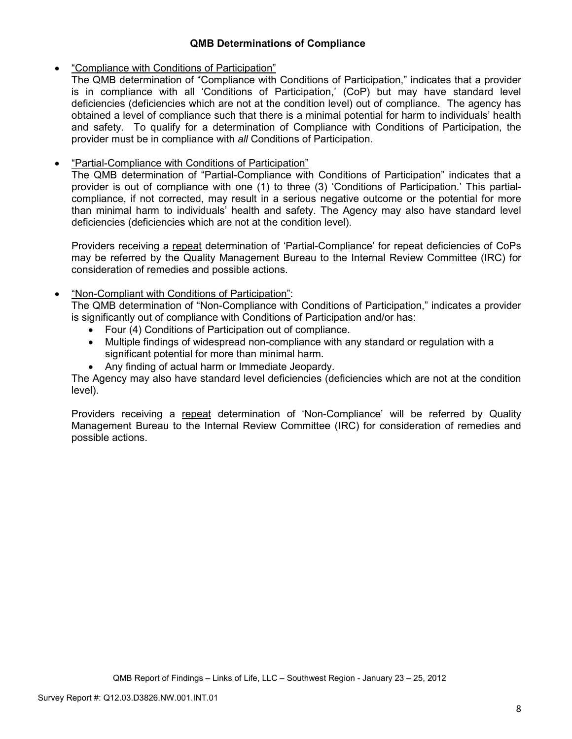#### **QMB Determinations of Compliance**

### • "Compliance with Conditions of Participation"

The QMB determination of "Compliance with Conditions of Participation," indicates that a provider is in compliance with all 'Conditions of Participation,' (CoP) but may have standard level deficiencies (deficiencies which are not at the condition level) out of compliance. The agency has obtained a level of compliance such that there is a minimal potential for harm to individuals' health and safety. To qualify for a determination of Compliance with Conditions of Participation, the provider must be in compliance with *all* Conditions of Participation.

## • "Partial-Compliance with Conditions of Participation"

The QMB determination of "Partial-Compliance with Conditions of Participation" indicates that a provider is out of compliance with one (1) to three (3) 'Conditions of Participation.' This partialcompliance, if not corrected, may result in a serious negative outcome or the potential for more than minimal harm to individuals' health and safety. The Agency may also have standard level deficiencies (deficiencies which are not at the condition level).

Providers receiving a repeat determination of 'Partial-Compliance' for repeat deficiencies of CoPs may be referred by the Quality Management Bureau to the Internal Review Committee (IRC) for consideration of remedies and possible actions.

## • "Non-Compliant with Conditions of Participation":

The QMB determination of "Non-Compliance with Conditions of Participation," indicates a provider is significantly out of compliance with Conditions of Participation and/or has:

- Four (4) Conditions of Participation out of compliance.
- Multiple findings of widespread non-compliance with any standard or regulation with a significant potential for more than minimal harm.
- Any finding of actual harm or Immediate Jeopardy.

The Agency may also have standard level deficiencies (deficiencies which are not at the condition level).

Providers receiving a repeat determination of 'Non-Compliance' will be referred by Quality Management Bureau to the Internal Review Committee (IRC) for consideration of remedies and possible actions.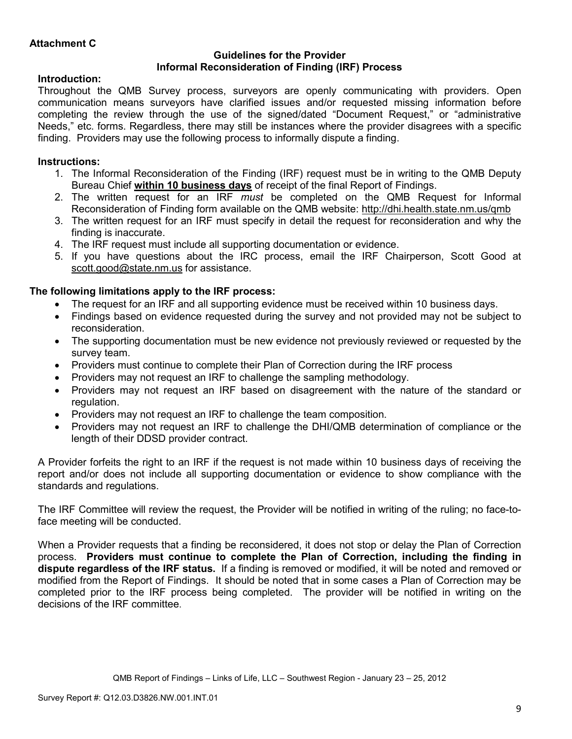#### **Guidelines for the Provider Informal Reconsideration of Finding (IRF) Process**

## **Introduction:**

Throughout the QMB Survey process, surveyors are openly communicating with providers. Open communication means surveyors have clarified issues and/or requested missing information before completing the review through the use of the signed/dated "Document Request," or "administrative Needs," etc. forms. Regardless, there may still be instances where the provider disagrees with a specific finding. Providers may use the following process to informally dispute a finding.

## **Instructions:**

- 1. The Informal Reconsideration of the Finding (IRF) request must be in writing to the QMB Deputy Bureau Chief **within 10 business days** of receipt of the final Report of Findings.
- 2. The written request for an IRF *must* be completed on the QMB Request for Informal Reconsideration of Finding form available on the QMB website: http://dhi.health.state.nm.us/qmb
- 3. The written request for an IRF must specify in detail the request for reconsideration and why the finding is inaccurate.
- 4. The IRF request must include all supporting documentation or evidence.
- 5. If you have questions about the IRC process, email the IRF Chairperson, Scott Good at scott.good@state.nm.us for assistance.

## **The following limitations apply to the IRF process:**

- The request for an IRF and all supporting evidence must be received within 10 business days.
- Findings based on evidence requested during the survey and not provided may not be subject to reconsideration.
- The supporting documentation must be new evidence not previously reviewed or requested by the survey team.
- Providers must continue to complete their Plan of Correction during the IRF process
- Providers may not request an IRF to challenge the sampling methodology.
- Providers may not request an IRF based on disagreement with the nature of the standard or regulation.
- Providers may not request an IRF to challenge the team composition.
- Providers may not request an IRF to challenge the DHI/QMB determination of compliance or the length of their DDSD provider contract.

A Provider forfeits the right to an IRF if the request is not made within 10 business days of receiving the report and/or does not include all supporting documentation or evidence to show compliance with the standards and regulations.

The IRF Committee will review the request, the Provider will be notified in writing of the ruling; no face-toface meeting will be conducted.

When a Provider requests that a finding be reconsidered, it does not stop or delay the Plan of Correction process. **Providers must continue to complete the Plan of Correction, including the finding in dispute regardless of the IRF status.** If a finding is removed or modified, it will be noted and removed or modified from the Report of Findings. It should be noted that in some cases a Plan of Correction may be completed prior to the IRF process being completed. The provider will be notified in writing on the decisions of the IRF committee.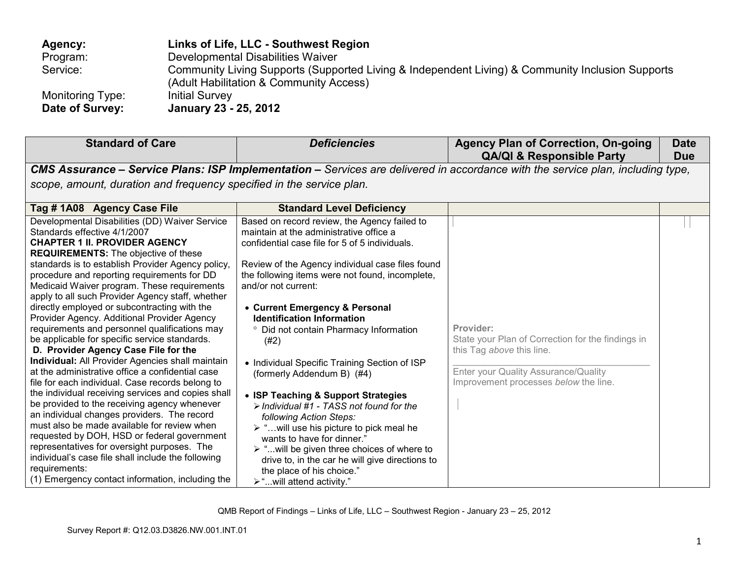| Agency:          | Links of Life, LLC - Southwest Region                                                                                                       |
|------------------|---------------------------------------------------------------------------------------------------------------------------------------------|
| Program:         | Developmental Disabilities Waiver                                                                                                           |
| Service:         | Community Living Supports (Supported Living & Independent Living) & Community Inclusion Supports<br>(Adult Habilitation & Community Access) |
| Monitoring Type: | <b>Initial Survey</b>                                                                                                                       |
| Date of Survey:  | January 23 - 25, 2012                                                                                                                       |

| <b>Standard of Care</b>                                                                                                                                                                                                                                                                                                                                                                                                                                                                                                                                                                                                                                                                                                                                                                                                                                                                                                                                                                                                                                                                                                                                                                                        | <b>Deficiencies</b>                                                                                                                                                                                                                                                                                                                                                                                                                                                                                                                                                                                                                                                                                                                                                                                                                                                                            | <b>Agency Plan of Correction, On-going</b><br><b>QA/QI &amp; Responsible Party</b>                                                                                                  | <b>Date</b><br><b>Due</b> |
|----------------------------------------------------------------------------------------------------------------------------------------------------------------------------------------------------------------------------------------------------------------------------------------------------------------------------------------------------------------------------------------------------------------------------------------------------------------------------------------------------------------------------------------------------------------------------------------------------------------------------------------------------------------------------------------------------------------------------------------------------------------------------------------------------------------------------------------------------------------------------------------------------------------------------------------------------------------------------------------------------------------------------------------------------------------------------------------------------------------------------------------------------------------------------------------------------------------|------------------------------------------------------------------------------------------------------------------------------------------------------------------------------------------------------------------------------------------------------------------------------------------------------------------------------------------------------------------------------------------------------------------------------------------------------------------------------------------------------------------------------------------------------------------------------------------------------------------------------------------------------------------------------------------------------------------------------------------------------------------------------------------------------------------------------------------------------------------------------------------------|-------------------------------------------------------------------------------------------------------------------------------------------------------------------------------------|---------------------------|
|                                                                                                                                                                                                                                                                                                                                                                                                                                                                                                                                                                                                                                                                                                                                                                                                                                                                                                                                                                                                                                                                                                                                                                                                                |                                                                                                                                                                                                                                                                                                                                                                                                                                                                                                                                                                                                                                                                                                                                                                                                                                                                                                | CMS Assurance - Service Plans: ISP Implementation - Services are delivered in accordance with the service plan, including type,                                                     |                           |
| scope, amount, duration and frequency specified in the service plan.                                                                                                                                                                                                                                                                                                                                                                                                                                                                                                                                                                                                                                                                                                                                                                                                                                                                                                                                                                                                                                                                                                                                           |                                                                                                                                                                                                                                                                                                                                                                                                                                                                                                                                                                                                                                                                                                                                                                                                                                                                                                |                                                                                                                                                                                     |                           |
| Tag #1A08 Agency Case File                                                                                                                                                                                                                                                                                                                                                                                                                                                                                                                                                                                                                                                                                                                                                                                                                                                                                                                                                                                                                                                                                                                                                                                     | <b>Standard Level Deficiency</b>                                                                                                                                                                                                                                                                                                                                                                                                                                                                                                                                                                                                                                                                                                                                                                                                                                                               |                                                                                                                                                                                     |                           |
| Developmental Disabilities (DD) Waiver Service<br>Standards effective 4/1/2007<br><b>CHAPTER 1 II. PROVIDER AGENCY</b><br><b>REQUIREMENTS:</b> The objective of these<br>standards is to establish Provider Agency policy,<br>procedure and reporting requirements for DD<br>Medicaid Waiver program. These requirements<br>apply to all such Provider Agency staff, whether<br>directly employed or subcontracting with the<br>Provider Agency. Additional Provider Agency<br>requirements and personnel qualifications may<br>be applicable for specific service standards.<br>D. Provider Agency Case File for the<br>Individual: All Provider Agencies shall maintain<br>at the administrative office a confidential case<br>file for each individual. Case records belong to<br>the individual receiving services and copies shall<br>be provided to the receiving agency whenever<br>an individual changes providers. The record<br>must also be made available for review when<br>requested by DOH, HSD or federal government<br>representatives for oversight purposes. The<br>individual's case file shall include the following<br>requirements:<br>(1) Emergency contact information, including the | Based on record review, the Agency failed to<br>maintain at the administrative office a<br>confidential case file for 5 of 5 individuals.<br>Review of the Agency individual case files found<br>the following items were not found, incomplete,<br>and/or not current:<br>• Current Emergency & Personal<br><b>Identification Information</b><br>° Did not contain Pharmacy Information<br>(#2)<br>• Individual Specific Training Section of ISP<br>(formerly Addendum B) (#4)<br>• ISP Teaching & Support Strategies<br>$\triangleright$ Individual #1 - TASS not found for the<br>following Action Steps:<br>$\triangleright$ "will use his picture to pick meal he<br>wants to have for dinner."<br>$\triangleright$ " will be given three choices of where to<br>drive to, in the car he will give directions to<br>the place of his choice."<br>$\triangleright$ "will attend activity." | Provider:<br>State your Plan of Correction for the findings in<br>this Tag above this line.<br><b>Enter your Quality Assurance/Quality</b><br>Improvement processes below the line. |                           |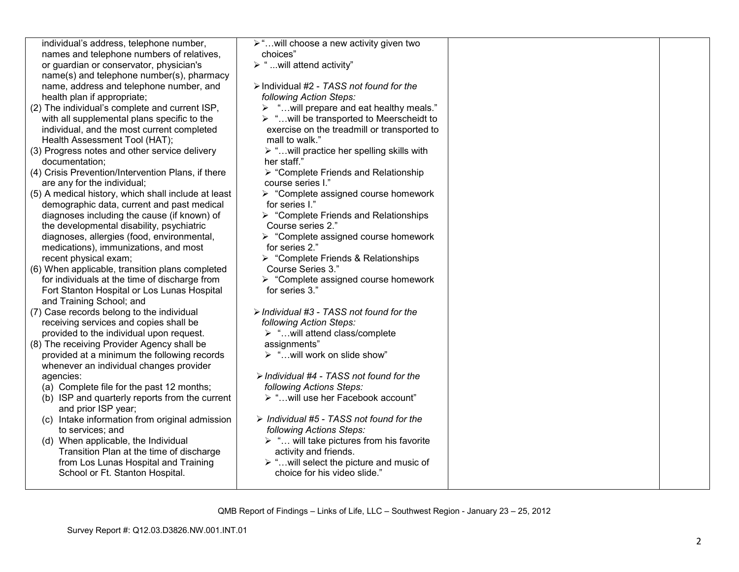| individual's address, telephone number,             | ≻"will choose a new activity given two                    |  |
|-----------------------------------------------------|-----------------------------------------------------------|--|
| names and telephone numbers of relatives,           | choices"                                                  |  |
| or guardian or conservator, physician's             | $\triangleright$ "will attend activity"                   |  |
| name(s) and telephone number(s), pharmacy           |                                                           |  |
| name, address and telephone number, and             | $\triangleright$ Individual #2 - TASS not found for the   |  |
| health plan if appropriate;                         | following Action Steps:                                   |  |
| (2) The individual's complete and current ISP,      | " will prepare and eat healthy meals."<br>➤               |  |
| with all supplemental plans specific to the         | $\triangleright$ " will be transported to Meerscheidt to  |  |
| individual, and the most current completed          | exercise on the treadmill or transported to               |  |
| Health Assessment Tool (HAT);                       | mall to walk."                                            |  |
| (3) Progress notes and other service delivery       | $\triangleright$ " will practice her spelling skills with |  |
| documentation;                                      | her staff."                                               |  |
| (4) Crisis Prevention/Intervention Plans, if there  | ▶ "Complete Friends and Relationship                      |  |
| are any for the individual;                         | course series I."                                         |  |
| (5) A medical history, which shall include at least | $\triangleright$ "Complete assigned course homework       |  |
| demographic data, current and past medical          | for series I."                                            |  |
| diagnoses including the cause (if known) of         | $\triangleright$ "Complete Friends and Relationships      |  |
| the developmental disability, psychiatric           | Course series 2."                                         |  |
| diagnoses, allergies (food, environmental,          | $\triangleright$ "Complete assigned course homework       |  |
| medications), immunizations, and most               | for series 2."                                            |  |
| recent physical exam;                               | $\triangleright$ "Complete Friends & Relationships        |  |
| (6) When applicable, transition plans completed     | Course Series 3."                                         |  |
| for individuals at the time of discharge from       | $\triangleright$ "Complete assigned course homework       |  |
| Fort Stanton Hospital or Los Lunas Hospital         | for series 3."                                            |  |
| and Training School; and                            |                                                           |  |
| (7) Case records belong to the individual           | > Individual #3 - TASS not found for the                  |  |
| receiving services and copies shall be              | following Action Steps:                                   |  |
| provided to the individual upon request.            | > "will attend class/complete                             |  |
| (8) The receiving Provider Agency shall be          | assignments"                                              |  |
| provided at a minimum the following records         | > "will work on slide show"                               |  |
|                                                     |                                                           |  |
| whenever an individual changes provider             | $\triangleright$ Individual #4 - TASS not found for the   |  |
| agencies:                                           |                                                           |  |
| (a) Complete file for the past 12 months;           | following Actions Steps:                                  |  |
| (b) ISP and quarterly reports from the current      | > " will use her Facebook account"                        |  |
| and prior ISP year;                                 |                                                           |  |
| (c) Intake information from original admission      | $\triangleright$ Individual #5 - TASS not found for the   |  |
| to services; and                                    | following Actions Steps:                                  |  |
| (d) When applicable, the Individual                 | $\triangleright$ " will take pictures from his favorite   |  |
| Transition Plan at the time of discharge            | activity and friends.                                     |  |
| from Los Lunas Hospital and Training                | $\triangleright$ " will select the picture and music of   |  |
| School or Ft. Stanton Hospital.                     | choice for his video slide."                              |  |
|                                                     |                                                           |  |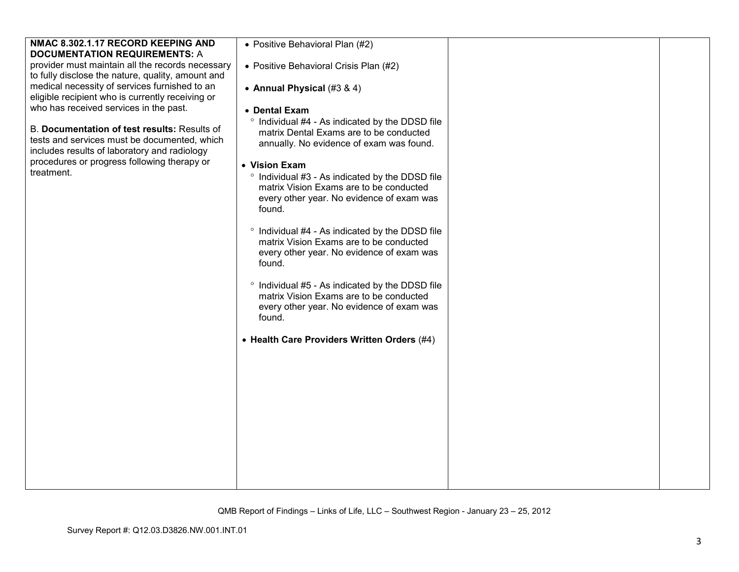| NMAC 8.302.1.17 RECORD KEEPING AND                | • Positive Behavioral Plan (#2)                 |  |
|---------------------------------------------------|-------------------------------------------------|--|
| <b>DOCUMENTATION REQUIREMENTS: A</b>              |                                                 |  |
| provider must maintain all the records necessary  | • Positive Behavioral Crisis Plan (#2)          |  |
| to fully disclose the nature, quality, amount and |                                                 |  |
| medical necessity of services furnished to an     | • Annual Physical (#3 & 4)                      |  |
| eligible recipient who is currently receiving or  |                                                 |  |
| who has received services in the past.            |                                                 |  |
|                                                   | • Dental Exam                                   |  |
|                                                   | ° Individual #4 - As indicated by the DDSD file |  |
| B. Documentation of test results: Results of      | matrix Dental Exams are to be conducted         |  |
| tests and services must be documented, which      | annually. No evidence of exam was found.        |  |
| includes results of laboratory and radiology      |                                                 |  |
| procedures or progress following therapy or       | • Vision Exam                                   |  |
| treatment.                                        |                                                 |  |
|                                                   | ° Individual #3 - As indicated by the DDSD file |  |
|                                                   | matrix Vision Exams are to be conducted         |  |
|                                                   | every other year. No evidence of exam was       |  |
|                                                   | found.                                          |  |
|                                                   |                                                 |  |
|                                                   | ° Individual #4 - As indicated by the DDSD file |  |
|                                                   | matrix Vision Exams are to be conducted         |  |
|                                                   | every other year. No evidence of exam was       |  |
|                                                   | found.                                          |  |
|                                                   |                                                 |  |
|                                                   |                                                 |  |
|                                                   | ° Individual #5 - As indicated by the DDSD file |  |
|                                                   | matrix Vision Exams are to be conducted         |  |
|                                                   | every other year. No evidence of exam was       |  |
|                                                   | found.                                          |  |
|                                                   |                                                 |  |
|                                                   | • Health Care Providers Written Orders (#4)     |  |
|                                                   |                                                 |  |
|                                                   |                                                 |  |
|                                                   |                                                 |  |
|                                                   |                                                 |  |
|                                                   |                                                 |  |
|                                                   |                                                 |  |
|                                                   |                                                 |  |
|                                                   |                                                 |  |
|                                                   |                                                 |  |
|                                                   |                                                 |  |
|                                                   |                                                 |  |
|                                                   |                                                 |  |
|                                                   |                                                 |  |
|                                                   |                                                 |  |
|                                                   |                                                 |  |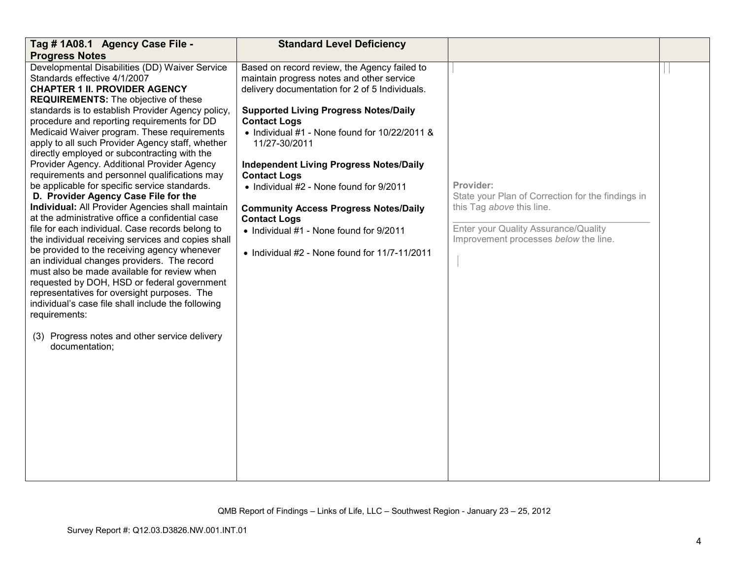| Tag # 1A08.1 Agency Case File -                                                                 | <b>Standard Level Deficiency</b>                      |                                                   |  |
|-------------------------------------------------------------------------------------------------|-------------------------------------------------------|---------------------------------------------------|--|
| <b>Progress Notes</b>                                                                           |                                                       |                                                   |  |
| Developmental Disabilities (DD) Waiver Service                                                  | Based on record review, the Agency failed to          |                                                   |  |
| Standards effective 4/1/2007                                                                    | maintain progress notes and other service             |                                                   |  |
| <b>CHAPTER 1 II. PROVIDER AGENCY</b>                                                            | delivery documentation for 2 of 5 Individuals.        |                                                   |  |
| <b>REQUIREMENTS:</b> The objective of these                                                     |                                                       |                                                   |  |
| standards is to establish Provider Agency policy,                                               | <b>Supported Living Progress Notes/Daily</b>          |                                                   |  |
| procedure and reporting requirements for DD                                                     | <b>Contact Logs</b>                                   |                                                   |  |
| Medicaid Waiver program. These requirements<br>apply to all such Provider Agency staff, whether | • Individual $#1$ - None found for $10/22/2011$ &     |                                                   |  |
| directly employed or subcontracting with the                                                    | 11/27-30/2011                                         |                                                   |  |
| Provider Agency. Additional Provider Agency                                                     | <b>Independent Living Progress Notes/Daily</b>        |                                                   |  |
| requirements and personnel qualifications may                                                   | <b>Contact Logs</b>                                   |                                                   |  |
| be applicable for specific service standards.                                                   | • Individual #2 - None found for 9/2011               | Provider:                                         |  |
| D. Provider Agency Case File for the                                                            |                                                       | State your Plan of Correction for the findings in |  |
| Individual: All Provider Agencies shall maintain                                                | <b>Community Access Progress Notes/Daily</b>          | this Tag above this line.                         |  |
| at the administrative office a confidential case                                                | <b>Contact Logs</b>                                   |                                                   |  |
| file for each individual. Case records belong to                                                | • Individual #1 - None found for 9/2011               | Enter your Quality Assurance/Quality              |  |
| the individual receiving services and copies shall                                              |                                                       | Improvement processes below the line.             |  |
| be provided to the receiving agency whenever                                                    | $\bullet$ Individual #2 - None found for 11/7-11/2011 |                                                   |  |
| an individual changes providers. The record                                                     |                                                       |                                                   |  |
| must also be made available for review when                                                     |                                                       |                                                   |  |
| requested by DOH, HSD or federal government                                                     |                                                       |                                                   |  |
| representatives for oversight purposes. The                                                     |                                                       |                                                   |  |
| individual's case file shall include the following                                              |                                                       |                                                   |  |
| requirements:                                                                                   |                                                       |                                                   |  |
|                                                                                                 |                                                       |                                                   |  |
| (3) Progress notes and other service delivery                                                   |                                                       |                                                   |  |
| documentation;                                                                                  |                                                       |                                                   |  |
|                                                                                                 |                                                       |                                                   |  |
|                                                                                                 |                                                       |                                                   |  |
|                                                                                                 |                                                       |                                                   |  |
|                                                                                                 |                                                       |                                                   |  |
|                                                                                                 |                                                       |                                                   |  |
|                                                                                                 |                                                       |                                                   |  |
|                                                                                                 |                                                       |                                                   |  |
|                                                                                                 |                                                       |                                                   |  |
|                                                                                                 |                                                       |                                                   |  |
|                                                                                                 |                                                       |                                                   |  |
|                                                                                                 |                                                       |                                                   |  |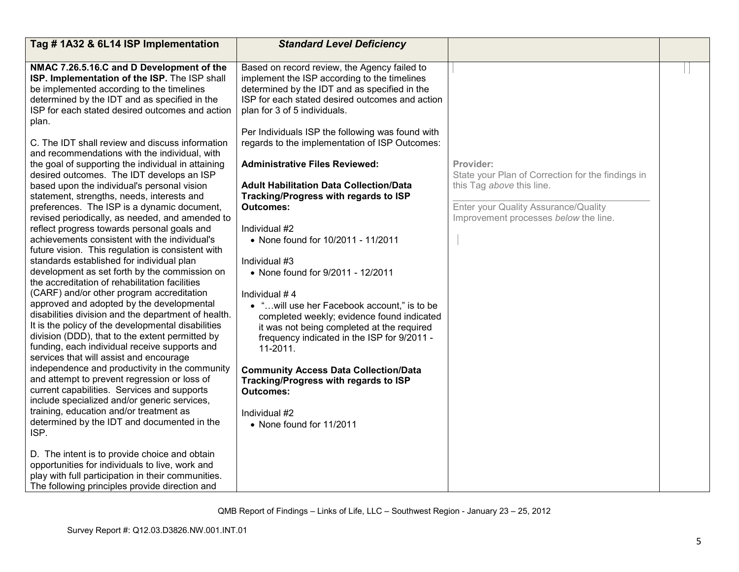| Tag #1A32 & 6L14 ISP Implementation                                                          | <b>Standard Level Deficiency</b>                 |                                                   |  |
|----------------------------------------------------------------------------------------------|--------------------------------------------------|---------------------------------------------------|--|
| NMAC 7.26.5.16.C and D Development of the                                                    | Based on record review, the Agency failed to     |                                                   |  |
| ISP. Implementation of the ISP. The ISP shall                                                | implement the ISP according to the timelines     |                                                   |  |
| be implemented according to the timelines                                                    | determined by the IDT and as specified in the    |                                                   |  |
| determined by the IDT and as specified in the                                                | ISP for each stated desired outcomes and action  |                                                   |  |
| ISP for each stated desired outcomes and action                                              | plan for 3 of 5 individuals.                     |                                                   |  |
| plan.                                                                                        |                                                  |                                                   |  |
|                                                                                              | Per Individuals ISP the following was found with |                                                   |  |
| C. The IDT shall review and discuss information                                              | regards to the implementation of ISP Outcomes:   |                                                   |  |
| and recommendations with the individual, with                                                |                                                  |                                                   |  |
| the goal of supporting the individual in attaining                                           | <b>Administrative Files Reviewed:</b>            | Provider:                                         |  |
| desired outcomes. The IDT develops an ISP                                                    |                                                  | State your Plan of Correction for the findings in |  |
| based upon the individual's personal vision                                                  | <b>Adult Habilitation Data Collection/Data</b>   | this Tag above this line.                         |  |
| statement, strengths, needs, interests and                                                   | Tracking/Progress with regards to ISP            |                                                   |  |
| preferences. The ISP is a dynamic document,                                                  | <b>Outcomes:</b>                                 | Enter your Quality Assurance/Quality              |  |
| revised periodically, as needed, and amended to                                              | Individual #2                                    | Improvement processes below the line.             |  |
| reflect progress towards personal goals and<br>achievements consistent with the individual's | • None found for 10/2011 - 11/2011               |                                                   |  |
| future vision. This regulation is consistent with                                            |                                                  |                                                   |  |
| standards established for individual plan                                                    | Individual #3                                    |                                                   |  |
| development as set forth by the commission on                                                | • None found for 9/2011 - 12/2011                |                                                   |  |
| the accreditation of rehabilitation facilities                                               |                                                  |                                                   |  |
| (CARF) and/or other program accreditation                                                    | Individual #4                                    |                                                   |  |
| approved and adopted by the developmental                                                    | • " will use her Facebook account," is to be     |                                                   |  |
| disabilities division and the department of health.                                          | completed weekly; evidence found indicated       |                                                   |  |
| It is the policy of the developmental disabilities                                           | it was not being completed at the required       |                                                   |  |
| division (DDD), that to the extent permitted by                                              | frequency indicated in the ISP for 9/2011 -      |                                                   |  |
| funding, each individual receive supports and                                                | 11-2011.                                         |                                                   |  |
| services that will assist and encourage                                                      |                                                  |                                                   |  |
| independence and productivity in the community                                               | <b>Community Access Data Collection/Data</b>     |                                                   |  |
| and attempt to prevent regression or loss of                                                 | Tracking/Progress with regards to ISP            |                                                   |  |
| current capabilities. Services and supports                                                  | <b>Outcomes:</b>                                 |                                                   |  |
| include specialized and/or generic services,                                                 |                                                  |                                                   |  |
| training, education and/or treatment as<br>determined by the IDT and documented in the       | Individual #2                                    |                                                   |  |
| ISP.                                                                                         | • None found for 11/2011                         |                                                   |  |
|                                                                                              |                                                  |                                                   |  |
| D. The intent is to provide choice and obtain                                                |                                                  |                                                   |  |
| opportunities for individuals to live, work and                                              |                                                  |                                                   |  |
| play with full participation in their communities.                                           |                                                  |                                                   |  |
| The following principles provide direction and                                               |                                                  |                                                   |  |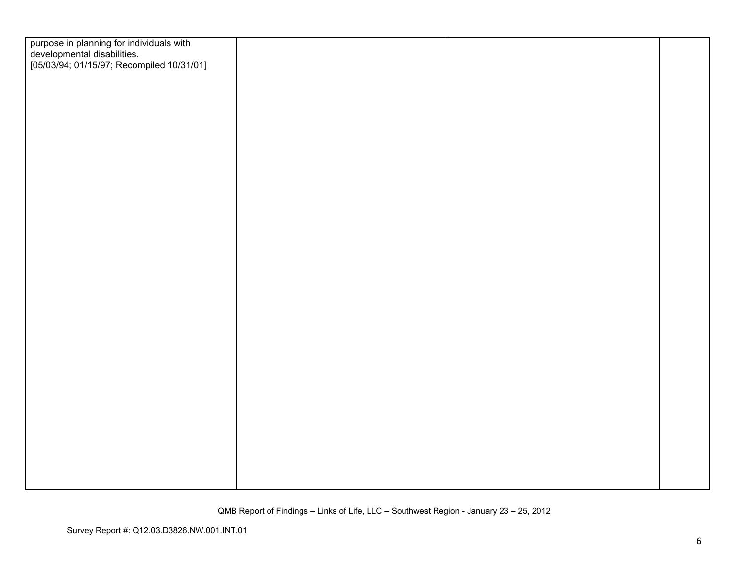| purpose in planning for individuals with<br>developmental disabilities.<br>[05/03/94; 01/15/97; Recompiled 10/31/01] |  |  |
|----------------------------------------------------------------------------------------------------------------------|--|--|
|                                                                                                                      |  |  |
|                                                                                                                      |  |  |
|                                                                                                                      |  |  |
|                                                                                                                      |  |  |
|                                                                                                                      |  |  |
|                                                                                                                      |  |  |
|                                                                                                                      |  |  |
|                                                                                                                      |  |  |
|                                                                                                                      |  |  |
|                                                                                                                      |  |  |
|                                                                                                                      |  |  |
|                                                                                                                      |  |  |
|                                                                                                                      |  |  |
|                                                                                                                      |  |  |
|                                                                                                                      |  |  |
|                                                                                                                      |  |  |
|                                                                                                                      |  |  |
|                                                                                                                      |  |  |
|                                                                                                                      |  |  |
|                                                                                                                      |  |  |
|                                                                                                                      |  |  |
|                                                                                                                      |  |  |
|                                                                                                                      |  |  |
|                                                                                                                      |  |  |
|                                                                                                                      |  |  |
|                                                                                                                      |  |  |
|                                                                                                                      |  |  |
|                                                                                                                      |  |  |
|                                                                                                                      |  |  |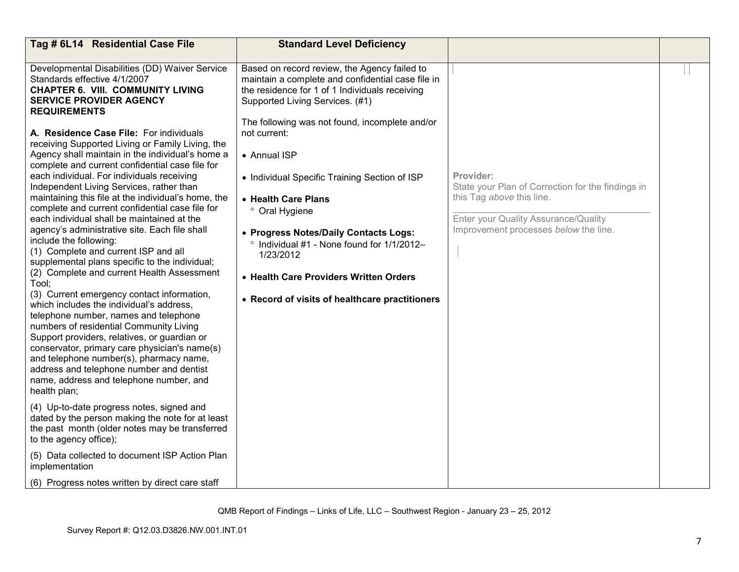| Tag # 6L14 Residential Case File                                                                                                                                                                                                                                                                                                                                                                                                                                                                                                                                                                                                                                                                                                                                                                                                                                                                                                                                                                                                                                                                                                                                                                                                                                                                                                                      | <b>Standard Level Deficiency</b>                                                                                                                                                                                                                                                                                                                                                                                                                                                                                                                                           |                                                                                                                                                                              |  |
|-------------------------------------------------------------------------------------------------------------------------------------------------------------------------------------------------------------------------------------------------------------------------------------------------------------------------------------------------------------------------------------------------------------------------------------------------------------------------------------------------------------------------------------------------------------------------------------------------------------------------------------------------------------------------------------------------------------------------------------------------------------------------------------------------------------------------------------------------------------------------------------------------------------------------------------------------------------------------------------------------------------------------------------------------------------------------------------------------------------------------------------------------------------------------------------------------------------------------------------------------------------------------------------------------------------------------------------------------------|----------------------------------------------------------------------------------------------------------------------------------------------------------------------------------------------------------------------------------------------------------------------------------------------------------------------------------------------------------------------------------------------------------------------------------------------------------------------------------------------------------------------------------------------------------------------------|------------------------------------------------------------------------------------------------------------------------------------------------------------------------------|--|
| Developmental Disabilities (DD) Waiver Service<br>Standards effective 4/1/2007<br><b>CHAPTER 6. VIII. COMMUNITY LIVING</b><br><b>SERVICE PROVIDER AGENCY</b><br><b>REQUIREMENTS</b><br>A. Residence Case File: For individuals<br>receiving Supported Living or Family Living, the<br>Agency shall maintain in the individual's home a<br>complete and current confidential case file for<br>each individual. For individuals receiving<br>Independent Living Services, rather than<br>maintaining this file at the individual's home, the<br>complete and current confidential case file for<br>each individual shall be maintained at the<br>agency's administrative site. Each file shall<br>include the following:<br>(1) Complete and current ISP and all<br>supplemental plans specific to the individual;<br>(2) Complete and current Health Assessment<br>Tool;<br>(3) Current emergency contact information,<br>which includes the individual's address.<br>telephone number, names and telephone<br>numbers of residential Community Living<br>Support providers, relatives, or guardian or<br>conservator, primary care physician's name(s)<br>and telephone number(s), pharmacy name,<br>address and telephone number and dentist<br>name, address and telephone number, and<br>health plan;<br>(4) Up-to-date progress notes, signed and | Based on record review, the Agency failed to<br>maintain a complete and confidential case file in<br>the residence for 1 of 1 Individuals receiving<br>Supported Living Services. (#1)<br>The following was not found, incomplete and/or<br>not current:<br>• Annual ISP<br>• Individual Specific Training Section of ISP<br>• Health Care Plans<br>° Oral Hygiene<br>• Progress Notes/Daily Contacts Logs:<br>$\degree$ Individual #1 - None found for 1/1/2012-<br>1/23/2012<br>• Health Care Providers Written Orders<br>• Record of visits of healthcare practitioners | Provider:<br>State your Plan of Correction for the findings in<br>this Tag above this line.<br>Enter your Quality Assurance/Quality<br>Improvement processes below the line. |  |
| dated by the person making the note for at least<br>the past month (older notes may be transferred<br>to the agency office);                                                                                                                                                                                                                                                                                                                                                                                                                                                                                                                                                                                                                                                                                                                                                                                                                                                                                                                                                                                                                                                                                                                                                                                                                          |                                                                                                                                                                                                                                                                                                                                                                                                                                                                                                                                                                            |                                                                                                                                                                              |  |
| (5) Data collected to document ISP Action Plan<br>implementation                                                                                                                                                                                                                                                                                                                                                                                                                                                                                                                                                                                                                                                                                                                                                                                                                                                                                                                                                                                                                                                                                                                                                                                                                                                                                      |                                                                                                                                                                                                                                                                                                                                                                                                                                                                                                                                                                            |                                                                                                                                                                              |  |
| (6) Progress notes written by direct care staff                                                                                                                                                                                                                                                                                                                                                                                                                                                                                                                                                                                                                                                                                                                                                                                                                                                                                                                                                                                                                                                                                                                                                                                                                                                                                                       |                                                                                                                                                                                                                                                                                                                                                                                                                                                                                                                                                                            |                                                                                                                                                                              |  |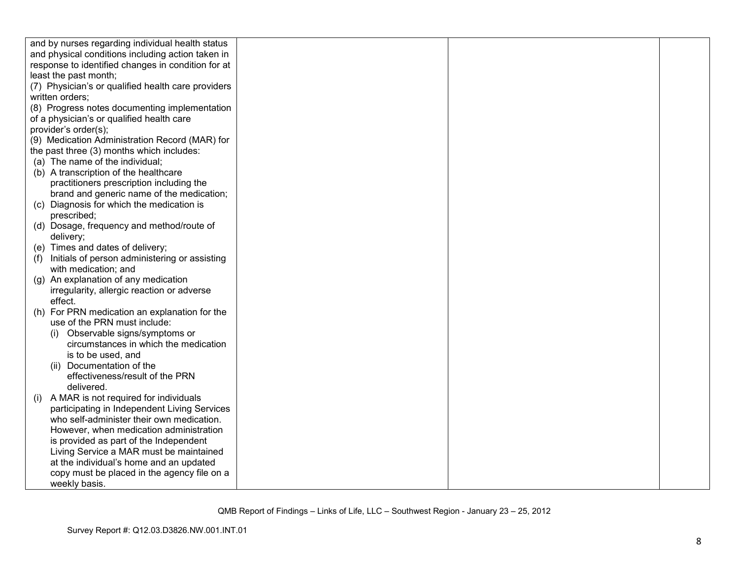| and by nurses regarding individual health status     |  |  |
|------------------------------------------------------|--|--|
| and physical conditions including action taken in    |  |  |
| response to identified changes in condition for at   |  |  |
| least the past month;                                |  |  |
| (7) Physician's or qualified health care providers   |  |  |
| written orders;                                      |  |  |
| (8) Progress notes documenting implementation        |  |  |
| of a physician's or qualified health care            |  |  |
| provider's order(s);                                 |  |  |
| (9) Medication Administration Record (MAR) for       |  |  |
| the past three (3) months which includes:            |  |  |
| (a) The name of the individual;                      |  |  |
| (b) A transcription of the healthcare                |  |  |
| practitioners prescription including the             |  |  |
| brand and generic name of the medication;            |  |  |
| (c) Diagnosis for which the medication is            |  |  |
| prescribed;                                          |  |  |
| (d) Dosage, frequency and method/route of            |  |  |
| delivery;                                            |  |  |
| (e) Times and dates of delivery;                     |  |  |
| Initials of person administering or assisting<br>(f) |  |  |
| with medication; and                                 |  |  |
| (g) An explanation of any medication                 |  |  |
| irregularity, allergic reaction or adverse           |  |  |
| effect.                                              |  |  |
| For PRN medication an explanation for the<br>(h)     |  |  |
| use of the PRN must include:                         |  |  |
| Observable signs/symptoms or                         |  |  |
| circumstances in which the medication                |  |  |
| is to be used, and                                   |  |  |
| (ii) Documentation of the                            |  |  |
| effectiveness/result of the PRN                      |  |  |
| delivered.                                           |  |  |
| A MAR is not required for individuals<br>(i)         |  |  |
| participating in Independent Living Services         |  |  |
| who self-administer their own medication.            |  |  |
| However, when medication administration              |  |  |
| is provided as part of the Independent               |  |  |
| Living Service a MAR must be maintained              |  |  |
| at the individual's home and an updated              |  |  |
| copy must be placed in the agency file on a          |  |  |
| weekly basis.                                        |  |  |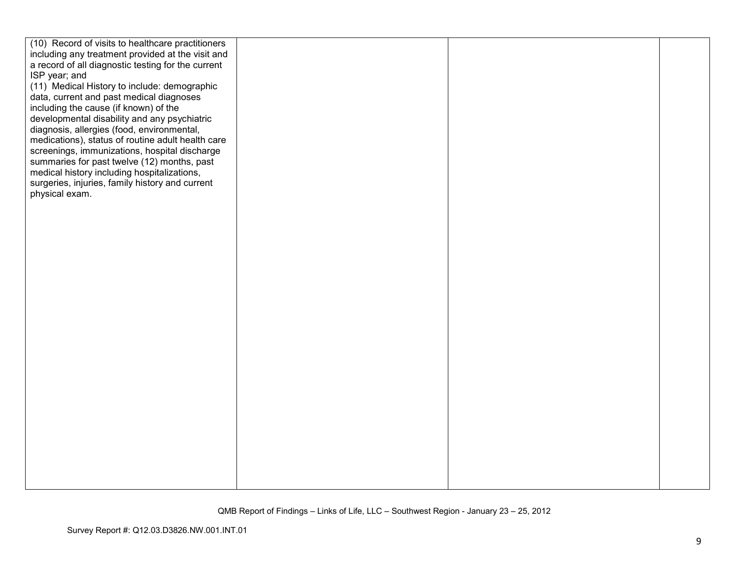| (10) Record of visits to healthcare practitioners  |  |  |
|----------------------------------------------------|--|--|
| including any treatment provided at the visit and  |  |  |
| a record of all diagnostic testing for the current |  |  |
| ISP year; and                                      |  |  |
| (11) Medical History to include: demographic       |  |  |
| data, current and past medical diagnoses           |  |  |
| including the cause (if known) of the              |  |  |
| developmental disability and any psychiatric       |  |  |
| diagnosis, allergies (food, environmental,         |  |  |
| medications), status of routine adult health care  |  |  |
| screenings, immunizations, hospital discharge      |  |  |
| summaries for past twelve (12) months, past        |  |  |
| medical history including hospitalizations,        |  |  |
| surgeries, injuries, family history and current    |  |  |
| physical exam.                                     |  |  |
|                                                    |  |  |
|                                                    |  |  |
|                                                    |  |  |
|                                                    |  |  |
|                                                    |  |  |
|                                                    |  |  |
|                                                    |  |  |
|                                                    |  |  |
|                                                    |  |  |
|                                                    |  |  |
|                                                    |  |  |
|                                                    |  |  |
|                                                    |  |  |
|                                                    |  |  |
|                                                    |  |  |
|                                                    |  |  |
|                                                    |  |  |
|                                                    |  |  |
|                                                    |  |  |
|                                                    |  |  |
|                                                    |  |  |
|                                                    |  |  |
|                                                    |  |  |
|                                                    |  |  |
|                                                    |  |  |
|                                                    |  |  |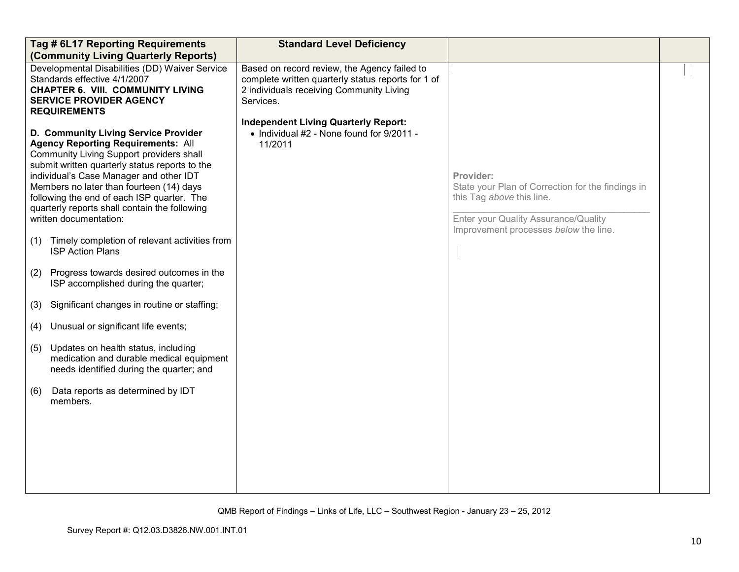| Tag # 6L17 Reporting Requirements<br>(Community Living Quarterly Reports)                                                                                                                                                                                                                                                                                                                                                                                                                                                                                                                                                                                                                                                                                                                                                                                                       | <b>Standard Level Deficiency</b>                                                                                                                            |                                                                                                                                                                              |  |
|---------------------------------------------------------------------------------------------------------------------------------------------------------------------------------------------------------------------------------------------------------------------------------------------------------------------------------------------------------------------------------------------------------------------------------------------------------------------------------------------------------------------------------------------------------------------------------------------------------------------------------------------------------------------------------------------------------------------------------------------------------------------------------------------------------------------------------------------------------------------------------|-------------------------------------------------------------------------------------------------------------------------------------------------------------|------------------------------------------------------------------------------------------------------------------------------------------------------------------------------|--|
| Developmental Disabilities (DD) Waiver Service<br>Standards effective 4/1/2007<br><b>CHAPTER 6. VIII. COMMUNITY LIVING</b><br><b>SERVICE PROVIDER AGENCY</b><br><b>REQUIREMENTS</b>                                                                                                                                                                                                                                                                                                                                                                                                                                                                                                                                                                                                                                                                                             | Based on record review, the Agency failed to<br>complete written quarterly status reports for 1 of<br>2 individuals receiving Community Living<br>Services. |                                                                                                                                                                              |  |
| D. Community Living Service Provider<br><b>Agency Reporting Requirements: All</b><br>Community Living Support providers shall<br>submit written quarterly status reports to the<br>individual's Case Manager and other IDT<br>Members no later than fourteen (14) days<br>following the end of each ISP quarter. The<br>quarterly reports shall contain the following<br>written documentation:<br>Timely completion of relevant activities from<br>(1)<br><b>ISP Action Plans</b><br>Progress towards desired outcomes in the<br>(2)<br>ISP accomplished during the quarter;<br>Significant changes in routine or staffing;<br>(3)<br>Unusual or significant life events;<br>(4)<br>Updates on health status, including<br>(5)<br>medication and durable medical equipment<br>needs identified during the quarter; and<br>Data reports as determined by IDT<br>(6)<br>members. | <b>Independent Living Quarterly Report:</b><br>• Individual #2 - None found for 9/2011 -<br>11/2011                                                         | Provider:<br>State your Plan of Correction for the findings in<br>this Tag above this line.<br>Enter your Quality Assurance/Quality<br>Improvement processes below the line. |  |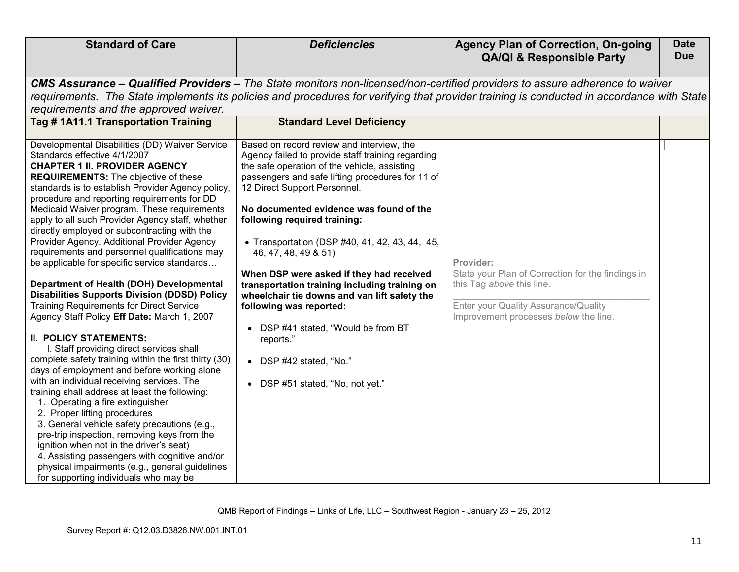| <b>Standard of Care</b>                                                                                                                                                                                                                                                                                                                                                                                                                                                                                                                                                                                                                     | <b>Deficiencies</b>                                                                                                                                                                                                                                                                                                                                                                     | <b>Agency Plan of Correction, On-going</b>                                                                                                                      | <b>Date</b><br><b>Due</b> |
|---------------------------------------------------------------------------------------------------------------------------------------------------------------------------------------------------------------------------------------------------------------------------------------------------------------------------------------------------------------------------------------------------------------------------------------------------------------------------------------------------------------------------------------------------------------------------------------------------------------------------------------------|-----------------------------------------------------------------------------------------------------------------------------------------------------------------------------------------------------------------------------------------------------------------------------------------------------------------------------------------------------------------------------------------|-----------------------------------------------------------------------------------------------------------------------------------------------------------------|---------------------------|
|                                                                                                                                                                                                                                                                                                                                                                                                                                                                                                                                                                                                                                             |                                                                                                                                                                                                                                                                                                                                                                                         | <b>QA/QI &amp; Responsible Party</b>                                                                                                                            |                           |
|                                                                                                                                                                                                                                                                                                                                                                                                                                                                                                                                                                                                                                             | CMS Assurance – Qualified Providers – The State monitors non-licensed/non-certified providers to assure adherence to waiver                                                                                                                                                                                                                                                             |                                                                                                                                                                 |                           |
|                                                                                                                                                                                                                                                                                                                                                                                                                                                                                                                                                                                                                                             | requirements. The State implements its policies and procedures for verifying that provider training is conducted in accordance with State                                                                                                                                                                                                                                               |                                                                                                                                                                 |                           |
| requirements and the approved waiver.                                                                                                                                                                                                                                                                                                                                                                                                                                                                                                                                                                                                       |                                                                                                                                                                                                                                                                                                                                                                                         |                                                                                                                                                                 |                           |
| Tag #1A11.1 Transportation Training                                                                                                                                                                                                                                                                                                                                                                                                                                                                                                                                                                                                         | <b>Standard Level Deficiency</b>                                                                                                                                                                                                                                                                                                                                                        |                                                                                                                                                                 |                           |
| Developmental Disabilities (DD) Waiver Service<br>Standards effective 4/1/2007<br><b>CHAPTER 1 II. PROVIDER AGENCY</b><br><b>REQUIREMENTS:</b> The objective of these<br>standards is to establish Provider Agency policy,<br>procedure and reporting requirements for DD<br>Medicaid Waiver program. These requirements<br>apply to all such Provider Agency staff, whether<br>directly employed or subcontracting with the<br>Provider Agency. Additional Provider Agency<br>requirements and personnel qualifications may<br>be applicable for specific service standards                                                                | Based on record review and interview, the<br>Agency failed to provide staff training regarding<br>the safe operation of the vehicle, assisting<br>passengers and safe lifting procedures for 11 of<br>12 Direct Support Personnel.<br>No documented evidence was found of the<br>following required training:<br>• Transportation (DSP #40, 41, 42, 43, 44, 45,<br>46, 47, 48, 49 & 51) | Provider:                                                                                                                                                       |                           |
| Department of Health (DOH) Developmental<br><b>Disabilities Supports Division (DDSD) Policy</b><br><b>Training Requirements for Direct Service</b><br>Agency Staff Policy Eff Date: March 1, 2007                                                                                                                                                                                                                                                                                                                                                                                                                                           | When DSP were asked if they had received<br>transportation training including training on<br>wheelchair tie downs and van lift safety the<br>following was reported:                                                                                                                                                                                                                    | State your Plan of Correction for the findings in<br>this Tag above this line.<br>Enter your Quality Assurance/Quality<br>Improvement processes below the line. |                           |
| <b>II. POLICY STATEMENTS:</b><br>I. Staff providing direct services shall<br>complete safety training within the first thirty (30)<br>days of employment and before working alone<br>with an individual receiving services. The<br>training shall address at least the following:<br>1. Operating a fire extinguisher<br>2. Proper lifting procedures<br>3. General vehicle safety precautions (e.g.,<br>pre-trip inspection, removing keys from the<br>ignition when not in the driver's seat)<br>4. Assisting passengers with cognitive and/or<br>physical impairments (e.g., general guidelines<br>for supporting individuals who may be | DSP #41 stated, "Would be from BT<br>reports."<br>• DSP $#42$ stated, "No."<br>• DSP #51 stated, "No, not yet."                                                                                                                                                                                                                                                                         |                                                                                                                                                                 |                           |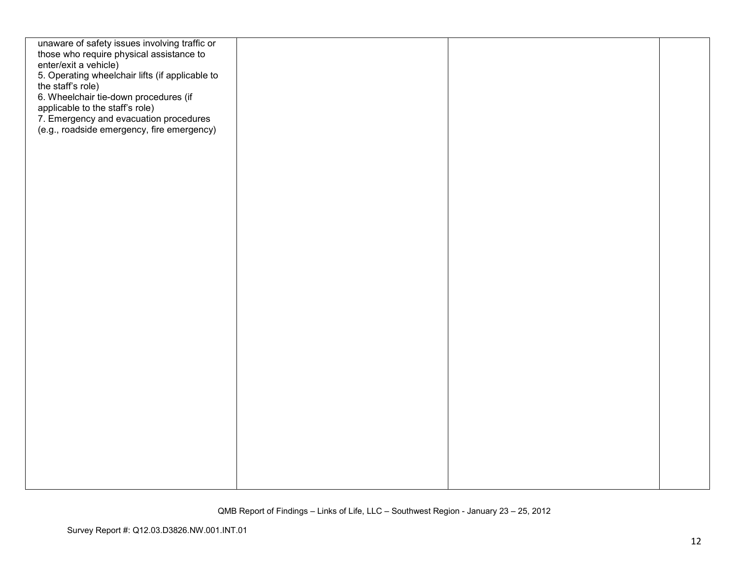| unaware of safety issues involving traffic or   |  |  |
|-------------------------------------------------|--|--|
| those who require physical assistance to        |  |  |
| enter/exit a vehicle)                           |  |  |
| 5. Operating wheelchair lifts (if applicable to |  |  |
| the staff's role)                               |  |  |
|                                                 |  |  |
| 6. Wheelchair tie-down procedures (if           |  |  |
| applicable to the staff's role)                 |  |  |
| 7. Emergency and evacuation procedures          |  |  |
| (e.g., roadside emergency, fire emergency)      |  |  |
|                                                 |  |  |
|                                                 |  |  |
|                                                 |  |  |
|                                                 |  |  |
|                                                 |  |  |
|                                                 |  |  |
|                                                 |  |  |
|                                                 |  |  |
|                                                 |  |  |
|                                                 |  |  |
|                                                 |  |  |
|                                                 |  |  |
|                                                 |  |  |
|                                                 |  |  |
|                                                 |  |  |
|                                                 |  |  |
|                                                 |  |  |
|                                                 |  |  |
|                                                 |  |  |
|                                                 |  |  |
|                                                 |  |  |
|                                                 |  |  |
|                                                 |  |  |
|                                                 |  |  |
|                                                 |  |  |
|                                                 |  |  |
|                                                 |  |  |
|                                                 |  |  |
|                                                 |  |  |
|                                                 |  |  |
|                                                 |  |  |
|                                                 |  |  |
|                                                 |  |  |
|                                                 |  |  |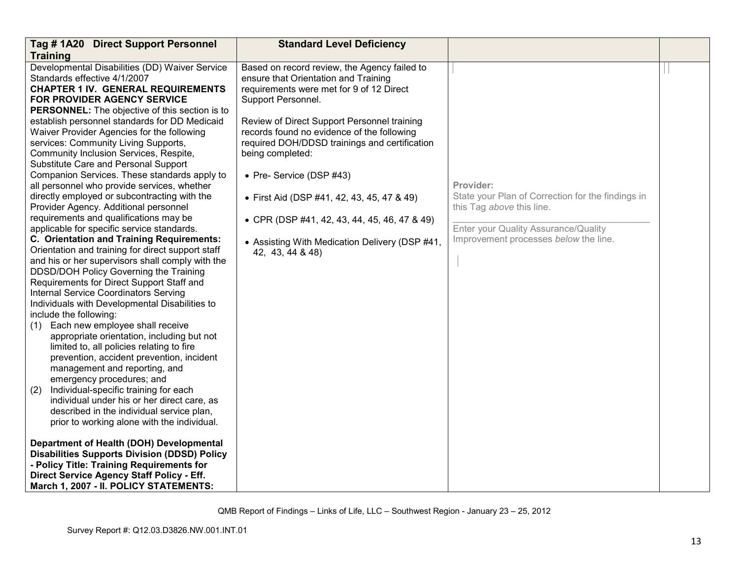| Tag #1A20 Direct Support Personnel                    | <b>Standard Level Deficiency</b>               |                                                   |  |
|-------------------------------------------------------|------------------------------------------------|---------------------------------------------------|--|
| <b>Training</b>                                       |                                                |                                                   |  |
| Developmental Disabilities (DD) Waiver Service        | Based on record review, the Agency failed to   |                                                   |  |
| Standards effective 4/1/2007                          | ensure that Orientation and Training           |                                                   |  |
| <b>CHAPTER 1 IV. GENERAL REQUIREMENTS</b>             | requirements were met for 9 of 12 Direct       |                                                   |  |
| FOR PROVIDER AGENCY SERVICE                           | Support Personnel.                             |                                                   |  |
| <b>PERSONNEL:</b> The objective of this section is to |                                                |                                                   |  |
| establish personnel standards for DD Medicaid         | Review of Direct Support Personnel training    |                                                   |  |
| Waiver Provider Agencies for the following            | records found no evidence of the following     |                                                   |  |
| services: Community Living Supports,                  | required DOH/DDSD trainings and certification  |                                                   |  |
| Community Inclusion Services, Respite,                | being completed:                               |                                                   |  |
| Substitute Care and Personal Support                  |                                                |                                                   |  |
| Companion Services. These standards apply to          | • Pre- Service (DSP #43)                       |                                                   |  |
| all personnel who provide services, whether           |                                                | Provider:                                         |  |
| directly employed or subcontracting with the          | • First Aid (DSP #41, 42, 43, 45, 47 & 49)     | State your Plan of Correction for the findings in |  |
| Provider Agency. Additional personnel                 |                                                | this Tag above this line.                         |  |
| requirements and qualifications may be                | • CPR (DSP #41, 42, 43, 44, 45, 46, 47 & 49)   |                                                   |  |
| applicable for specific service standards.            |                                                | Enter your Quality Assurance/Quality              |  |
| C. Orientation and Training Requirements:             | • Assisting With Medication Delivery (DSP #41, | Improvement processes below the line.             |  |
| Orientation and training for direct support staff     | 42, 43, 44 & 48)                               |                                                   |  |
| and his or her supervisors shall comply with the      |                                                |                                                   |  |
| DDSD/DOH Policy Governing the Training                |                                                |                                                   |  |
| Requirements for Direct Support Staff and             |                                                |                                                   |  |
| <b>Internal Service Coordinators Serving</b>          |                                                |                                                   |  |
| Individuals with Developmental Disabilities to        |                                                |                                                   |  |
| include the following:                                |                                                |                                                   |  |
| Each new employee shall receive<br>(1)                |                                                |                                                   |  |
| appropriate orientation, including but not            |                                                |                                                   |  |
| limited to, all policies relating to fire             |                                                |                                                   |  |
| prevention, accident prevention, incident             |                                                |                                                   |  |
| management and reporting, and                         |                                                |                                                   |  |
| emergency procedures; and                             |                                                |                                                   |  |
| Individual-specific training for each<br>(2)          |                                                |                                                   |  |
| individual under his or her direct care, as           |                                                |                                                   |  |
| described in the individual service plan,             |                                                |                                                   |  |
| prior to working alone with the individual.           |                                                |                                                   |  |
| Department of Health (DOH) Developmental              |                                                |                                                   |  |
| <b>Disabilities Supports Division (DDSD) Policy</b>   |                                                |                                                   |  |
| - Policy Title: Training Requirements for             |                                                |                                                   |  |
| Direct Service Agency Staff Policy - Eff.             |                                                |                                                   |  |
| March 1, 2007 - II. POLICY STATEMENTS:                |                                                |                                                   |  |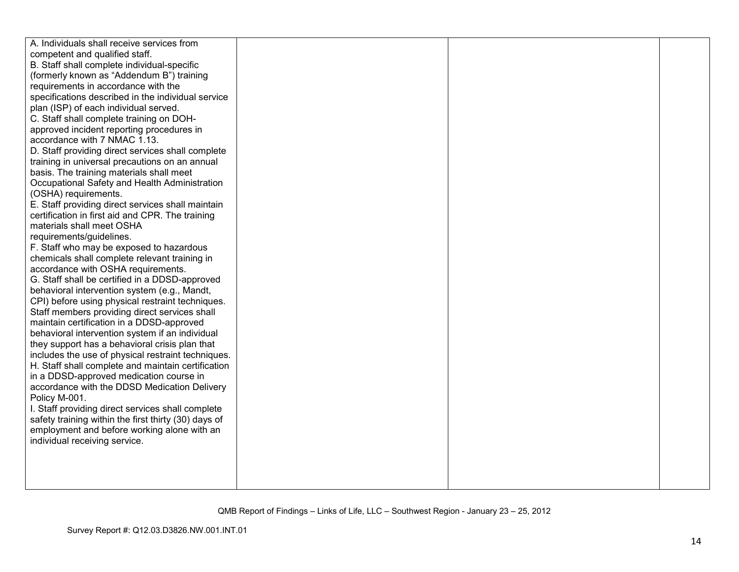| A. Individuals shall receive services from                         |  |
|--------------------------------------------------------------------|--|
| competent and qualified staff.                                     |  |
| B. Staff shall complete individual-specific                        |  |
| (formerly known as "Addendum B") training                          |  |
| requirements in accordance with the                                |  |
| specifications described in the individual service                 |  |
| plan (ISP) of each individual served.                              |  |
| C. Staff shall complete training on DOH-                           |  |
| approved incident reporting procedures in                          |  |
| accordance with 7 NMAC 1.13.                                       |  |
| D. Staff providing direct services shall complete                  |  |
| training in universal precautions on an annual                     |  |
| basis. The training materials shall meet                           |  |
| Occupational Safety and Health Administration                      |  |
| (OSHA) requirements.                                               |  |
| E. Staff providing direct services shall maintain                  |  |
| certification in first aid and CPR. The training                   |  |
| materials shall meet OSHA                                          |  |
| requirements/guidelines.                                           |  |
| F. Staff who may be exposed to hazardous                           |  |
| chemicals shall complete relevant training in                      |  |
| accordance with OSHA requirements.                                 |  |
| G. Staff shall be certified in a DDSD-approved                     |  |
| behavioral intervention system (e.g., Mandt,                       |  |
| CPI) before using physical restraint techniques.                   |  |
| Staff members providing direct services shall                      |  |
| maintain certification in a DDSD-approved                          |  |
| behavioral intervention system if an individual                    |  |
| they support has a behavioral crisis plan that                     |  |
| includes the use of physical restraint techniques.                 |  |
| H. Staff shall complete and maintain certification                 |  |
| in a DDSD-approved medication course in                            |  |
| accordance with the DDSD Medication Delivery                       |  |
| Policy M-001.<br>I. Staff providing direct services shall complete |  |
| safety training within the first thirty (30) days of               |  |
| employment and before working alone with an                        |  |
| individual receiving service.                                      |  |
|                                                                    |  |
|                                                                    |  |
|                                                                    |  |
|                                                                    |  |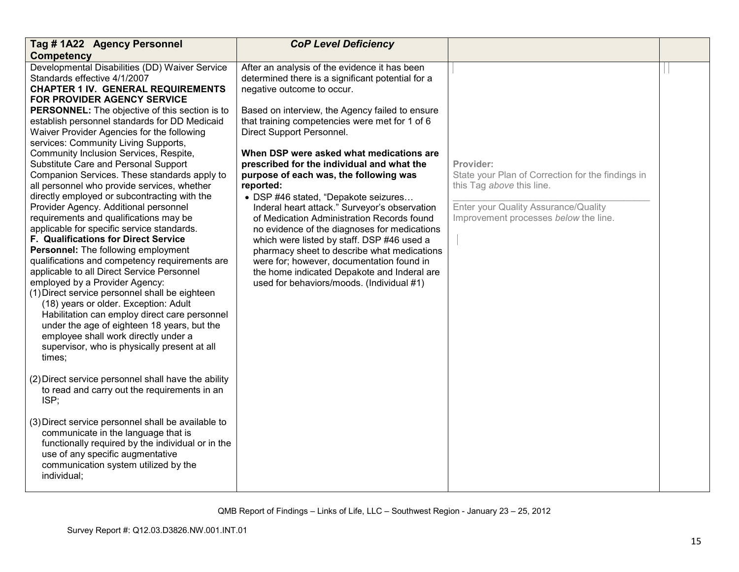| Tag #1A22 Agency Personnel                                                                                                                                                                                                                                                                                                                                                                                                                                                                                                                                                                                                                                                                                                                                                                                                                                                                                                                                                                                                                                                                           | <b>CoP Level Deficiency</b>                                                                                                                                                                                                                                                                                                                                                                                                                                                                                                                                                                                                                                                                                  |                                                                                                                                                                              |  |
|------------------------------------------------------------------------------------------------------------------------------------------------------------------------------------------------------------------------------------------------------------------------------------------------------------------------------------------------------------------------------------------------------------------------------------------------------------------------------------------------------------------------------------------------------------------------------------------------------------------------------------------------------------------------------------------------------------------------------------------------------------------------------------------------------------------------------------------------------------------------------------------------------------------------------------------------------------------------------------------------------------------------------------------------------------------------------------------------------|--------------------------------------------------------------------------------------------------------------------------------------------------------------------------------------------------------------------------------------------------------------------------------------------------------------------------------------------------------------------------------------------------------------------------------------------------------------------------------------------------------------------------------------------------------------------------------------------------------------------------------------------------------------------------------------------------------------|------------------------------------------------------------------------------------------------------------------------------------------------------------------------------|--|
| <b>Competency</b>                                                                                                                                                                                                                                                                                                                                                                                                                                                                                                                                                                                                                                                                                                                                                                                                                                                                                                                                                                                                                                                                                    |                                                                                                                                                                                                                                                                                                                                                                                                                                                                                                                                                                                                                                                                                                              |                                                                                                                                                                              |  |
| Developmental Disabilities (DD) Waiver Service<br>Standards effective 4/1/2007<br><b>CHAPTER 1 IV. GENERAL REQUIREMENTS</b>                                                                                                                                                                                                                                                                                                                                                                                                                                                                                                                                                                                                                                                                                                                                                                                                                                                                                                                                                                          | After an analysis of the evidence it has been<br>determined there is a significant potential for a<br>negative outcome to occur.                                                                                                                                                                                                                                                                                                                                                                                                                                                                                                                                                                             |                                                                                                                                                                              |  |
| FOR PROVIDER AGENCY SERVICE<br>PERSONNEL: The objective of this section is to<br>establish personnel standards for DD Medicaid<br>Waiver Provider Agencies for the following<br>services: Community Living Supports,<br>Community Inclusion Services, Respite,<br>Substitute Care and Personal Support<br>Companion Services. These standards apply to<br>all personnel who provide services, whether<br>directly employed or subcontracting with the<br>Provider Agency. Additional personnel<br>requirements and qualifications may be<br>applicable for specific service standards.<br>F. Qualifications for Direct Service<br>Personnel: The following employment<br>qualifications and competency requirements are<br>applicable to all Direct Service Personnel<br>employed by a Provider Agency:<br>(1) Direct service personnel shall be eighteen<br>(18) years or older. Exception: Adult<br>Habilitation can employ direct care personnel<br>under the age of eighteen 18 years, but the<br>employee shall work directly under a<br>supervisor, who is physically present at all<br>times; | Based on interview, the Agency failed to ensure<br>that training competencies were met for 1 of 6<br>Direct Support Personnel.<br>When DSP were asked what medications are<br>prescribed for the individual and what the<br>purpose of each was, the following was<br>reported:<br>• DSP #46 stated, "Depakote seizures<br>Inderal heart attack." Surveyor's observation<br>of Medication Administration Records found<br>no evidence of the diagnoses for medications<br>which were listed by staff. DSP #46 used a<br>pharmacy sheet to describe what medications<br>were for; however, documentation found in<br>the home indicated Depakote and Inderal are<br>used for behaviors/moods. (Individual #1) | Provider:<br>State your Plan of Correction for the findings in<br>this Tag above this line.<br>Enter your Quality Assurance/Quality<br>Improvement processes below the line. |  |
| (2) Direct service personnel shall have the ability<br>to read and carry out the requirements in an<br>ISP;                                                                                                                                                                                                                                                                                                                                                                                                                                                                                                                                                                                                                                                                                                                                                                                                                                                                                                                                                                                          |                                                                                                                                                                                                                                                                                                                                                                                                                                                                                                                                                                                                                                                                                                              |                                                                                                                                                                              |  |
| (3) Direct service personnel shall be available to<br>communicate in the language that is<br>functionally required by the individual or in the<br>use of any specific augmentative<br>communication system utilized by the<br>individual;                                                                                                                                                                                                                                                                                                                                                                                                                                                                                                                                                                                                                                                                                                                                                                                                                                                            |                                                                                                                                                                                                                                                                                                                                                                                                                                                                                                                                                                                                                                                                                                              |                                                                                                                                                                              |  |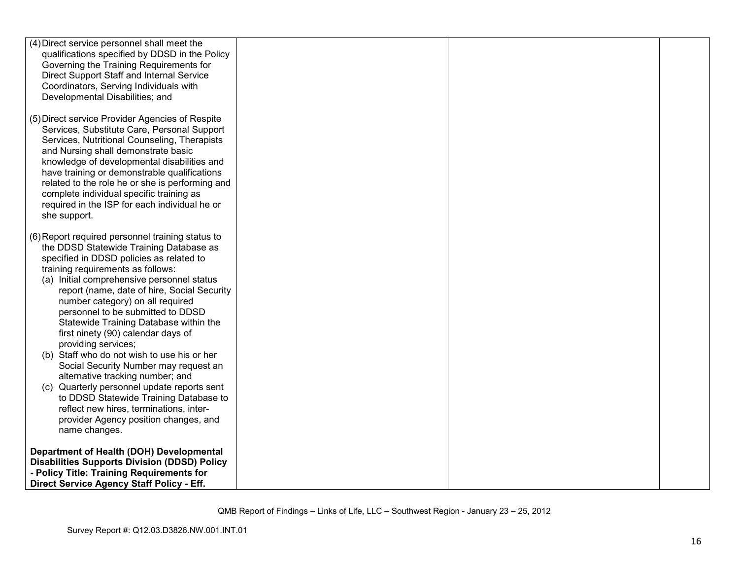| (4) Direct service personnel shall meet the<br>qualifications specified by DDSD in the Policy<br>Governing the Training Requirements for<br>Direct Support Staff and Internal Service<br>Coordinators, Serving Individuals with<br>Developmental Disabilities; and                                                                                                                                                                                                                                                                                |  |  |
|---------------------------------------------------------------------------------------------------------------------------------------------------------------------------------------------------------------------------------------------------------------------------------------------------------------------------------------------------------------------------------------------------------------------------------------------------------------------------------------------------------------------------------------------------|--|--|
| (5) Direct service Provider Agencies of Respite<br>Services, Substitute Care, Personal Support<br>Services, Nutritional Counseling, Therapists<br>and Nursing shall demonstrate basic<br>knowledge of developmental disabilities and<br>have training or demonstrable qualifications<br>related to the role he or she is performing and<br>complete individual specific training as<br>required in the ISP for each individual he or<br>she support.                                                                                              |  |  |
| (6) Report required personnel training status to<br>the DDSD Statewide Training Database as<br>specified in DDSD policies as related to<br>training requirements as follows:<br>(a) Initial comprehensive personnel status<br>report (name, date of hire, Social Security<br>number category) on all required<br>personnel to be submitted to DDSD<br>Statewide Training Database within the<br>first ninety (90) calendar days of<br>providing services;<br>(b) Staff who do not wish to use his or her<br>Social Security Number may request an |  |  |
| alternative tracking number; and<br>(c) Quarterly personnel update reports sent<br>to DDSD Statewide Training Database to<br>reflect new hires, terminations, inter-<br>provider Agency position changes, and<br>name changes.                                                                                                                                                                                                                                                                                                                    |  |  |
| Department of Health (DOH) Developmental<br><b>Disabilities Supports Division (DDSD) Policy</b><br>- Policy Title: Training Requirements for<br>Direct Service Agency Staff Policy - Eff.                                                                                                                                                                                                                                                                                                                                                         |  |  |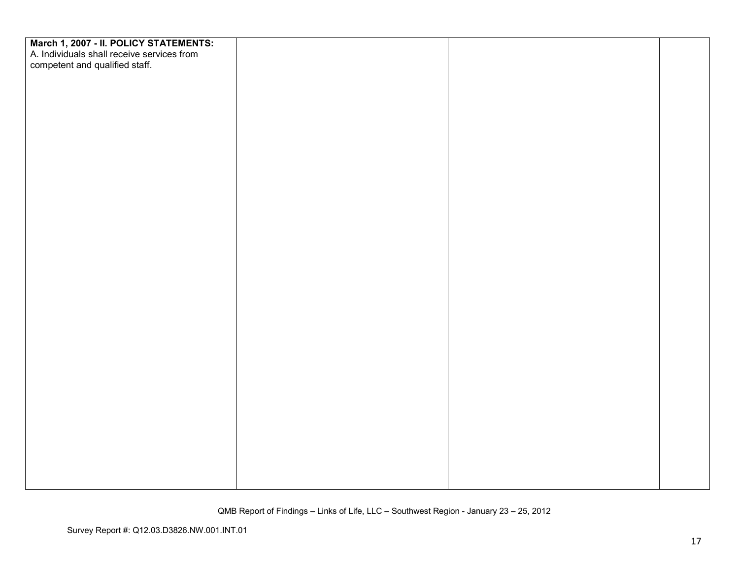| March 1, 2007 - II. POLICY STATEMENTS:<br>A. Individuals shall receive services from<br>competent and qualified staff. |  |  |
|------------------------------------------------------------------------------------------------------------------------|--|--|
|                                                                                                                        |  |  |
|                                                                                                                        |  |  |
|                                                                                                                        |  |  |
|                                                                                                                        |  |  |
|                                                                                                                        |  |  |
|                                                                                                                        |  |  |
|                                                                                                                        |  |  |
|                                                                                                                        |  |  |
|                                                                                                                        |  |  |
|                                                                                                                        |  |  |
|                                                                                                                        |  |  |
|                                                                                                                        |  |  |
|                                                                                                                        |  |  |
|                                                                                                                        |  |  |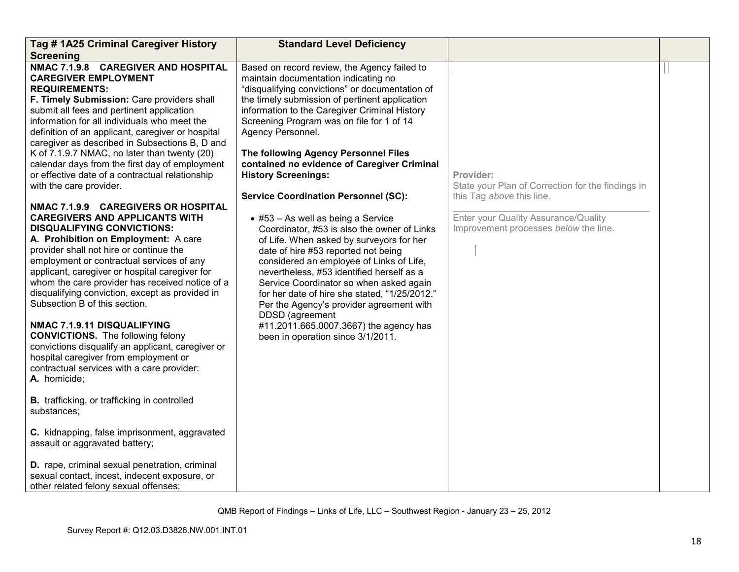| Tag # 1A25 Criminal Caregiver History                                                                                                                                                                                                                                                                                                                                                                                                                                                                                                                                                                                                                                                                                                                                                                                                                                                                                                                                                                                                                                                                                                                                                                                                                                                                                                                                                                                                                                                                                  | <b>Standard Level Deficiency</b>                                                                                                                                                                                                                                                                                                                                                                                                                                                                                                                                                                                                                                                                                                                                                                                                                                                                                                                                                                    |                                                                                                                                                                              |  |
|------------------------------------------------------------------------------------------------------------------------------------------------------------------------------------------------------------------------------------------------------------------------------------------------------------------------------------------------------------------------------------------------------------------------------------------------------------------------------------------------------------------------------------------------------------------------------------------------------------------------------------------------------------------------------------------------------------------------------------------------------------------------------------------------------------------------------------------------------------------------------------------------------------------------------------------------------------------------------------------------------------------------------------------------------------------------------------------------------------------------------------------------------------------------------------------------------------------------------------------------------------------------------------------------------------------------------------------------------------------------------------------------------------------------------------------------------------------------------------------------------------------------|-----------------------------------------------------------------------------------------------------------------------------------------------------------------------------------------------------------------------------------------------------------------------------------------------------------------------------------------------------------------------------------------------------------------------------------------------------------------------------------------------------------------------------------------------------------------------------------------------------------------------------------------------------------------------------------------------------------------------------------------------------------------------------------------------------------------------------------------------------------------------------------------------------------------------------------------------------------------------------------------------------|------------------------------------------------------------------------------------------------------------------------------------------------------------------------------|--|
| <b>Screening</b>                                                                                                                                                                                                                                                                                                                                                                                                                                                                                                                                                                                                                                                                                                                                                                                                                                                                                                                                                                                                                                                                                                                                                                                                                                                                                                                                                                                                                                                                                                       |                                                                                                                                                                                                                                                                                                                                                                                                                                                                                                                                                                                                                                                                                                                                                                                                                                                                                                                                                                                                     |                                                                                                                                                                              |  |
| NMAC 7.1.9.8 CAREGIVER AND HOSPITAL<br><b>CAREGIVER EMPLOYMENT</b><br><b>REQUIREMENTS:</b><br>F. Timely Submission: Care providers shall<br>submit all fees and pertinent application<br>information for all individuals who meet the<br>definition of an applicant, caregiver or hospital<br>caregiver as described in Subsections B, D and<br>K of 7.1.9.7 NMAC, no later than twenty (20)<br>calendar days from the first day of employment<br>or effective date of a contractual relationship<br>with the care provider.<br>NMAC 7.1.9.9 CAREGIVERS OR HOSPITAL<br><b>CAREGIVERS AND APPLICANTS WITH</b><br><b>DISQUALIFYING CONVICTIONS:</b><br>A. Prohibition on Employment: A care<br>provider shall not hire or continue the<br>employment or contractual services of any<br>applicant, caregiver or hospital caregiver for<br>whom the care provider has received notice of a<br>disqualifying conviction, except as provided in<br>Subsection B of this section.<br>NMAC 7.1.9.11 DISQUALIFYING<br><b>CONVICTIONS.</b> The following felony<br>convictions disqualify an applicant, caregiver or<br>hospital caregiver from employment or<br>contractual services with a care provider:<br>A. homicide;<br><b>B.</b> trafficking, or trafficking in controlled<br>substances;<br>C. kidnapping, false imprisonment, aggravated<br>assault or aggravated battery;<br>D. rape, criminal sexual penetration, criminal<br>sexual contact, incest, indecent exposure, or<br>other related felony sexual offenses; | Based on record review, the Agency failed to<br>maintain documentation indicating no<br>"disqualifying convictions" or documentation of<br>the timely submission of pertinent application<br>information to the Caregiver Criminal History<br>Screening Program was on file for 1 of 14<br>Agency Personnel.<br>The following Agency Personnel Files<br>contained no evidence of Caregiver Criminal<br><b>History Screenings:</b><br><b>Service Coordination Personnel (SC):</b><br>$\bullet$ #53 - As well as being a Service<br>Coordinator, #53 is also the owner of Links<br>of Life. When asked by surveyors for her<br>date of hire #53 reported not being<br>considered an employee of Links of Life,<br>nevertheless, #53 identified herself as a<br>Service Coordinator so when asked again<br>for her date of hire she stated, "1/25/2012."<br>Per the Agency's provider agreement with<br>DDSD (agreement<br>#11.2011.665.0007.3667) the agency has<br>been in operation since 3/1/2011. | Provider:<br>State your Plan of Correction for the findings in<br>this Tag above this line.<br>Enter your Quality Assurance/Quality<br>Improvement processes below the line. |  |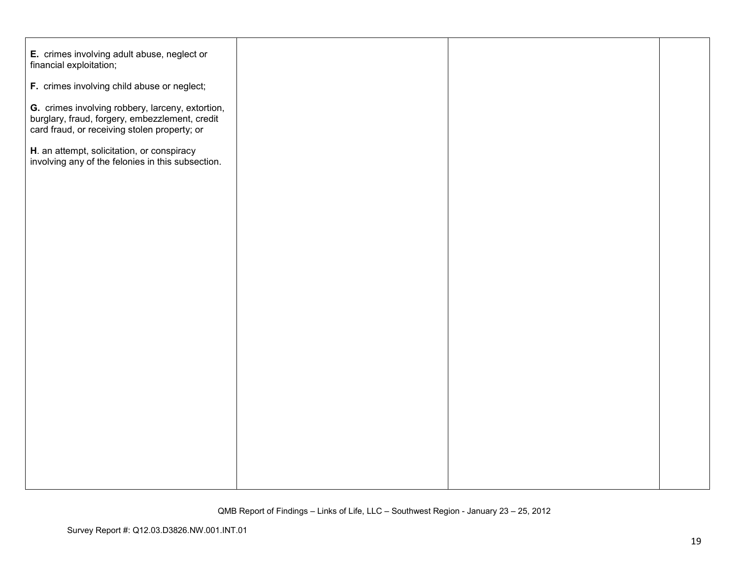| E. crimes involving adult abuse, neglect or<br>financial exploitation;                                                                             |  |  |
|----------------------------------------------------------------------------------------------------------------------------------------------------|--|--|
| F. crimes involving child abuse or neglect;                                                                                                        |  |  |
| G. crimes involving robbery, larceny, extortion,<br>burglary, fraud, forgery, embezzlement, credit<br>card fraud, or receiving stolen property; or |  |  |
| H. an attempt, solicitation, or conspiracy<br>involving any of the felonies in this subsection.                                                    |  |  |
|                                                                                                                                                    |  |  |
|                                                                                                                                                    |  |  |
|                                                                                                                                                    |  |  |
|                                                                                                                                                    |  |  |
|                                                                                                                                                    |  |  |
|                                                                                                                                                    |  |  |
|                                                                                                                                                    |  |  |
|                                                                                                                                                    |  |  |
|                                                                                                                                                    |  |  |
|                                                                                                                                                    |  |  |
|                                                                                                                                                    |  |  |
|                                                                                                                                                    |  |  |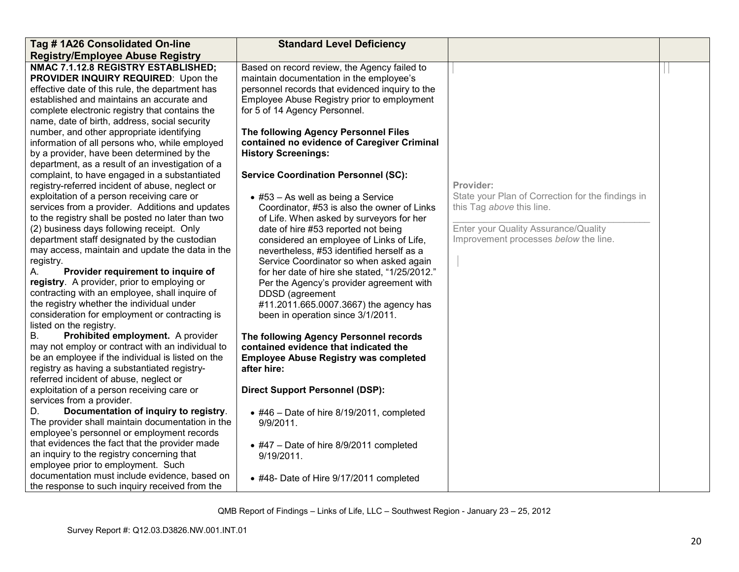| Tag #1A26 Consolidated On-line                                                                                                                                                                                                                                                                                                                                                                                                                                                                                                                                                                                                                                                                                                                                                                                                                                                                                                                                                                                                                                                                                                                                                                                                                                                                                                                                                                                                                                                                                                                                                                                                                                                                                                                         | <b>Standard Level Deficiency</b>                                                                                                                                                                                                                                                                                                                                                                                                                                                                                                                                                                                                                                                                                                                                                                                                                                                                                                                                                                                                                                                                                                                                                                                                                  |                                                                                                                                                                              |  |
|--------------------------------------------------------------------------------------------------------------------------------------------------------------------------------------------------------------------------------------------------------------------------------------------------------------------------------------------------------------------------------------------------------------------------------------------------------------------------------------------------------------------------------------------------------------------------------------------------------------------------------------------------------------------------------------------------------------------------------------------------------------------------------------------------------------------------------------------------------------------------------------------------------------------------------------------------------------------------------------------------------------------------------------------------------------------------------------------------------------------------------------------------------------------------------------------------------------------------------------------------------------------------------------------------------------------------------------------------------------------------------------------------------------------------------------------------------------------------------------------------------------------------------------------------------------------------------------------------------------------------------------------------------------------------------------------------------------------------------------------------------|---------------------------------------------------------------------------------------------------------------------------------------------------------------------------------------------------------------------------------------------------------------------------------------------------------------------------------------------------------------------------------------------------------------------------------------------------------------------------------------------------------------------------------------------------------------------------------------------------------------------------------------------------------------------------------------------------------------------------------------------------------------------------------------------------------------------------------------------------------------------------------------------------------------------------------------------------------------------------------------------------------------------------------------------------------------------------------------------------------------------------------------------------------------------------------------------------------------------------------------------------|------------------------------------------------------------------------------------------------------------------------------------------------------------------------------|--|
| <b>Registry/Employee Abuse Registry</b>                                                                                                                                                                                                                                                                                                                                                                                                                                                                                                                                                                                                                                                                                                                                                                                                                                                                                                                                                                                                                                                                                                                                                                                                                                                                                                                                                                                                                                                                                                                                                                                                                                                                                                                |                                                                                                                                                                                                                                                                                                                                                                                                                                                                                                                                                                                                                                                                                                                                                                                                                                                                                                                                                                                                                                                                                                                                                                                                                                                   |                                                                                                                                                                              |  |
| NMAC 7.1.12.8 REGISTRY ESTABLISHED;<br>PROVIDER INQUIRY REQUIRED: Upon the<br>effective date of this rule, the department has<br>established and maintains an accurate and<br>complete electronic registry that contains the<br>name, date of birth, address, social security<br>number, and other appropriate identifying<br>information of all persons who, while employed<br>by a provider, have been determined by the<br>department, as a result of an investigation of a<br>complaint, to have engaged in a substantiated<br>registry-referred incident of abuse, neglect or<br>exploitation of a person receiving care or<br>services from a provider. Additions and updates<br>to the registry shall be posted no later than two<br>(2) business days following receipt. Only<br>department staff designated by the custodian<br>may access, maintain and update the data in the<br>registry.<br>Provider requirement to inquire of<br>Α.<br>registry. A provider, prior to employing or<br>contracting with an employee, shall inquire of<br>the registry whether the individual under<br>consideration for employment or contracting is<br>listed on the registry.<br>Prohibited employment. A provider<br>В.<br>may not employ or contract with an individual to<br>be an employee if the individual is listed on the<br>registry as having a substantiated registry-<br>referred incident of abuse, neglect or<br>exploitation of a person receiving care or<br>services from a provider.<br>D.<br>Documentation of inquiry to registry.<br>The provider shall maintain documentation in the<br>employee's personnel or employment records<br>that evidences the fact that the provider made<br>an inquiry to the registry concerning that | Based on record review, the Agency failed to<br>maintain documentation in the employee's<br>personnel records that evidenced inquiry to the<br>Employee Abuse Registry prior to employment<br>for 5 of 14 Agency Personnel.<br>The following Agency Personnel Files<br>contained no evidence of Caregiver Criminal<br><b>History Screenings:</b><br><b>Service Coordination Personnel (SC):</b><br>$\bullet$ #53 - As well as being a Service<br>Coordinator, #53 is also the owner of Links<br>of Life. When asked by surveyors for her<br>date of hire #53 reported not being<br>considered an employee of Links of Life,<br>nevertheless, #53 identified herself as a<br>Service Coordinator so when asked again<br>for her date of hire she stated, "1/25/2012."<br>Per the Agency's provider agreement with<br>DDSD (agreement<br>#11.2011.665.0007.3667) the agency has<br>been in operation since 3/1/2011.<br>The following Agency Personnel records<br>contained evidence that indicated the<br><b>Employee Abuse Registry was completed</b><br>after hire:<br><b>Direct Support Personnel (DSP):</b><br>$\bullet$ #46 - Date of hire 8/19/2011, completed<br>9/9/2011.<br>$\bullet$ #47 - Date of hire 8/9/2011 completed<br>9/19/2011. | Provider:<br>State your Plan of Correction for the findings in<br>this Tag above this line.<br>Enter your Quality Assurance/Quality<br>Improvement processes below the line. |  |
| employee prior to employment. Such<br>documentation must include evidence, based on<br>the response to such inquiry received from the                                                                                                                                                                                                                                                                                                                                                                                                                                                                                                                                                                                                                                                                                                                                                                                                                                                                                                                                                                                                                                                                                                                                                                                                                                                                                                                                                                                                                                                                                                                                                                                                                  | • #48- Date of Hire 9/17/2011 completed                                                                                                                                                                                                                                                                                                                                                                                                                                                                                                                                                                                                                                                                                                                                                                                                                                                                                                                                                                                                                                                                                                                                                                                                           |                                                                                                                                                                              |  |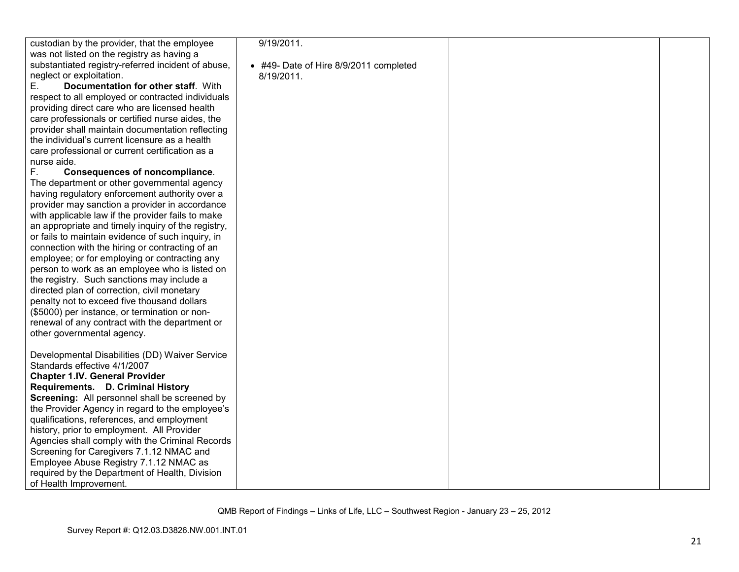| custodian by the provider, that the employee                                                  | 9/19/2011.                             |  |
|-----------------------------------------------------------------------------------------------|----------------------------------------|--|
| was not listed on the registry as having a                                                    |                                        |  |
| substantiated registry-referred incident of abuse,                                            | • #49- Date of Hire 8/9/2011 completed |  |
| neglect or exploitation.                                                                      | 8/19/2011.                             |  |
| Documentation for other staff. With<br>Е.                                                     |                                        |  |
| respect to all employed or contracted individuals                                             |                                        |  |
| providing direct care who are licensed health                                                 |                                        |  |
| care professionals or certified nurse aides, the                                              |                                        |  |
| provider shall maintain documentation reflecting                                              |                                        |  |
| the individual's current licensure as a health                                                |                                        |  |
| care professional or current certification as a                                               |                                        |  |
| nurse aide.                                                                                   |                                        |  |
| F.<br>Consequences of noncompliance.                                                          |                                        |  |
| The department or other governmental agency                                                   |                                        |  |
| having regulatory enforcement authority over a                                                |                                        |  |
| provider may sanction a provider in accordance                                                |                                        |  |
| with applicable law if the provider fails to make                                             |                                        |  |
| an appropriate and timely inquiry of the registry,                                            |                                        |  |
| or fails to maintain evidence of such inquiry, in                                             |                                        |  |
| connection with the hiring or contracting of an                                               |                                        |  |
| employee; or for employing or contracting any                                                 |                                        |  |
| person to work as an employee who is listed on                                                |                                        |  |
| the registry. Such sanctions may include a                                                    |                                        |  |
| directed plan of correction, civil monetary                                                   |                                        |  |
| penalty not to exceed five thousand dollars                                                   |                                        |  |
| (\$5000) per instance, or termination or non-                                                 |                                        |  |
| renewal of any contract with the department or                                                |                                        |  |
| other governmental agency.                                                                    |                                        |  |
|                                                                                               |                                        |  |
| Developmental Disabilities (DD) Waiver Service                                                |                                        |  |
| Standards effective 4/1/2007                                                                  |                                        |  |
| <b>Chapter 1.IV. General Provider</b>                                                         |                                        |  |
| Requirements. D. Criminal History<br>Screening: All personnel shall be screened by            |                                        |  |
|                                                                                               |                                        |  |
| the Provider Agency in regard to the employee's<br>qualifications, references, and employment |                                        |  |
| history, prior to employment. All Provider                                                    |                                        |  |
| Agencies shall comply with the Criminal Records                                               |                                        |  |
| Screening for Caregivers 7.1.12 NMAC and                                                      |                                        |  |
| Employee Abuse Registry 7.1.12 NMAC as                                                        |                                        |  |
| required by the Department of Health, Division                                                |                                        |  |
| of Health Improvement.                                                                        |                                        |  |
|                                                                                               |                                        |  |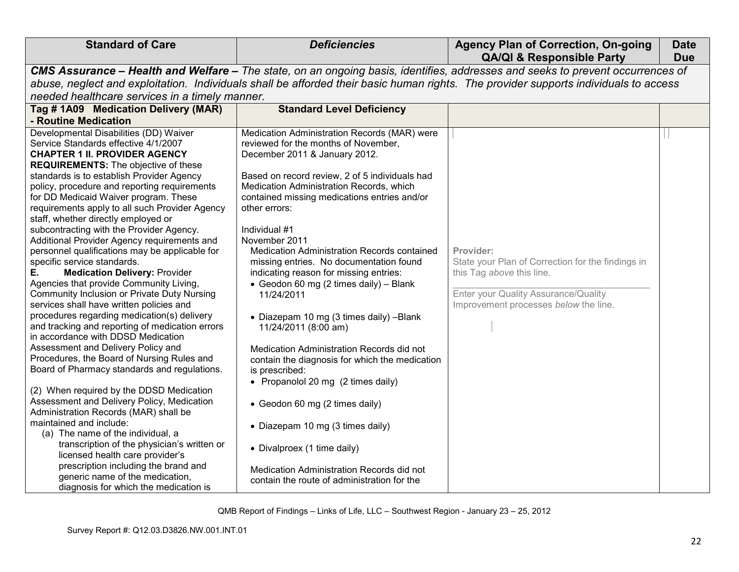| CMS Assurance - Health and Welfare - The state, on an ongoing basis, identifies, addresses and seeks to prevent occurrences of<br>abuse, neglect and exploitation. Individuals shall be afforded their basic human rights. The provider supports individuals to access<br>needed healthcare services in a timely manner.<br>Tag #1A09 Medication Delivery (MAR)<br><b>Standard Level Deficiency</b><br>- Routine Medication<br>Developmental Disabilities (DD) Waiver<br>Medication Administration Records (MAR) were<br>reviewed for the months of November,<br>Service Standards effective 4/1/2007<br>December 2011 & January 2012.<br><b>CHAPTER 1 II. PROVIDER AGENCY</b><br><b>REQUIREMENTS:</b> The objective of these<br>standards is to establish Provider Agency<br>Based on record review, 2 of 5 individuals had<br>Medication Administration Records, which<br>policy, procedure and reporting requirements<br>for DD Medicaid Waiver program. These<br>contained missing medications entries and/or<br>requirements apply to all such Provider Agency<br>other errors:<br>staff, whether directly employed or<br>subcontracting with the Provider Agency.<br>Individual #1<br>Additional Provider Agency requirements and<br>November 2011<br>personnel qualifications may be applicable for<br>Medication Administration Records contained<br>Provider:<br>specific service standards.<br>State your Plan of Correction for the findings in<br>missing entries. No documentation found<br>this Tag above this line.<br>Е.<br><b>Medication Delivery: Provider</b><br>indicating reason for missing entries:<br>Agencies that provide Community Living,<br>• Geodon 60 mg (2 times daily) - Blank<br>Enter your Quality Assurance/Quality<br>Community Inclusion or Private Duty Nursing<br>11/24/2011 | <b>Standard of Care</b>                  | <b>Deficiencies</b> | <b>Agency Plan of Correction, On-going</b><br><b>QA/QI &amp; Responsible Party</b> | <b>Date</b><br><b>Due</b> |
|----------------------------------------------------------------------------------------------------------------------------------------------------------------------------------------------------------------------------------------------------------------------------------------------------------------------------------------------------------------------------------------------------------------------------------------------------------------------------------------------------------------------------------------------------------------------------------------------------------------------------------------------------------------------------------------------------------------------------------------------------------------------------------------------------------------------------------------------------------------------------------------------------------------------------------------------------------------------------------------------------------------------------------------------------------------------------------------------------------------------------------------------------------------------------------------------------------------------------------------------------------------------------------------------------------------------------------------------------------------------------------------------------------------------------------------------------------------------------------------------------------------------------------------------------------------------------------------------------------------------------------------------------------------------------------------------------------------------------------------------------------------------------------------------------------------------|------------------------------------------|---------------------|------------------------------------------------------------------------------------|---------------------------|
|                                                                                                                                                                                                                                                                                                                                                                                                                                                                                                                                                                                                                                                                                                                                                                                                                                                                                                                                                                                                                                                                                                                                                                                                                                                                                                                                                                                                                                                                                                                                                                                                                                                                                                                                                                                                                      |                                          |                     |                                                                                    |                           |
|                                                                                                                                                                                                                                                                                                                                                                                                                                                                                                                                                                                                                                                                                                                                                                                                                                                                                                                                                                                                                                                                                                                                                                                                                                                                                                                                                                                                                                                                                                                                                                                                                                                                                                                                                                                                                      |                                          |                     |                                                                                    |                           |
|                                                                                                                                                                                                                                                                                                                                                                                                                                                                                                                                                                                                                                                                                                                                                                                                                                                                                                                                                                                                                                                                                                                                                                                                                                                                                                                                                                                                                                                                                                                                                                                                                                                                                                                                                                                                                      |                                          |                     |                                                                                    |                           |
|                                                                                                                                                                                                                                                                                                                                                                                                                                                                                                                                                                                                                                                                                                                                                                                                                                                                                                                                                                                                                                                                                                                                                                                                                                                                                                                                                                                                                                                                                                                                                                                                                                                                                                                                                                                                                      |                                          |                     |                                                                                    |                           |
|                                                                                                                                                                                                                                                                                                                                                                                                                                                                                                                                                                                                                                                                                                                                                                                                                                                                                                                                                                                                                                                                                                                                                                                                                                                                                                                                                                                                                                                                                                                                                                                                                                                                                                                                                                                                                      |                                          |                     |                                                                                    |                           |
| procedures regarding medication(s) delivery<br>• Diazepam 10 mg (3 times daily) -Blank<br>and tracking and reporting of medication errors<br>11/24/2011 (8:00 am)<br>in accordance with DDSD Medication<br>Assessment and Delivery Policy and<br>Medication Administration Records did not<br>Procedures, the Board of Nursing Rules and<br>contain the diagnosis for which the medication<br>Board of Pharmacy standards and regulations.<br>is prescribed:<br>• Propanolol 20 mg (2 times daily)<br>(2) When required by the DDSD Medication<br>Assessment and Delivery Policy, Medication<br>• Geodon 60 mg (2 times daily)<br>Administration Records (MAR) shall be<br>maintained and include:<br>• Diazepam 10 mg (3 times daily)<br>(a) The name of the individual, a<br>transcription of the physician's written or<br>• Divalproex (1 time daily)<br>licensed health care provider's<br>prescription including the brand and<br>Medication Administration Records did not<br>generic name of the medication,<br>contain the route of administration for the<br>diagnosis for which the medication is                                                                                                                                                                                                                                                                                                                                                                                                                                                                                                                                                                                                                                                                                                         | services shall have written policies and |                     | Improvement processes below the line.                                              |                           |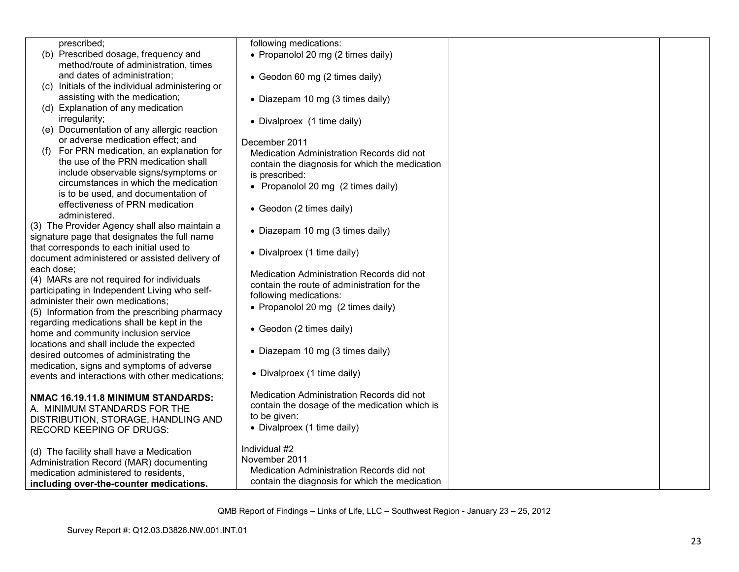| prescribed;                                                                                   | following medications:                         |  |
|-----------------------------------------------------------------------------------------------|------------------------------------------------|--|
| (b) Prescribed dosage, frequency and                                                          | • Propanolol 20 mg (2 times daily)             |  |
| method/route of administration, times                                                         |                                                |  |
| and dates of administration;                                                                  | • Geodon 60 mg (2 times daily)                 |  |
| (c) Initials of the individual administering or                                               |                                                |  |
| assisting with the medication;                                                                | • Diazepam 10 mg (3 times daily)               |  |
| (d) Explanation of any medication                                                             |                                                |  |
| irregularity;                                                                                 | • Divalproex (1 time daily)                    |  |
| (e) Documentation of any allergic reaction                                                    |                                                |  |
| or adverse medication effect; and                                                             | December 2011                                  |  |
| For PRN medication, an explanation for<br>(f)                                                 | Medication Administration Records did not      |  |
| the use of the PRN medication shall                                                           |                                                |  |
| include observable signs/symptoms or                                                          | contain the diagnosis for which the medication |  |
| circumstances in which the medication                                                         | is prescribed:                                 |  |
| is to be used, and documentation of                                                           | • Propanolol 20 mg (2 times daily)             |  |
| effectiveness of PRN medication                                                               |                                                |  |
| administered.                                                                                 | • Geodon (2 times daily)                       |  |
|                                                                                               |                                                |  |
| (3) The Provider Agency shall also maintain a<br>signature page that designates the full name | • Diazepam 10 mg (3 times daily)               |  |
|                                                                                               |                                                |  |
| that corresponds to each initial used to                                                      | • Divalproex (1 time daily)                    |  |
| document administered or assisted delivery of                                                 |                                                |  |
| each dose;                                                                                    | Medication Administration Records did not      |  |
| (4) MARs are not required for individuals                                                     | contain the route of administration for the    |  |
| participating in Independent Living who self-                                                 | following medications:                         |  |
| administer their own medications;                                                             | • Propanolol 20 mg (2 times daily)             |  |
| (5) Information from the prescribing pharmacy                                                 |                                                |  |
| regarding medications shall be kept in the                                                    | • Geodon (2 times daily)                       |  |
| home and community inclusion service                                                          |                                                |  |
| locations and shall include the expected                                                      | • Diazepam 10 mg (3 times daily)               |  |
| desired outcomes of administrating the                                                        |                                                |  |
| medication, signs and symptoms of adverse                                                     |                                                |  |
| events and interactions with other medications:                                               | • Divalproex (1 time daily)                    |  |
|                                                                                               | Medication Administration Records did not      |  |
| NMAC 16.19.11.8 MINIMUM STANDARDS:                                                            |                                                |  |
| A. MINIMUM STANDARDS FOR THE                                                                  | contain the dosage of the medication which is  |  |
| DISTRIBUTION, STORAGE, HANDLING AND                                                           | to be given:                                   |  |
| <b>RECORD KEEPING OF DRUGS:</b>                                                               | • Divalproex (1 time daily)                    |  |
|                                                                                               |                                                |  |
| (d) The facility shall have a Medication                                                      | Individual #2                                  |  |
| Administration Record (MAR) documenting                                                       | November 2011                                  |  |
| medication administered to residents.                                                         | Medication Administration Records did not      |  |
| including over-the-counter medications.                                                       | contain the diagnosis for which the medication |  |
|                                                                                               |                                                |  |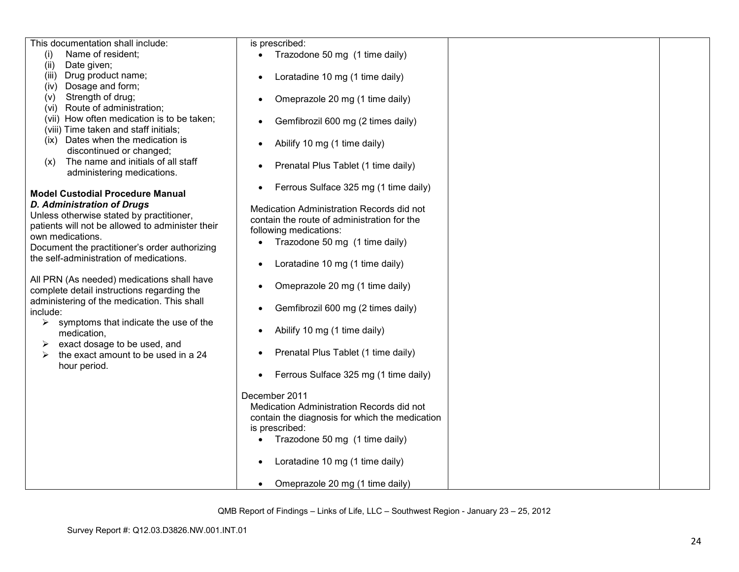| This documentation shall include:                                        | is prescribed:                                 |
|--------------------------------------------------------------------------|------------------------------------------------|
| (i)<br>Name of resident;                                                 | Trazodone 50 mg (1 time daily)                 |
| Date given;<br>(ii)                                                      |                                                |
| Drug product name;<br>(iii)                                              | Loratadine 10 mg (1 time daily)<br>$\bullet$   |
| Dosage and form;<br>(iv)                                                 |                                                |
| Strength of drug;<br>(V)                                                 | Omeprazole 20 mg (1 time daily)                |
| (vi) Route of administration;                                            |                                                |
| (vii) How often medication is to be taken;                               | Gemfibrozil 600 mg (2 times daily)             |
| (viii) Time taken and staff initials;                                    |                                                |
| (ix) Dates when the medication is                                        | Abilify 10 mg (1 time daily)                   |
| discontinued or changed;                                                 |                                                |
| The name and initials of all staff<br>(x)                                | Prenatal Plus Tablet (1 time daily)            |
| administering medications.                                               |                                                |
|                                                                          | Ferrous Sulface 325 mg (1 time daily)          |
| <b>Model Custodial Procedure Manual</b>                                  |                                                |
| <b>D. Administration of Drugs</b>                                        | Medication Administration Records did not      |
| Unless otherwise stated by practitioner,                                 | contain the route of administration for the    |
| patients will not be allowed to administer their                         | following medications:                         |
| own medications.                                                         | Trazodone 50 mg (1 time daily)                 |
| Document the practitioner's order authorizing                            |                                                |
| the self-administration of medications.                                  | Loratadine 10 mg (1 time daily)                |
|                                                                          |                                                |
| All PRN (As needed) medications shall have                               | Omeprazole 20 mg (1 time daily)                |
| complete detail instructions regarding the                               |                                                |
| administering of the medication. This shall                              | Gemfibrozil 600 mg (2 times daily)             |
| include:                                                                 |                                                |
| symptoms that indicate the use of the<br>➤                               | Abilify 10 mg (1 time daily)                   |
| medication,                                                              |                                                |
| exact dosage to be used, and<br>➤<br>the exact amount to be used in a 24 | Prenatal Plus Tablet (1 time daily)            |
| ➤<br>hour period.                                                        |                                                |
|                                                                          | Ferrous Sulface 325 mg (1 time daily)          |
|                                                                          |                                                |
|                                                                          | December 2011                                  |
|                                                                          | Medication Administration Records did not      |
|                                                                          | contain the diagnosis for which the medication |
|                                                                          | is prescribed:                                 |
|                                                                          | Trazodone 50 mg (1 time daily)                 |
|                                                                          |                                                |
|                                                                          | Loratadine 10 mg (1 time daily)                |
|                                                                          |                                                |
|                                                                          | Omeprazole 20 mg (1 time daily)                |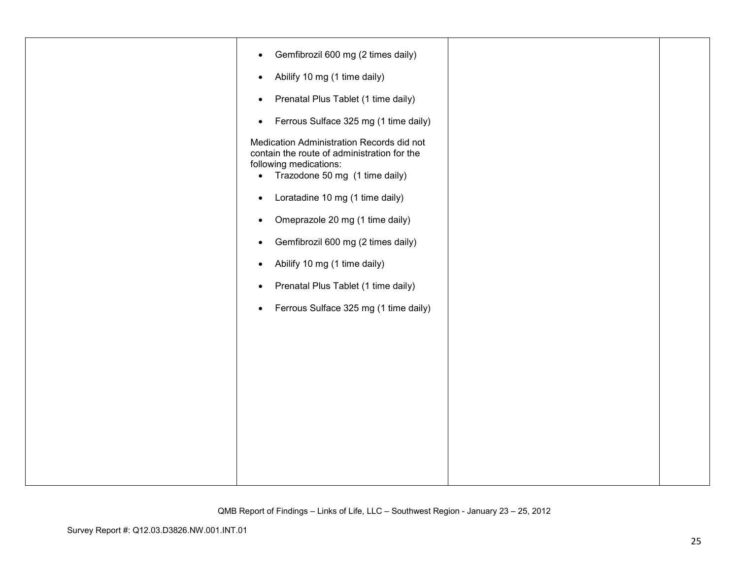| Gemfibrozil 600 mg (2 times daily)<br>$\bullet$                                                                                                                   |  |
|-------------------------------------------------------------------------------------------------------------------------------------------------------------------|--|
| Abilify 10 mg (1 time daily)<br>$\bullet$                                                                                                                         |  |
| Prenatal Plus Tablet (1 time daily)<br>$\bullet$                                                                                                                  |  |
| Ferrous Sulface 325 mg (1 time daily)<br>$\bullet$                                                                                                                |  |
| Medication Administration Records did not<br>contain the route of administration for the<br>following medications:<br>Trazodone 50 mg (1 time daily)<br>$\bullet$ |  |
| Loratadine 10 mg (1 time daily)<br>$\bullet$                                                                                                                      |  |
| Omeprazole 20 mg (1 time daily)<br>$\bullet$                                                                                                                      |  |
| Gemfibrozil 600 mg (2 times daily)<br>$\bullet$                                                                                                                   |  |
| Abilify 10 mg (1 time daily)<br>$\bullet$                                                                                                                         |  |
| Prenatal Plus Tablet (1 time daily)<br>$\bullet$                                                                                                                  |  |
| Ferrous Sulface 325 mg (1 time daily)<br>$\bullet$                                                                                                                |  |
|                                                                                                                                                                   |  |
|                                                                                                                                                                   |  |
|                                                                                                                                                                   |  |
|                                                                                                                                                                   |  |
|                                                                                                                                                                   |  |
|                                                                                                                                                                   |  |
|                                                                                                                                                                   |  |
|                                                                                                                                                                   |  |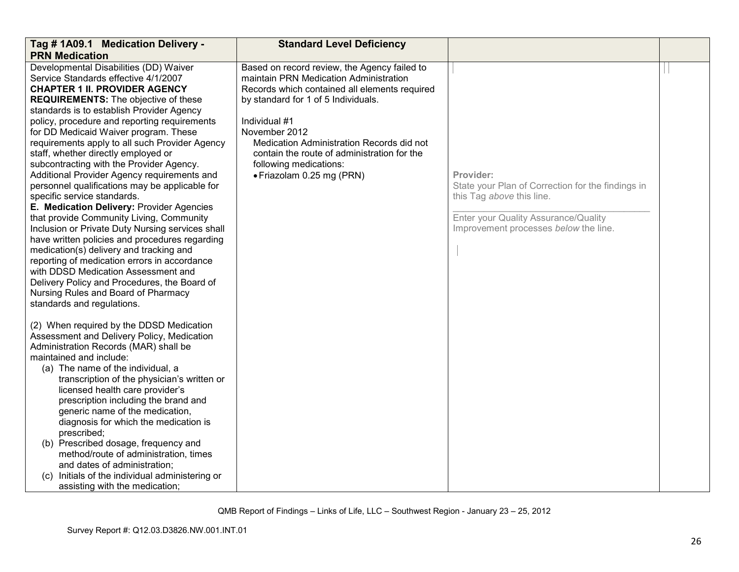| Tag #1A09.1 Medication Delivery -                                                                                                                                                                                                                                                                                                                                                                                                                                                                                                                                                                                                                                                                                                                                                                                                                                                                                                                                                                                                      | <b>Standard Level Deficiency</b>                                                                                                                                                                                                                                                                                                                                    |                                                                                                                                                                              |  |
|----------------------------------------------------------------------------------------------------------------------------------------------------------------------------------------------------------------------------------------------------------------------------------------------------------------------------------------------------------------------------------------------------------------------------------------------------------------------------------------------------------------------------------------------------------------------------------------------------------------------------------------------------------------------------------------------------------------------------------------------------------------------------------------------------------------------------------------------------------------------------------------------------------------------------------------------------------------------------------------------------------------------------------------|---------------------------------------------------------------------------------------------------------------------------------------------------------------------------------------------------------------------------------------------------------------------------------------------------------------------------------------------------------------------|------------------------------------------------------------------------------------------------------------------------------------------------------------------------------|--|
| <b>PRN Medication</b>                                                                                                                                                                                                                                                                                                                                                                                                                                                                                                                                                                                                                                                                                                                                                                                                                                                                                                                                                                                                                  |                                                                                                                                                                                                                                                                                                                                                                     |                                                                                                                                                                              |  |
| Developmental Disabilities (DD) Waiver<br>Service Standards effective 4/1/2007<br><b>CHAPTER 1 II. PROVIDER AGENCY</b><br><b>REQUIREMENTS:</b> The objective of these<br>standards is to establish Provider Agency<br>policy, procedure and reporting requirements<br>for DD Medicaid Waiver program. These<br>requirements apply to all such Provider Agency<br>staff, whether directly employed or<br>subcontracting with the Provider Agency.<br>Additional Provider Agency requirements and<br>personnel qualifications may be applicable for<br>specific service standards.<br>E. Medication Delivery: Provider Agencies<br>that provide Community Living, Community<br>Inclusion or Private Duty Nursing services shall<br>have written policies and procedures regarding<br>medication(s) delivery and tracking and<br>reporting of medication errors in accordance<br>with DDSD Medication Assessment and<br>Delivery Policy and Procedures, the Board of<br>Nursing Rules and Board of Pharmacy<br>standards and regulations. | Based on record review, the Agency failed to<br>maintain PRN Medication Administration<br>Records which contained all elements required<br>by standard for 1 of 5 Individuals.<br>Individual #1<br>November 2012<br>Medication Administration Records did not<br>contain the route of administration for the<br>following medications:<br>· Friazolam 0.25 mg (PRN) | Provider:<br>State your Plan of Correction for the findings in<br>this Tag above this line.<br>Enter your Quality Assurance/Quality<br>Improvement processes below the line. |  |
| (2) When required by the DDSD Medication<br>Assessment and Delivery Policy, Medication<br>Administration Records (MAR) shall be<br>maintained and include:<br>(a) The name of the individual, a<br>transcription of the physician's written or<br>licensed health care provider's<br>prescription including the brand and<br>generic name of the medication,<br>diagnosis for which the medication is<br>prescribed;<br>(b) Prescribed dosage, frequency and<br>method/route of administration, times<br>and dates of administration;<br>(c) Initials of the individual administering or<br>assisting with the medication;                                                                                                                                                                                                                                                                                                                                                                                                             |                                                                                                                                                                                                                                                                                                                                                                     |                                                                                                                                                                              |  |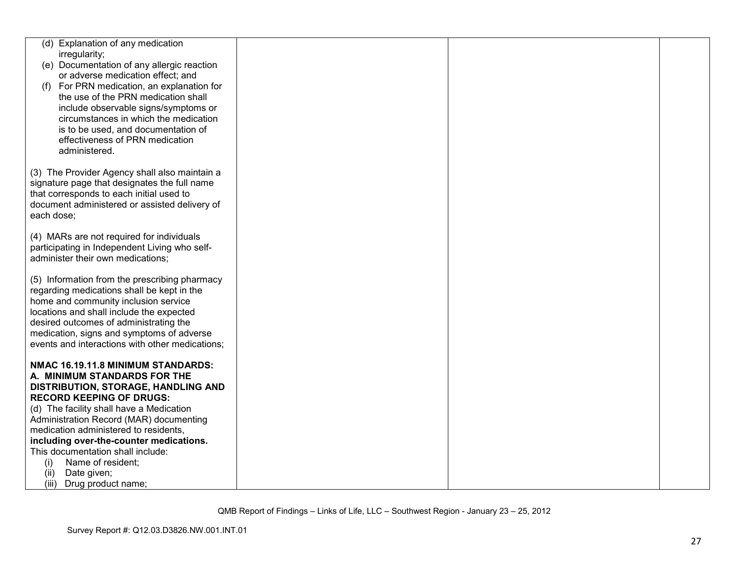| (d) Explanation of any medication                                  |  |  |
|--------------------------------------------------------------------|--|--|
| irregularity;                                                      |  |  |
| (e) Documentation of any allergic reaction                         |  |  |
| or adverse medication effect; and                                  |  |  |
| For PRN medication, an explanation for<br>(1)                      |  |  |
| the use of the PRN medication shall                                |  |  |
| include observable signs/symptoms or                               |  |  |
| circumstances in which the medication                              |  |  |
| is to be used, and documentation of                                |  |  |
| effectiveness of PRN medication                                    |  |  |
| administered.                                                      |  |  |
| (3) The Provider Agency shall also maintain a                      |  |  |
| signature page that designates the full name                       |  |  |
| that corresponds to each initial used to                           |  |  |
| document administered or assisted delivery of                      |  |  |
| each dose;                                                         |  |  |
|                                                                    |  |  |
| (4) MARs are not required for individuals                          |  |  |
| participating in Independent Living who self-                      |  |  |
| administer their own medications;                                  |  |  |
|                                                                    |  |  |
| (5) Information from the prescribing pharmacy                      |  |  |
| regarding medications shall be kept in the                         |  |  |
| home and community inclusion service                               |  |  |
| locations and shall include the expected                           |  |  |
| desired outcomes of administrating the                             |  |  |
| medication, signs and symptoms of adverse                          |  |  |
| events and interactions with other medications;                    |  |  |
|                                                                    |  |  |
| NMAC 16.19.11.8 MINIMUM STANDARDS:<br>A. MINIMUM STANDARDS FOR THE |  |  |
| DISTRIBUTION, STORAGE, HANDLING AND                                |  |  |
| <b>RECORD KEEPING OF DRUGS:</b>                                    |  |  |
| (d) The facility shall have a Medication                           |  |  |
| Administration Record (MAR) documenting                            |  |  |
| medication administered to residents,                              |  |  |
| including over-the-counter medications.                            |  |  |
| This documentation shall include:                                  |  |  |
| Name of resident;<br>(i)                                           |  |  |
| Date given;<br>(ii)                                                |  |  |
| (iii) Drug product name;                                           |  |  |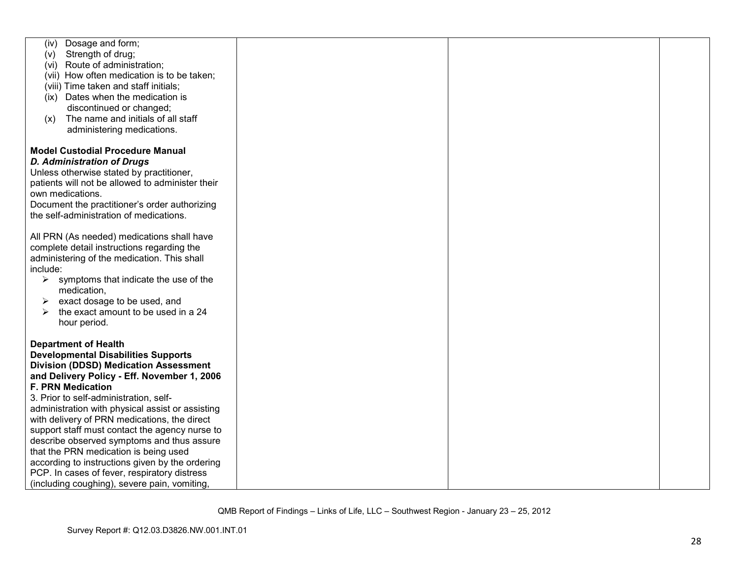| Dosage and form;<br>(iv)<br>Strength of drug;<br>(v) |  |  |
|------------------------------------------------------|--|--|
| (vi) Route of administration;                        |  |  |
| (vii) How often medication is to be taken;           |  |  |
| (viii) Time taken and staff initials;                |  |  |
|                                                      |  |  |
| (ix) Dates when the medication is                    |  |  |
| discontinued or changed;                             |  |  |
| The name and initials of all staff<br>(x)            |  |  |
| administering medications.                           |  |  |
| <b>Model Custodial Procedure Manual</b>              |  |  |
| <b>D. Administration of Drugs</b>                    |  |  |
| Unless otherwise stated by practitioner,             |  |  |
| patients will not be allowed to administer their     |  |  |
| own medications.                                     |  |  |
| Document the practitioner's order authorizing        |  |  |
| the self-administration of medications.              |  |  |
|                                                      |  |  |
| All PRN (As needed) medications shall have           |  |  |
| complete detail instructions regarding the           |  |  |
| administering of the medication. This shall          |  |  |
| include:                                             |  |  |
| ➤<br>symptoms that indicate the use of the           |  |  |
| medication,                                          |  |  |
| exact dosage to be used, and<br>➤                    |  |  |
| the exact amount to be used in a 24<br>➤             |  |  |
| hour period.                                         |  |  |
| <b>Department of Health</b>                          |  |  |
| <b>Developmental Disabilities Supports</b>           |  |  |
| <b>Division (DDSD) Medication Assessment</b>         |  |  |
| and Delivery Policy - Eff. November 1, 2006          |  |  |
| <b>F. PRN Medication</b>                             |  |  |
| 3. Prior to self-administration, self-               |  |  |
| administration with physical assist or assisting     |  |  |
| with delivery of PRN medications, the direct         |  |  |
| support staff must contact the agency nurse to       |  |  |
| describe observed symptoms and thus assure           |  |  |
| that the PRN medication is being used                |  |  |
| according to instructions given by the ordering      |  |  |
| PCP. In cases of fever, respiratory distress         |  |  |
| (including coughing), severe pain, vomiting,         |  |  |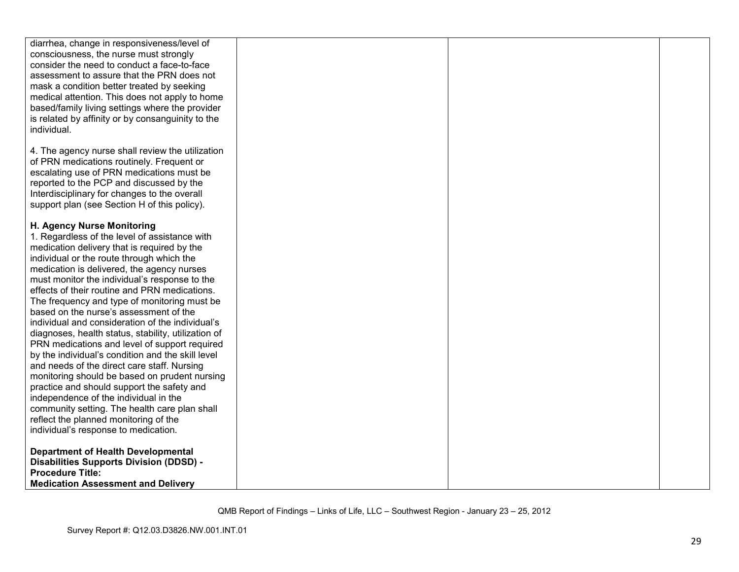| diarrhea, change in responsiveness/level of         |  |  |
|-----------------------------------------------------|--|--|
| consciousness, the nurse must strongly              |  |  |
| consider the need to conduct a face-to-face         |  |  |
| assessment to assure that the PRN does not          |  |  |
|                                                     |  |  |
| mask a condition better treated by seeking          |  |  |
| medical attention. This does not apply to home      |  |  |
| based/family living settings where the provider     |  |  |
| is related by affinity or by consanguinity to the   |  |  |
| individual.                                         |  |  |
|                                                     |  |  |
| 4. The agency nurse shall review the utilization    |  |  |
|                                                     |  |  |
| of PRN medications routinely. Frequent or           |  |  |
| escalating use of PRN medications must be           |  |  |
| reported to the PCP and discussed by the            |  |  |
| Interdisciplinary for changes to the overall        |  |  |
| support plan (see Section H of this policy).        |  |  |
|                                                     |  |  |
| H. Agency Nurse Monitoring                          |  |  |
| 1. Regardless of the level of assistance with       |  |  |
| medication delivery that is required by the         |  |  |
| individual or the route through which the           |  |  |
| medication is delivered, the agency nurses          |  |  |
| must monitor the individual's response to the       |  |  |
| effects of their routine and PRN medications.       |  |  |
| The frequency and type of monitoring must be        |  |  |
| based on the nurse's assessment of the              |  |  |
|                                                     |  |  |
| individual and consideration of the individual's    |  |  |
| diagnoses, health status, stability, utilization of |  |  |
| PRN medications and level of support required       |  |  |
| by the individual's condition and the skill level   |  |  |
| and needs of the direct care staff. Nursing         |  |  |
| monitoring should be based on prudent nursing       |  |  |
| practice and should support the safety and          |  |  |
| independence of the individual in the               |  |  |
| community setting. The health care plan shall       |  |  |
| reflect the planned monitoring of the               |  |  |
| individual's response to medication.                |  |  |
|                                                     |  |  |
| <b>Department of Health Developmental</b>           |  |  |
| <b>Disabilities Supports Division (DDSD) -</b>      |  |  |
| <b>Procedure Title:</b>                             |  |  |
| <b>Medication Assessment and Delivery</b>           |  |  |
|                                                     |  |  |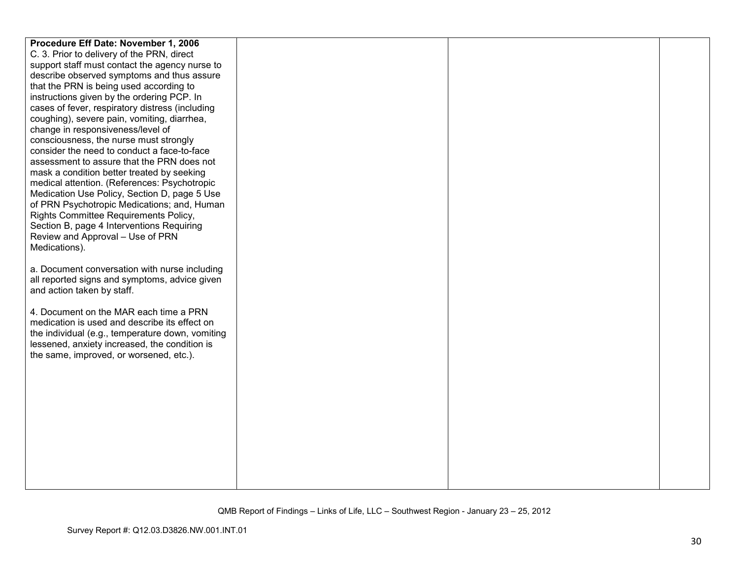| Procedure Eff Date: November 1, 2006              |  |  |
|---------------------------------------------------|--|--|
| C. 3. Prior to delivery of the PRN, direct        |  |  |
| support staff must contact the agency nurse to    |  |  |
| describe observed symptoms and thus assure        |  |  |
| that the PRN is being used according to           |  |  |
| instructions given by the ordering PCP. In        |  |  |
| cases of fever, respiratory distress (including   |  |  |
| coughing), severe pain, vomiting, diarrhea,       |  |  |
| change in responsiveness/level of                 |  |  |
| consciousness, the nurse must strongly            |  |  |
| consider the need to conduct a face-to-face       |  |  |
| assessment to assure that the PRN does not        |  |  |
| mask a condition better treated by seeking        |  |  |
| medical attention. (References: Psychotropic      |  |  |
| Medication Use Policy, Section D, page 5 Use      |  |  |
| of PRN Psychotropic Medications; and, Human       |  |  |
| Rights Committee Requirements Policy,             |  |  |
| Section B, page 4 Interventions Requiring         |  |  |
| Review and Approval - Use of PRN<br>Medications). |  |  |
|                                                   |  |  |
| a. Document conversation with nurse including     |  |  |
| all reported signs and symptoms, advice given     |  |  |
| and action taken by staff.                        |  |  |
|                                                   |  |  |
| 4. Document on the MAR each time a PRN            |  |  |
| medication is used and describe its effect on     |  |  |
| the individual (e.g., temperature down, vomiting  |  |  |
| lessened, anxiety increased, the condition is     |  |  |
| the same, improved, or worsened, etc.).           |  |  |
|                                                   |  |  |
|                                                   |  |  |
|                                                   |  |  |
|                                                   |  |  |
|                                                   |  |  |
|                                                   |  |  |
|                                                   |  |  |
|                                                   |  |  |
|                                                   |  |  |
|                                                   |  |  |
|                                                   |  |  |
|                                                   |  |  |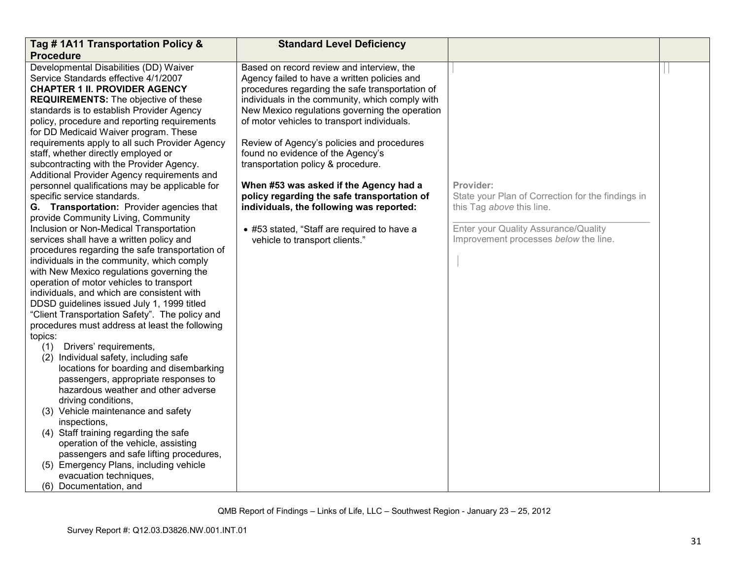| Tag #1A11 Transportation Policy &                                                     | <b>Standard Level Deficiency</b>                |                                                   |  |
|---------------------------------------------------------------------------------------|-------------------------------------------------|---------------------------------------------------|--|
| <b>Procedure</b>                                                                      |                                                 |                                                   |  |
| Developmental Disabilities (DD) Waiver                                                | Based on record review and interview, the       |                                                   |  |
| Service Standards effective 4/1/2007                                                  | Agency failed to have a written policies and    |                                                   |  |
| <b>CHAPTER 1 II. PROVIDER AGENCY</b>                                                  | procedures regarding the safe transportation of |                                                   |  |
| <b>REQUIREMENTS:</b> The objective of these                                           | individuals in the community, which comply with |                                                   |  |
| standards is to establish Provider Agency                                             | New Mexico regulations governing the operation  |                                                   |  |
| policy, procedure and reporting requirements<br>for DD Medicaid Waiver program. These | of motor vehicles to transport individuals.     |                                                   |  |
| requirements apply to all such Provider Agency                                        | Review of Agency's policies and procedures      |                                                   |  |
| staff, whether directly employed or                                                   | found no evidence of the Agency's               |                                                   |  |
| subcontracting with the Provider Agency.                                              | transportation policy & procedure.              |                                                   |  |
| Additional Provider Agency requirements and                                           |                                                 |                                                   |  |
| personnel qualifications may be applicable for                                        | When #53 was asked if the Agency had a          | Provider:                                         |  |
| specific service standards.                                                           | policy regarding the safe transportation of     | State your Plan of Correction for the findings in |  |
| G. Transportation: Provider agencies that                                             | individuals, the following was reported:        | this Tag above this line.                         |  |
| provide Community Living, Community                                                   |                                                 |                                                   |  |
| Inclusion or Non-Medical Transportation                                               | • #53 stated, "Staff are required to have a     | Enter your Quality Assurance/Quality              |  |
| services shall have a written policy and                                              | vehicle to transport clients."                  | Improvement processes below the line.             |  |
| procedures regarding the safe transportation of                                       |                                                 |                                                   |  |
| individuals in the community, which comply                                            |                                                 |                                                   |  |
| with New Mexico regulations governing the                                             |                                                 |                                                   |  |
| operation of motor vehicles to transport                                              |                                                 |                                                   |  |
| individuals, and which are consistent with                                            |                                                 |                                                   |  |
| DDSD guidelines issued July 1, 1999 titled                                            |                                                 |                                                   |  |
| "Client Transportation Safety". The policy and                                        |                                                 |                                                   |  |
| procedures must address at least the following                                        |                                                 |                                                   |  |
| topics:                                                                               |                                                 |                                                   |  |
| (1) Drivers' requirements,                                                            |                                                 |                                                   |  |
| (2) Individual safety, including safe                                                 |                                                 |                                                   |  |
| locations for boarding and disembarking                                               |                                                 |                                                   |  |
| passengers, appropriate responses to                                                  |                                                 |                                                   |  |
| hazardous weather and other adverse                                                   |                                                 |                                                   |  |
| driving conditions,                                                                   |                                                 |                                                   |  |
| (3) Vehicle maintenance and safety                                                    |                                                 |                                                   |  |
| inspections,                                                                          |                                                 |                                                   |  |
| (4) Staff training regarding the safe                                                 |                                                 |                                                   |  |
| operation of the vehicle, assisting                                                   |                                                 |                                                   |  |
| passengers and safe lifting procedures,                                               |                                                 |                                                   |  |
| (5) Emergency Plans, including vehicle                                                |                                                 |                                                   |  |
| evacuation techniques,                                                                |                                                 |                                                   |  |
| (6) Documentation, and                                                                |                                                 |                                                   |  |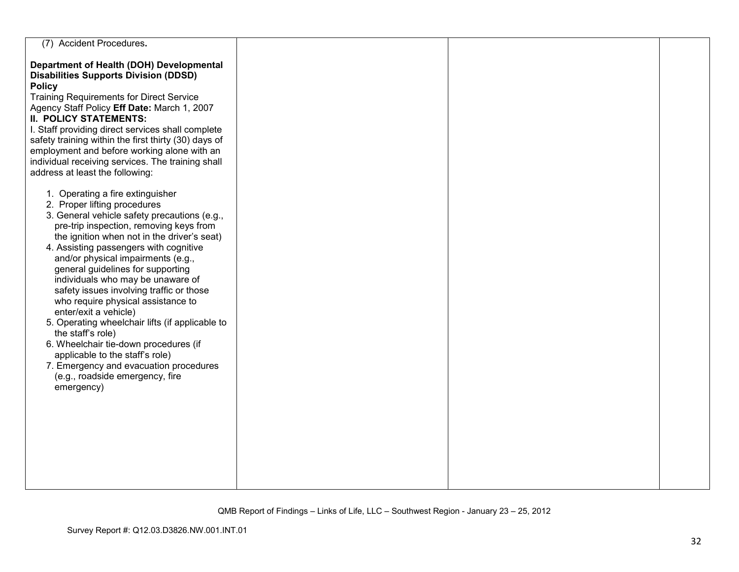| (7) Accident Procedures.                                                                                                                                                                                                                                                                                                                                                                                                                                                                                                                                                                                                                                                                                                       |  |  |
|--------------------------------------------------------------------------------------------------------------------------------------------------------------------------------------------------------------------------------------------------------------------------------------------------------------------------------------------------------------------------------------------------------------------------------------------------------------------------------------------------------------------------------------------------------------------------------------------------------------------------------------------------------------------------------------------------------------------------------|--|--|
| Department of Health (DOH) Developmental<br><b>Disabilities Supports Division (DDSD)</b><br><b>Policy</b><br><b>Training Requirements for Direct Service</b><br>Agency Staff Policy Eff Date: March 1, 2007<br><b>II. POLICY STATEMENTS:</b><br>I. Staff providing direct services shall complete<br>safety training within the first thirty (30) days of<br>employment and before working alone with an<br>individual receiving services. The training shall<br>address at least the following:                                                                                                                                                                                                                               |  |  |
| 1. Operating a fire extinguisher<br>2. Proper lifting procedures<br>3. General vehicle safety precautions (e.g.,<br>pre-trip inspection, removing keys from<br>the ignition when not in the driver's seat)<br>4. Assisting passengers with cognitive<br>and/or physical impairments (e.g.,<br>general guidelines for supporting<br>individuals who may be unaware of<br>safety issues involving traffic or those<br>who require physical assistance to<br>enter/exit a vehicle)<br>5. Operating wheelchair lifts (if applicable to<br>the staff's role)<br>6. Wheelchair tie-down procedures (if<br>applicable to the staff's role)<br>7. Emergency and evacuation procedures<br>(e.g., roadside emergency, fire<br>emergency) |  |  |
|                                                                                                                                                                                                                                                                                                                                                                                                                                                                                                                                                                                                                                                                                                                                |  |  |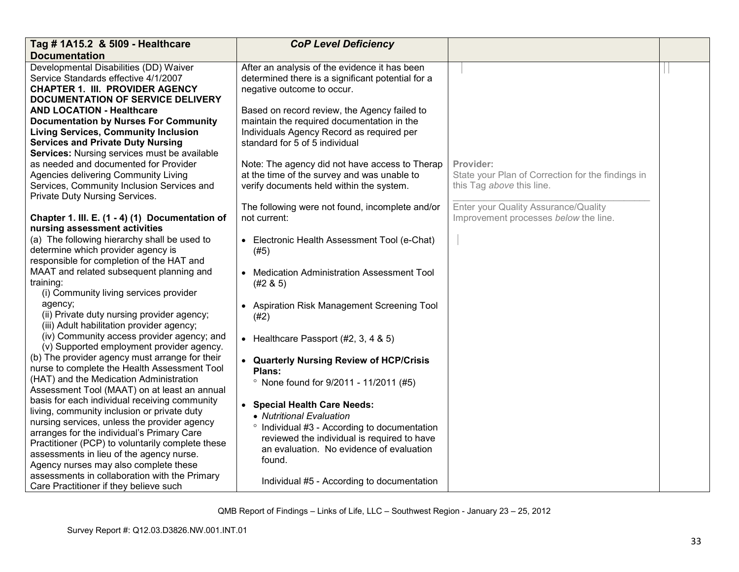| Tag # 1A15.2 & 5109 - Healthcare                                                               | <b>CoP Level Deficiency</b>                       |                                                   |  |
|------------------------------------------------------------------------------------------------|---------------------------------------------------|---------------------------------------------------|--|
| <b>Documentation</b>                                                                           |                                                   |                                                   |  |
| Developmental Disabilities (DD) Waiver                                                         | After an analysis of the evidence it has been     |                                                   |  |
| Service Standards effective 4/1/2007                                                           | determined there is a significant potential for a |                                                   |  |
| <b>CHAPTER 1. III. PROVIDER AGENCY</b>                                                         | negative outcome to occur.                        |                                                   |  |
| DOCUMENTATION OF SERVICE DELIVERY                                                              |                                                   |                                                   |  |
| <b>AND LOCATION - Healthcare</b>                                                               | Based on record review, the Agency failed to      |                                                   |  |
| <b>Documentation by Nurses For Community</b>                                                   | maintain the required documentation in the        |                                                   |  |
| <b>Living Services, Community Inclusion</b>                                                    | Individuals Agency Record as required per         |                                                   |  |
| <b>Services and Private Duty Nursing</b>                                                       | standard for 5 of 5 individual                    |                                                   |  |
| Services: Nursing services must be available                                                   |                                                   |                                                   |  |
| as needed and documented for Provider                                                          | Note: The agency did not have access to Therap    | Provider:                                         |  |
| Agencies delivering Community Living                                                           | at the time of the survey and was unable to       | State your Plan of Correction for the findings in |  |
| Services, Community Inclusion Services and                                                     | verify documents held within the system.          | this Tag above this line.                         |  |
| Private Duty Nursing Services.                                                                 |                                                   |                                                   |  |
|                                                                                                | The following were not found, incomplete and/or   | Enter your Quality Assurance/Quality              |  |
| Chapter 1. III. E. (1 - 4) (1) Documentation of                                                | not current:                                      | Improvement processes below the line.             |  |
| nursing assessment activities                                                                  |                                                   |                                                   |  |
| (a) The following hierarchy shall be used to                                                   | • Electronic Health Assessment Tool (e-Chat)      |                                                   |  |
| determine which provider agency is                                                             | (#5)                                              |                                                   |  |
| responsible for completion of the HAT and                                                      |                                                   |                                                   |  |
| MAAT and related subsequent planning and                                                       | • Medication Administration Assessment Tool       |                                                   |  |
| training:                                                                                      | (#2 & 5)                                          |                                                   |  |
| (i) Community living services provider                                                         |                                                   |                                                   |  |
| agency;                                                                                        | • Aspiration Risk Management Screening Tool       |                                                   |  |
| (ii) Private duty nursing provider agency;                                                     | (#2)                                              |                                                   |  |
| (iii) Adult habilitation provider agency;                                                      |                                                   |                                                   |  |
| (iv) Community access provider agency; and                                                     | • Healthcare Passport $(#2, 3, 4, 8, 5)$          |                                                   |  |
| (v) Supported employment provider agency.                                                      |                                                   |                                                   |  |
| (b) The provider agency must arrange for their<br>nurse to complete the Health Assessment Tool | • Quarterly Nursing Review of HCP/Crisis          |                                                   |  |
| (HAT) and the Medication Administration                                                        | Plans:                                            |                                                   |  |
| Assessment Tool (MAAT) on at least an annual                                                   | <sup>o</sup> None found for 9/2011 - 11/2011 (#5) |                                                   |  |
| basis for each individual receiving community                                                  |                                                   |                                                   |  |
| living, community inclusion or private duty                                                    | • Special Health Care Needs:                      |                                                   |  |
| nursing services, unless the provider agency                                                   | • Nutritional Evaluation                          |                                                   |  |
| arranges for the individual's Primary Care                                                     | ° Individual #3 - According to documentation      |                                                   |  |
| Practitioner (PCP) to voluntarily complete these                                               | reviewed the individual is required to have       |                                                   |  |
| assessments in lieu of the agency nurse.                                                       | an evaluation. No evidence of evaluation          |                                                   |  |
| Agency nurses may also complete these                                                          | found.                                            |                                                   |  |
| assessments in collaboration with the Primary                                                  |                                                   |                                                   |  |
| Care Practitioner if they believe such                                                         | Individual #5 - According to documentation        |                                                   |  |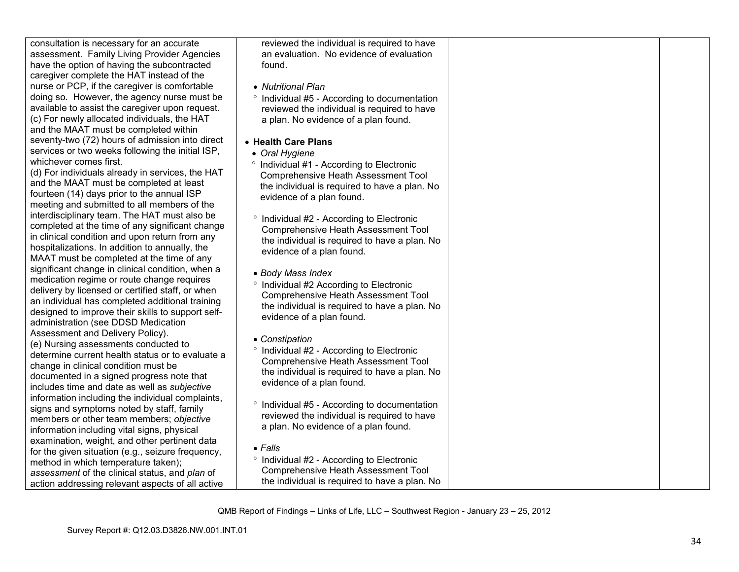consultation is necessary for an accurate assessment. Family Living Provider Agencies have the option of having the subcontracted caregiver complete the HAT instead of the nurse or PCP, if the caregiver is comfortable doing so. However, the agency nurse must be available to assist the caregiver upon request. (c) For newly allocated individuals, the HAT and the MAAT must be completed within seventy-two (72) hours of admission into direct services or two weeks following the initial ISP, whichever comes first.

 (d) For individuals already in services, the HAT and the MAAT must be completed at least fourteen (14) days prior to the annual ISP meeting and submitted to all members of the interdisciplinary team. The HAT must also be completed at the time of any significant change in clinical condition and upon return from any hospitalizations. In addition to annually, the MAAT must be completed at the time of any significant change in clinical condition, when a medication regime or route change requires delivery by licensed or certified staff, or when an individual has completed additional training designed to improve their skills to support selfadministration (see DDSD Medication Assessment and Delivery Policy). (e) Nursing assessments conducted to determine current health status or to evaluate a change in clinical condition must be documented in a signed progress note that includes time and date as well as *subjective*  information including the individual complaints, signs and symptoms noted by staff, family members or other team members; *objective* information including vital signs, physical examination, weight, and other pertinent data for the given situation (e.g., seizure frequency, method in which temperature taken); *assessment* of the clinical status, and *plan* of action addressing relevant aspects of all active

reviewed the individual is required to have an evaluation. No evidence of evaluation found.

• *Nutritional Plan* 

° Individual #5 - According to documentation reviewed the individual is required to have a plan. No evidence of a plan found.

- **Health Care Plans**
- *Oral Hygiene*
- ° Individual #1 According to Electronic Comprehensive Heath Assessment Tool the individual is required to have a plan. No evidence of a plan found.
- ° Individual #2 According to Electronic Comprehensive Heath Assessment Tool the individual is required to have a plan. No evidence of a plan found.
- *Body Mass Index*
- ° Individual #2 According to Electronic Comprehensive Heath Assessment Tool the individual is required to have a plan. No evidence of a plan found.
- *Constipation*
- ° Individual #2 According to Electronic Comprehensive Heath Assessment Tool the individual is required to have a plan. No evidence of a plan found.
- ° Individual #5 According to documentation reviewed the individual is required to have a plan. No evidence of a plan found.
- *Falls*
- ° Individual #2 According to Electronic Comprehensive Heath Assessment Tool the individual is required to have a plan. No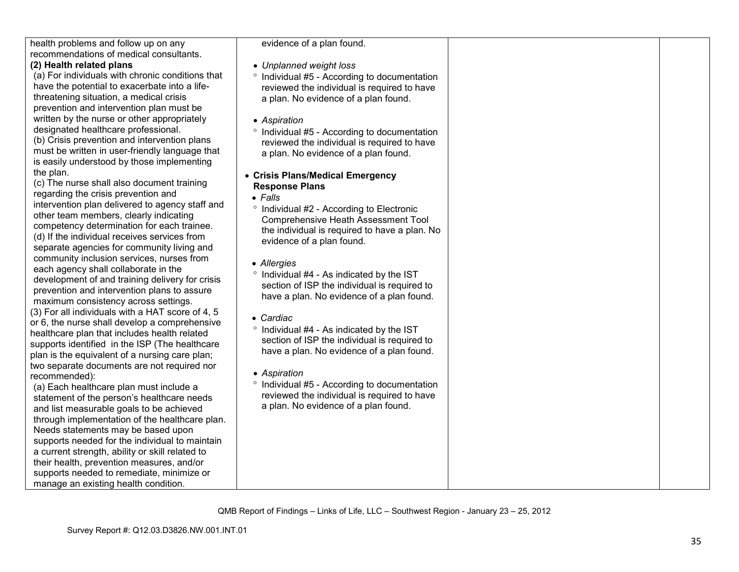| health problems and follow up on any             | evidence of a plan found.                               |  |
|--------------------------------------------------|---------------------------------------------------------|--|
| recommendations of medical consultants.          |                                                         |  |
| (2) Health related plans                         | • Unplanned weight loss                                 |  |
| (a) For individuals with chronic conditions that | <sup>o</sup> Individual #5 - According to documentation |  |
| have the potential to exacerbate into a life-    | reviewed the individual is required to have             |  |
| threatening situation, a medical crisis          | a plan. No evidence of a plan found.                    |  |
| prevention and intervention plan must be         |                                                         |  |
| written by the nurse or other appropriately      | • Aspiration                                            |  |
| designated healthcare professional.              | ° Individual #5 - According to documentation            |  |
| (b) Crisis prevention and intervention plans     | reviewed the individual is required to have             |  |
| must be written in user-friendly language that   | a plan. No evidence of a plan found.                    |  |
| is easily understood by those implementing       |                                                         |  |
| the plan.                                        | • Crisis Plans/Medical Emergency                        |  |
| (c) The nurse shall also document training       | <b>Response Plans</b>                                   |  |
| regarding the crisis prevention and              | $\bullet$ Falls                                         |  |
| intervention plan delivered to agency staff and  |                                                         |  |
| other team members, clearly indicating           | <sup>o</sup> Individual #2 - According to Electronic    |  |
| competency determination for each trainee.       | <b>Comprehensive Heath Assessment Tool</b>              |  |
| (d) If the individual receives services from     | the individual is required to have a plan. No           |  |
| separate agencies for community living and       | evidence of a plan found.                               |  |
| community inclusion services, nurses from        |                                                         |  |
| each agency shall collaborate in the             | • Allergies                                             |  |
| development of and training delivery for crisis  | ° Individual #4 - As indicated by the IST               |  |
| prevention and intervention plans to assure      | section of ISP the individual is required to            |  |
| maximum consistency across settings.             | have a plan. No evidence of a plan found.               |  |
| (3) For all individuals with a HAT score of 4, 5 |                                                         |  |
| or 6, the nurse shall develop a comprehensive    | • Cardiac                                               |  |
| healthcare plan that includes health related     | ° Individual #4 - As indicated by the IST               |  |
| supports identified in the ISP (The healthcare   | section of ISP the individual is required to            |  |
| plan is the equivalent of a nursing care plan;   | have a plan. No evidence of a plan found.               |  |
| two separate documents are not required nor      |                                                         |  |
| recommended):                                    | • Aspiration                                            |  |
| (a) Each healthcare plan must include a          | <sup>o</sup> Individual #5 - According to documentation |  |
| statement of the person's healthcare needs       | reviewed the individual is required to have             |  |
| and list measurable goals to be achieved         | a plan. No evidence of a plan found.                    |  |
| through implementation of the healthcare plan.   |                                                         |  |
| Needs statements may be based upon               |                                                         |  |
| supports needed for the individual to maintain   |                                                         |  |
| a current strength, ability or skill related to  |                                                         |  |
| their health, prevention measures, and/or        |                                                         |  |
| supports needed to remediate, minimize or        |                                                         |  |
| manage an existing health condition.             |                                                         |  |
|                                                  |                                                         |  |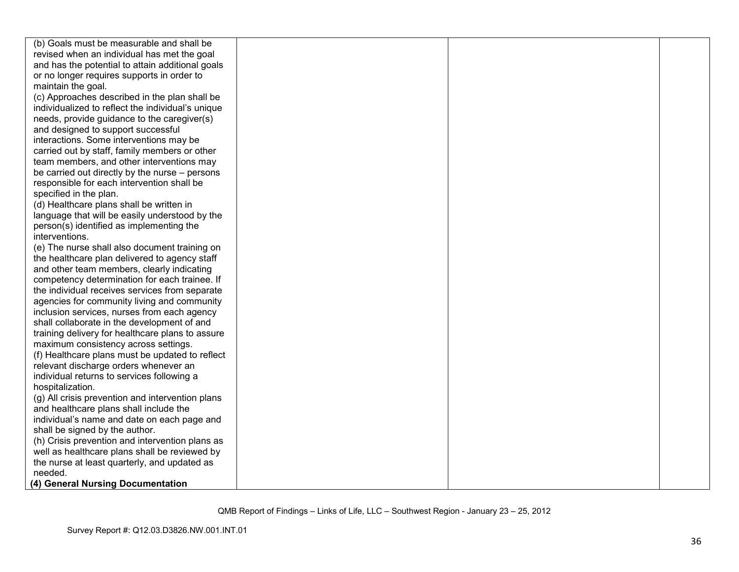| (b) Goals must be measurable and shall be         |  |  |
|---------------------------------------------------|--|--|
| revised when an individual has met the goal       |  |  |
| and has the potential to attain additional goals  |  |  |
| or no longer requires supports in order to        |  |  |
| maintain the goal.                                |  |  |
| (c) Approaches described in the plan shall be     |  |  |
| individualized to reflect the individual's unique |  |  |
| needs, provide guidance to the caregiver(s)       |  |  |
| and designed to support successful                |  |  |
| interactions. Some interventions may be           |  |  |
| carried out by staff, family members or other     |  |  |
| team members, and other interventions may         |  |  |
| be carried out directly by the nurse – persons    |  |  |
| responsible for each intervention shall be        |  |  |
| specified in the plan.                            |  |  |
| (d) Healthcare plans shall be written in          |  |  |
| language that will be easily understood by the    |  |  |
| person(s) identified as implementing the          |  |  |
| interventions.                                    |  |  |
| (e) The nurse shall also document training on     |  |  |
| the healthcare plan delivered to agency staff     |  |  |
| and other team members, clearly indicating        |  |  |
| competency determination for each trainee. If     |  |  |
| the individual receives services from separate    |  |  |
| agencies for community living and community       |  |  |
| inclusion services, nurses from each agency       |  |  |
| shall collaborate in the development of and       |  |  |
| training delivery for healthcare plans to assure  |  |  |
| maximum consistency across settings.              |  |  |
| (f) Healthcare plans must be updated to reflect   |  |  |
| relevant discharge orders whenever an             |  |  |
| individual returns to services following a        |  |  |
| hospitalization.                                  |  |  |
| (g) All crisis prevention and intervention plans  |  |  |
| and healthcare plans shall include the            |  |  |
| individual's name and date on each page and       |  |  |
| shall be signed by the author.                    |  |  |
| (h) Crisis prevention and intervention plans as   |  |  |
| well as healthcare plans shall be reviewed by     |  |  |
| the nurse at least quarterly, and updated as      |  |  |
| needed.                                           |  |  |
| (4) General Nursing Documentation                 |  |  |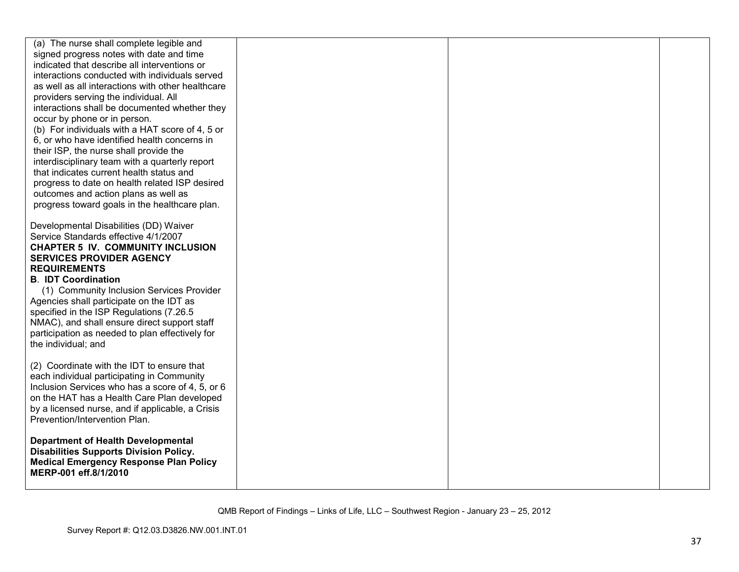| (a) The nurse shall complete legible and<br>signed progress notes with date and time<br>indicated that describe all interventions or<br>interactions conducted with individuals served<br>as well as all interactions with other healthcare<br>providers serving the individual. All<br>interactions shall be documented whether they<br>occur by phone or in person.<br>(b) For individuals with a HAT score of 4, 5 or<br>6, or who have identified health concerns in<br>their ISP, the nurse shall provide the<br>interdisciplinary team with a quarterly report<br>that indicates current health status and<br>progress to date on health related ISP desired<br>outcomes and action plans as well as<br>progress toward goals in the healthcare plan. |  |  |
|-------------------------------------------------------------------------------------------------------------------------------------------------------------------------------------------------------------------------------------------------------------------------------------------------------------------------------------------------------------------------------------------------------------------------------------------------------------------------------------------------------------------------------------------------------------------------------------------------------------------------------------------------------------------------------------------------------------------------------------------------------------|--|--|
| Developmental Disabilities (DD) Waiver<br>Service Standards effective 4/1/2007<br><b>CHAPTER 5 IV. COMMUNITY INCLUSION</b><br><b>SERVICES PROVIDER AGENCY</b><br><b>REQUIREMENTS</b><br><b>B. IDT Coordination</b><br>(1) Community Inclusion Services Provider<br>Agencies shall participate on the IDT as<br>specified in the ISP Regulations (7.26.5<br>NMAC), and shall ensure direct support staff<br>participation as needed to plan effectively for<br>the individual; and                                                                                                                                                                                                                                                                           |  |  |
| (2) Coordinate with the IDT to ensure that<br>each individual participating in Community<br>Inclusion Services who has a score of 4, 5, or 6<br>on the HAT has a Health Care Plan developed<br>by a licensed nurse, and if applicable, a Crisis<br>Prevention/Intervention Plan.                                                                                                                                                                                                                                                                                                                                                                                                                                                                            |  |  |
| <b>Department of Health Developmental</b><br><b>Disabilities Supports Division Policy.</b><br><b>Medical Emergency Response Plan Policy</b><br>MERP-001 eff.8/1/2010                                                                                                                                                                                                                                                                                                                                                                                                                                                                                                                                                                                        |  |  |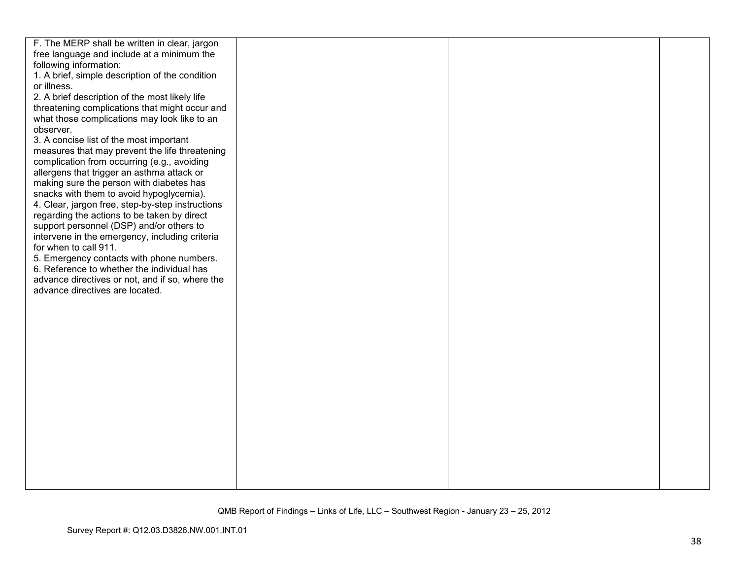| F. The MERP shall be written in clear, jargon    |  |  |
|--------------------------------------------------|--|--|
| free language and include at a minimum the       |  |  |
| following information:                           |  |  |
| 1. A brief, simple description of the condition  |  |  |
| or illness.                                      |  |  |
| 2. A brief description of the most likely life   |  |  |
| threatening complications that might occur and   |  |  |
| what those complications may look like to an     |  |  |
| observer.                                        |  |  |
| 3. A concise list of the most important          |  |  |
| measures that may prevent the life threatening   |  |  |
| complication from occurring (e.g., avoiding      |  |  |
| allergens that trigger an asthma attack or       |  |  |
| making sure the person with diabetes has         |  |  |
| snacks with them to avoid hypoglycemia).         |  |  |
| 4. Clear, jargon free, step-by-step instructions |  |  |
| regarding the actions to be taken by direct      |  |  |
| support personnel (DSP) and/or others to         |  |  |
| intervene in the emergency, including criteria   |  |  |
| for when to call 911.                            |  |  |
| 5. Emergency contacts with phone numbers.        |  |  |
| 6. Reference to whether the individual has       |  |  |
| advance directives or not, and if so, where the  |  |  |
| advance directives are located.                  |  |  |
|                                                  |  |  |
|                                                  |  |  |
|                                                  |  |  |
|                                                  |  |  |
|                                                  |  |  |
|                                                  |  |  |
|                                                  |  |  |
|                                                  |  |  |
|                                                  |  |  |
|                                                  |  |  |
|                                                  |  |  |
|                                                  |  |  |
|                                                  |  |  |
|                                                  |  |  |
|                                                  |  |  |
|                                                  |  |  |
|                                                  |  |  |
|                                                  |  |  |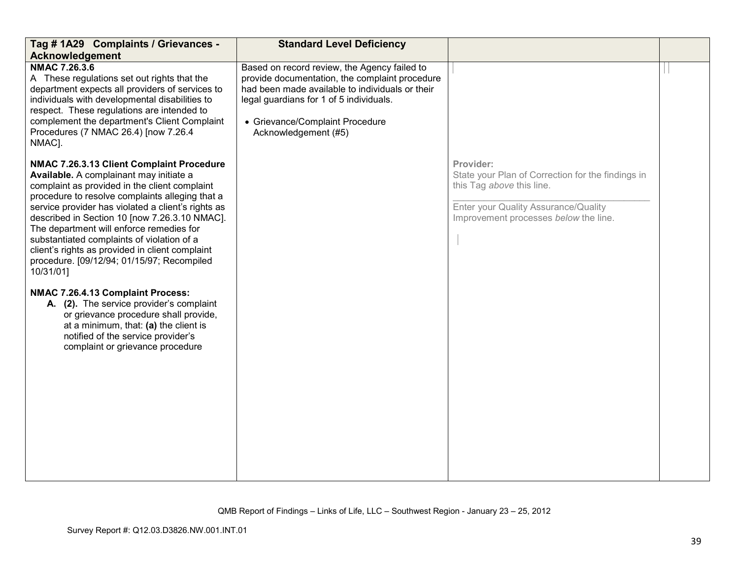| Tag # 1A29 Complaints / Grievances -<br>Acknowledgement                                                                                                                                                                                                                                                                                                                                                                                                                                                                                                                                                                                                                                                                                              | <b>Standard Level Deficiency</b>                                                                                                                                                                                                                        |                                                                                                                                                                              |  |
|------------------------------------------------------------------------------------------------------------------------------------------------------------------------------------------------------------------------------------------------------------------------------------------------------------------------------------------------------------------------------------------------------------------------------------------------------------------------------------------------------------------------------------------------------------------------------------------------------------------------------------------------------------------------------------------------------------------------------------------------------|---------------------------------------------------------------------------------------------------------------------------------------------------------------------------------------------------------------------------------------------------------|------------------------------------------------------------------------------------------------------------------------------------------------------------------------------|--|
| NMAC 7.26.3.6<br>A These regulations set out rights that the<br>department expects all providers of services to<br>individuals with developmental disabilities to<br>respect. These regulations are intended to<br>complement the department's Client Complaint<br>Procedures (7 NMAC 26.4) [now 7.26.4<br>NMAC].                                                                                                                                                                                                                                                                                                                                                                                                                                    | Based on record review, the Agency failed to<br>provide documentation, the complaint procedure<br>had been made available to individuals or their<br>legal guardians for 1 of 5 individuals.<br>• Grievance/Complaint Procedure<br>Acknowledgement (#5) |                                                                                                                                                                              |  |
| NMAC 7.26.3.13 Client Complaint Procedure<br>Available. A complainant may initiate a<br>complaint as provided in the client complaint<br>procedure to resolve complaints alleging that a<br>service provider has violated a client's rights as<br>described in Section 10 [now 7.26.3.10 NMAC].<br>The department will enforce remedies for<br>substantiated complaints of violation of a<br>client's rights as provided in client complaint<br>procedure. [09/12/94; 01/15/97; Recompiled<br>10/31/01]<br>NMAC 7.26.4.13 Complaint Process:<br>A. (2). The service provider's complaint<br>or grievance procedure shall provide,<br>at a minimum, that: (a) the client is<br>notified of the service provider's<br>complaint or grievance procedure |                                                                                                                                                                                                                                                         | Provider:<br>State your Plan of Correction for the findings in<br>this Tag above this line.<br>Enter your Quality Assurance/Quality<br>Improvement processes below the line. |  |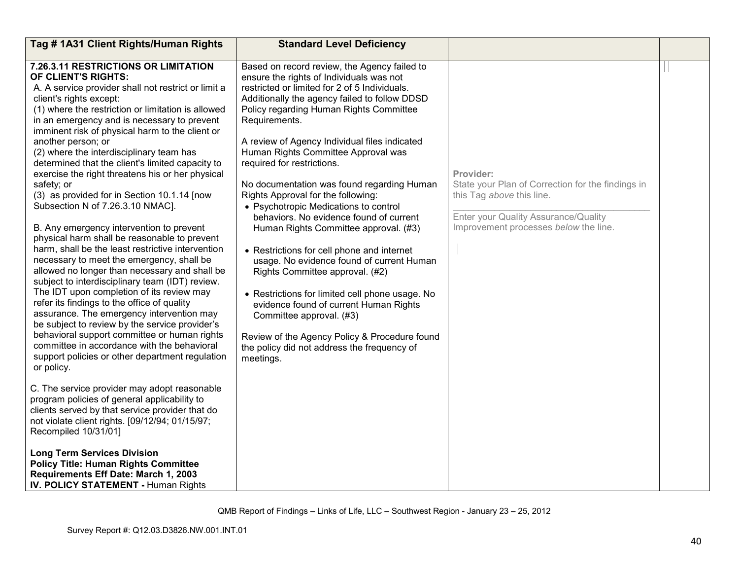| Tag #1A31 Client Rights/Human Rights                                                                                                                                                                                                                                                                                                                                                                                                                                                                                                                                                                                                                                                                                                                                                                                                                                                                                                                                                                                                                                                                                                                                                                                                          | <b>Standard Level Deficiency</b>                                                                                                                                                                                                                                                                                                                                                                                                                                                                                                                                                                                                                                                                                                                                                                                                                                                                                                                                  |                                                                                                                                                                              |  |
|-----------------------------------------------------------------------------------------------------------------------------------------------------------------------------------------------------------------------------------------------------------------------------------------------------------------------------------------------------------------------------------------------------------------------------------------------------------------------------------------------------------------------------------------------------------------------------------------------------------------------------------------------------------------------------------------------------------------------------------------------------------------------------------------------------------------------------------------------------------------------------------------------------------------------------------------------------------------------------------------------------------------------------------------------------------------------------------------------------------------------------------------------------------------------------------------------------------------------------------------------|-------------------------------------------------------------------------------------------------------------------------------------------------------------------------------------------------------------------------------------------------------------------------------------------------------------------------------------------------------------------------------------------------------------------------------------------------------------------------------------------------------------------------------------------------------------------------------------------------------------------------------------------------------------------------------------------------------------------------------------------------------------------------------------------------------------------------------------------------------------------------------------------------------------------------------------------------------------------|------------------------------------------------------------------------------------------------------------------------------------------------------------------------------|--|
| 7.26.3.11 RESTRICTIONS OR LIMITATION<br>OF CLIENT'S RIGHTS:<br>A. A service provider shall not restrict or limit a<br>client's rights except:<br>(1) where the restriction or limitation is allowed<br>in an emergency and is necessary to prevent<br>imminent risk of physical harm to the client or<br>another person; or<br>(2) where the interdisciplinary team has<br>determined that the client's limited capacity to<br>exercise the right threatens his or her physical<br>safety; or<br>(3) as provided for in Section 10.1.14 [now<br>Subsection N of 7.26.3.10 NMAC].<br>B. Any emergency intervention to prevent<br>physical harm shall be reasonable to prevent<br>harm, shall be the least restrictive intervention<br>necessary to meet the emergency, shall be<br>allowed no longer than necessary and shall be<br>subject to interdisciplinary team (IDT) review.<br>The IDT upon completion of its review may<br>refer its findings to the office of quality<br>assurance. The emergency intervention may<br>be subject to review by the service provider's<br>behavioral support committee or human rights<br>committee in accordance with the behavioral<br>support policies or other department regulation<br>or policy. | Based on record review, the Agency failed to<br>ensure the rights of Individuals was not<br>restricted or limited for 2 of 5 Individuals.<br>Additionally the agency failed to follow DDSD<br>Policy regarding Human Rights Committee<br>Requirements.<br>A review of Agency Individual files indicated<br>Human Rights Committee Approval was<br>required for restrictions.<br>No documentation was found regarding Human<br>Rights Approval for the following:<br>• Psychotropic Medications to control<br>behaviors. No evidence found of current<br>Human Rights Committee approval. (#3)<br>• Restrictions for cell phone and internet<br>usage. No evidence found of current Human<br>Rights Committee approval. (#2)<br>• Restrictions for limited cell phone usage. No<br>evidence found of current Human Rights<br>Committee approval. (#3)<br>Review of the Agency Policy & Procedure found<br>the policy did not address the frequency of<br>meetings. | Provider:<br>State your Plan of Correction for the findings in<br>this Tag above this line.<br>Enter your Quality Assurance/Quality<br>Improvement processes below the line. |  |
| C. The service provider may adopt reasonable<br>program policies of general applicability to<br>clients served by that service provider that do<br>not violate client rights. [09/12/94; 01/15/97;<br>Recompiled 10/31/01]                                                                                                                                                                                                                                                                                                                                                                                                                                                                                                                                                                                                                                                                                                                                                                                                                                                                                                                                                                                                                    |                                                                                                                                                                                                                                                                                                                                                                                                                                                                                                                                                                                                                                                                                                                                                                                                                                                                                                                                                                   |                                                                                                                                                                              |  |
| <b>Long Term Services Division</b><br><b>Policy Title: Human Rights Committee</b><br>Requirements Eff Date: March 1, 2003<br>IV. POLICY STATEMENT - Human Rights                                                                                                                                                                                                                                                                                                                                                                                                                                                                                                                                                                                                                                                                                                                                                                                                                                                                                                                                                                                                                                                                              |                                                                                                                                                                                                                                                                                                                                                                                                                                                                                                                                                                                                                                                                                                                                                                                                                                                                                                                                                                   |                                                                                                                                                                              |  |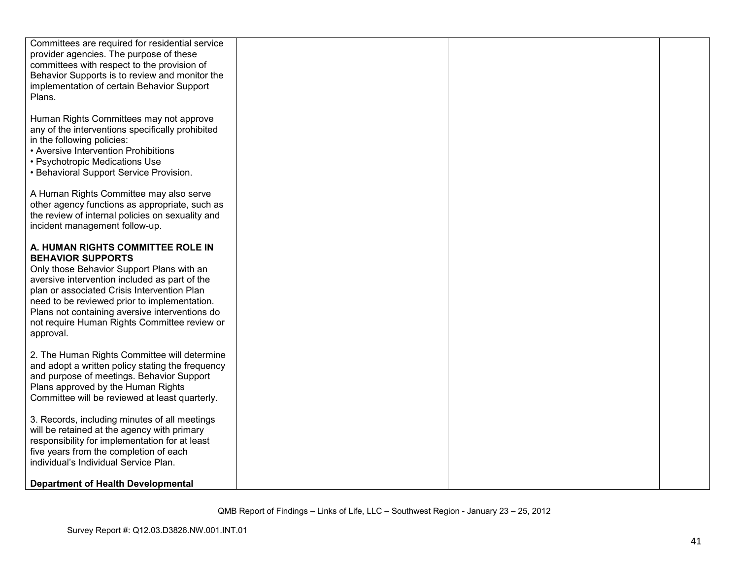| Committees are required for residential service                                      |  |  |
|--------------------------------------------------------------------------------------|--|--|
| provider agencies. The purpose of these                                              |  |  |
| committees with respect to the provision of                                          |  |  |
| Behavior Supports is to review and monitor the                                       |  |  |
| implementation of certain Behavior Support                                           |  |  |
| Plans.                                                                               |  |  |
|                                                                                      |  |  |
| Human Rights Committees may not approve                                              |  |  |
| any of the interventions specifically prohibited                                     |  |  |
| in the following policies:                                                           |  |  |
| • Aversive Intervention Prohibitions                                                 |  |  |
| • Psychotropic Medications Use                                                       |  |  |
| • Behavioral Support Service Provision.                                              |  |  |
|                                                                                      |  |  |
| A Human Rights Committee may also serve                                              |  |  |
| other agency functions as appropriate, such as                                       |  |  |
| the review of internal policies on sexuality and                                     |  |  |
| incident management follow-up.                                                       |  |  |
|                                                                                      |  |  |
| A. HUMAN RIGHTS COMMITTEE ROLE IN                                                    |  |  |
| <b>BEHAVIOR SUPPORTS</b>                                                             |  |  |
| Only those Behavior Support Plans with an                                            |  |  |
| aversive intervention included as part of the                                        |  |  |
| plan or associated Crisis Intervention Plan                                          |  |  |
| need to be reviewed prior to implementation.                                         |  |  |
| Plans not containing aversive interventions do                                       |  |  |
| not require Human Rights Committee review or                                         |  |  |
| approval.                                                                            |  |  |
|                                                                                      |  |  |
| 2. The Human Rights Committee will determine                                         |  |  |
| and adopt a written policy stating the frequency                                     |  |  |
| and purpose of meetings. Behavior Support                                            |  |  |
| Plans approved by the Human Rights<br>Committee will be reviewed at least quarterly. |  |  |
|                                                                                      |  |  |
| 3. Records, including minutes of all meetings                                        |  |  |
| will be retained at the agency with primary                                          |  |  |
| responsibility for implementation for at least                                       |  |  |
| five years from the completion of each                                               |  |  |
| individual's Individual Service Plan.                                                |  |  |
|                                                                                      |  |  |
| Department of Health Developmental                                                   |  |  |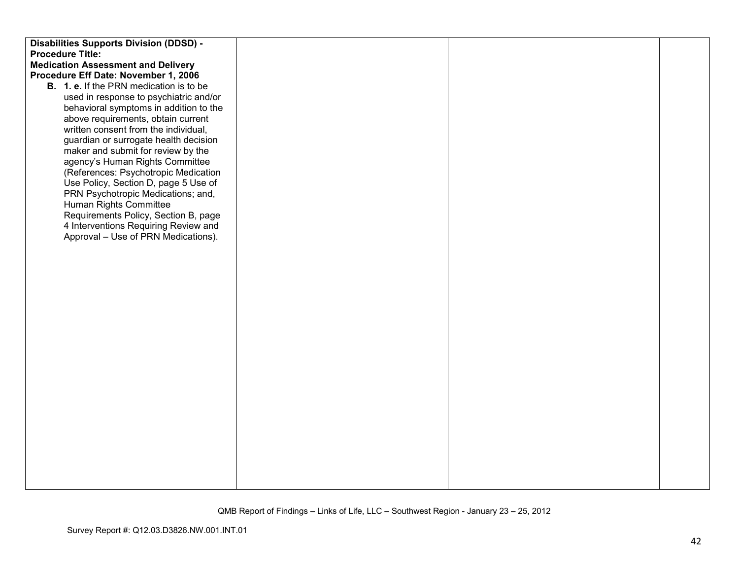| <b>Disabilities Supports Division (DDSD) -</b> |  |  |
|------------------------------------------------|--|--|
| <b>Procedure Title:</b>                        |  |  |
| <b>Medication Assessment and Delivery</b>      |  |  |
| Procedure Eff Date: November 1, 2006           |  |  |
| <b>B.</b> 1. e. If the PRN medication is to be |  |  |
| used in response to psychiatric and/or         |  |  |
| behavioral symptoms in addition to the         |  |  |
| above requirements, obtain current             |  |  |
| written consent from the individual,           |  |  |
| guardian or surrogate health decision          |  |  |
| maker and submit for review by the             |  |  |
| agency's Human Rights Committee                |  |  |
| (References: Psychotropic Medication           |  |  |
| Use Policy, Section D, page 5 Use of           |  |  |
| PRN Psychotropic Medications; and,             |  |  |
| Human Rights Committee                         |  |  |
| Requirements Policy, Section B, page           |  |  |
| 4 Interventions Requiring Review and           |  |  |
| Approval - Use of PRN Medications).            |  |  |
|                                                |  |  |
|                                                |  |  |
|                                                |  |  |
|                                                |  |  |
|                                                |  |  |
|                                                |  |  |
|                                                |  |  |
|                                                |  |  |
|                                                |  |  |
|                                                |  |  |
|                                                |  |  |
|                                                |  |  |
|                                                |  |  |
|                                                |  |  |
|                                                |  |  |
|                                                |  |  |
|                                                |  |  |
|                                                |  |  |
|                                                |  |  |
|                                                |  |  |
|                                                |  |  |
|                                                |  |  |
|                                                |  |  |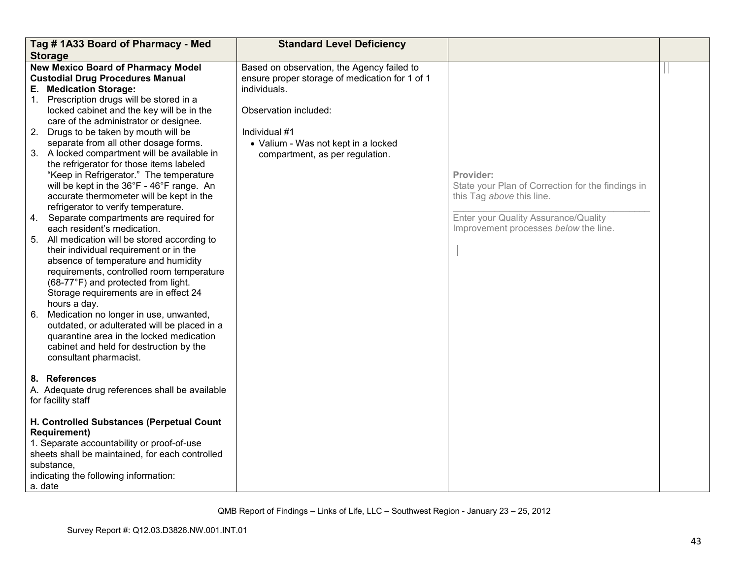|    | Tag #1A33 Board of Pharmacy - Med                                                    | <b>Standard Level Deficiency</b>               |                                                                                |  |
|----|--------------------------------------------------------------------------------------|------------------------------------------------|--------------------------------------------------------------------------------|--|
|    | <b>Storage</b>                                                                       |                                                |                                                                                |  |
|    | <b>New Mexico Board of Pharmacy Model</b>                                            | Based on observation, the Agency failed to     |                                                                                |  |
|    | <b>Custodial Drug Procedures Manual</b>                                              | ensure proper storage of medication for 1 of 1 |                                                                                |  |
|    | E. Medication Storage:<br>1. Prescription drugs will be stored in a                  | individuals.                                   |                                                                                |  |
|    |                                                                                      |                                                |                                                                                |  |
|    | locked cabinet and the key will be in the<br>care of the administrator or designee.  | Observation included:                          |                                                                                |  |
|    |                                                                                      | Individual #1                                  |                                                                                |  |
|    | 2. Drugs to be taken by mouth will be                                                |                                                |                                                                                |  |
|    | separate from all other dosage forms.                                                | • Valium - Was not kept in a locked            |                                                                                |  |
|    | 3. A locked compartment will be available in                                         | compartment, as per regulation.                |                                                                                |  |
|    | the refrigerator for those items labeled                                             |                                                | Provider:                                                                      |  |
|    | "Keep in Refrigerator." The temperature<br>will be kept in the 36°F - 46°F range. An |                                                |                                                                                |  |
|    | accurate thermometer will be kept in the                                             |                                                | State your Plan of Correction for the findings in<br>this Tag above this line. |  |
|    | refrigerator to verify temperature.                                                  |                                                |                                                                                |  |
|    | 4. Separate compartments are required for                                            |                                                | Enter your Quality Assurance/Quality                                           |  |
|    | each resident's medication.                                                          |                                                | Improvement processes below the line.                                          |  |
|    | 5. All medication will be stored according to                                        |                                                |                                                                                |  |
|    | their individual requirement or in the                                               |                                                |                                                                                |  |
|    | absence of temperature and humidity                                                  |                                                |                                                                                |  |
|    | requirements, controlled room temperature                                            |                                                |                                                                                |  |
|    | (68-77°F) and protected from light.                                                  |                                                |                                                                                |  |
|    | Storage requirements are in effect 24                                                |                                                |                                                                                |  |
|    | hours a day.                                                                         |                                                |                                                                                |  |
| 6. | Medication no longer in use, unwanted,                                               |                                                |                                                                                |  |
|    | outdated, or adulterated will be placed in a                                         |                                                |                                                                                |  |
|    | quarantine area in the locked medication                                             |                                                |                                                                                |  |
|    | cabinet and held for destruction by the                                              |                                                |                                                                                |  |
|    | consultant pharmacist.                                                               |                                                |                                                                                |  |
|    |                                                                                      |                                                |                                                                                |  |
|    | 8. References                                                                        |                                                |                                                                                |  |
|    | A. Adequate drug references shall be available                                       |                                                |                                                                                |  |
|    | for facility staff                                                                   |                                                |                                                                                |  |
|    |                                                                                      |                                                |                                                                                |  |
|    | H. Controlled Substances (Perpetual Count                                            |                                                |                                                                                |  |
|    | <b>Requirement)</b>                                                                  |                                                |                                                                                |  |
|    | 1. Separate accountability or proof-of-use                                           |                                                |                                                                                |  |
|    | sheets shall be maintained, for each controlled                                      |                                                |                                                                                |  |
|    | substance,                                                                           |                                                |                                                                                |  |
|    | indicating the following information:                                                |                                                |                                                                                |  |
|    | a. date                                                                              |                                                |                                                                                |  |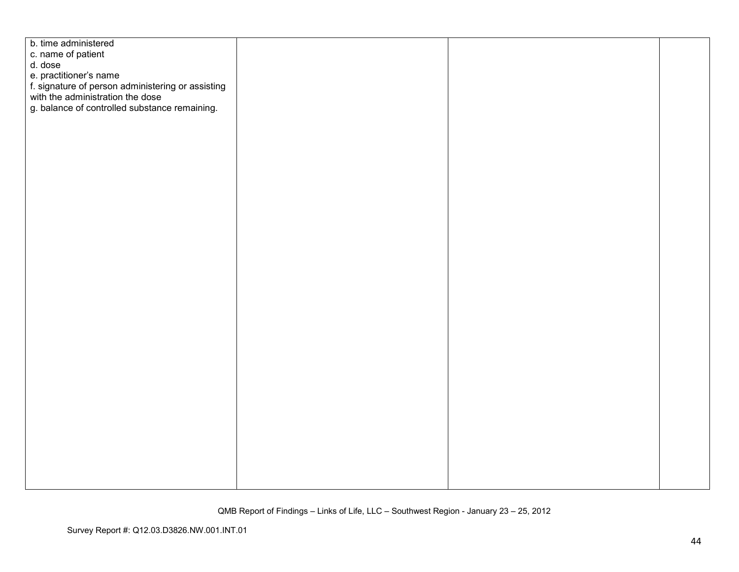| b. time administered                                                                  |  |  |
|---------------------------------------------------------------------------------------|--|--|
| c. name of patient                                                                    |  |  |
| d. dose                                                                               |  |  |
| e. practitioner's name                                                                |  |  |
| f. signature of person administering or assisting<br>with the administration the dose |  |  |
|                                                                                       |  |  |
| g. balance of controlled substance remaining.                                         |  |  |
|                                                                                       |  |  |
|                                                                                       |  |  |
|                                                                                       |  |  |
|                                                                                       |  |  |
|                                                                                       |  |  |
|                                                                                       |  |  |
|                                                                                       |  |  |
|                                                                                       |  |  |
|                                                                                       |  |  |
|                                                                                       |  |  |
|                                                                                       |  |  |
|                                                                                       |  |  |
|                                                                                       |  |  |
|                                                                                       |  |  |
|                                                                                       |  |  |
|                                                                                       |  |  |
|                                                                                       |  |  |
|                                                                                       |  |  |
|                                                                                       |  |  |
|                                                                                       |  |  |
|                                                                                       |  |  |
|                                                                                       |  |  |
|                                                                                       |  |  |
|                                                                                       |  |  |
|                                                                                       |  |  |
|                                                                                       |  |  |
|                                                                                       |  |  |
|                                                                                       |  |  |
|                                                                                       |  |  |
|                                                                                       |  |  |
|                                                                                       |  |  |
|                                                                                       |  |  |
|                                                                                       |  |  |
|                                                                                       |  |  |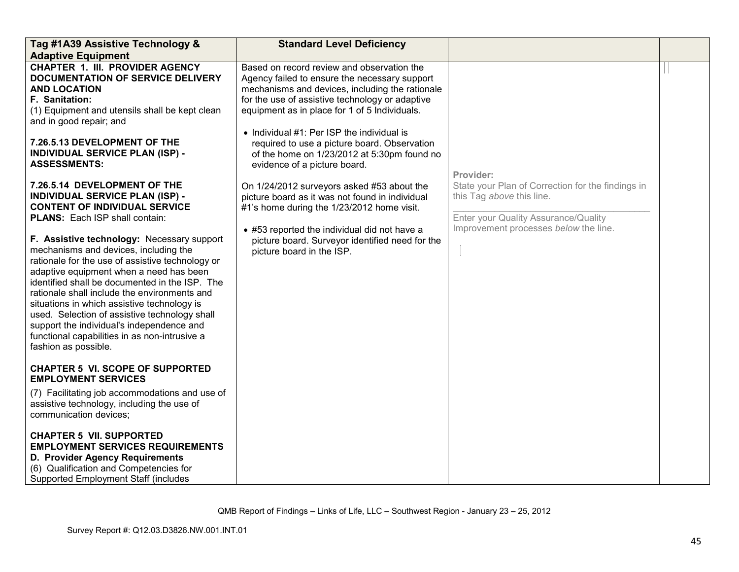| Tag #1A39 Assistive Technology &                                                                                                                                                                                                                                                                                                                                                                                                                                                                           | <b>Standard Level Deficiency</b>                                                                                                                                                                                                                                                                                                                                                                                                   |                                                                                                                                     |  |
|------------------------------------------------------------------------------------------------------------------------------------------------------------------------------------------------------------------------------------------------------------------------------------------------------------------------------------------------------------------------------------------------------------------------------------------------------------------------------------------------------------|------------------------------------------------------------------------------------------------------------------------------------------------------------------------------------------------------------------------------------------------------------------------------------------------------------------------------------------------------------------------------------------------------------------------------------|-------------------------------------------------------------------------------------------------------------------------------------|--|
| <b>Adaptive Equipment</b>                                                                                                                                                                                                                                                                                                                                                                                                                                                                                  |                                                                                                                                                                                                                                                                                                                                                                                                                                    |                                                                                                                                     |  |
| <b>CHAPTER 1. III. PROVIDER AGENCY</b><br>DOCUMENTATION OF SERVICE DELIVERY<br><b>AND LOCATION</b><br><b>F.</b> Sanitation:<br>(1) Equipment and utensils shall be kept clean<br>and in good repair; and<br>7.26.5.13 DEVELOPMENT OF THE<br><b>INDIVIDUAL SERVICE PLAN (ISP) -</b><br><b>ASSESSMENTS:</b>                                                                                                                                                                                                  | Based on record review and observation the<br>Agency failed to ensure the necessary support<br>mechanisms and devices, including the rationale<br>for the use of assistive technology or adaptive<br>equipment as in place for 1 of 5 Individuals.<br>• Individual $#1$ : Per ISP the individual is<br>required to use a picture board. Observation<br>of the home on 1/23/2012 at 5:30pm found no<br>evidence of a picture board. |                                                                                                                                     |  |
| 7.26.5.14 DEVELOPMENT OF THE<br><b>INDIVIDUAL SERVICE PLAN (ISP) -</b><br><b>CONTENT OF INDIVIDUAL SERVICE</b><br><b>PLANS:</b> Each ISP shall contain:                                                                                                                                                                                                                                                                                                                                                    | On 1/24/2012 surveyors asked #53 about the<br>picture board as it was not found in individual<br>#1's home during the 1/23/2012 home visit.                                                                                                                                                                                                                                                                                        | Provider:<br>State your Plan of Correction for the findings in<br>this Tag above this line.<br>Enter your Quality Assurance/Quality |  |
| F. Assistive technology: Necessary support<br>mechanisms and devices, including the<br>rationale for the use of assistive technology or<br>adaptive equipment when a need has been<br>identified shall be documented in the ISP. The<br>rationale shall include the environments and<br>situations in which assistive technology is<br>used. Selection of assistive technology shall<br>support the individual's independence and<br>functional capabilities in as non-intrusive a<br>fashion as possible. | • #53 reported the individual did not have a<br>picture board. Surveyor identified need for the<br>picture board in the ISP.                                                                                                                                                                                                                                                                                                       | Improvement processes below the line.                                                                                               |  |
| <b>CHAPTER 5 VI. SCOPE OF SUPPORTED</b><br><b>EMPLOYMENT SERVICES</b>                                                                                                                                                                                                                                                                                                                                                                                                                                      |                                                                                                                                                                                                                                                                                                                                                                                                                                    |                                                                                                                                     |  |
| (7) Facilitating job accommodations and use of<br>assistive technology, including the use of<br>communication devices;                                                                                                                                                                                                                                                                                                                                                                                     |                                                                                                                                                                                                                                                                                                                                                                                                                                    |                                                                                                                                     |  |
| <b>CHAPTER 5 VII. SUPPORTED</b><br><b>EMPLOYMENT SERVICES REQUIREMENTS</b><br>D. Provider Agency Requirements<br>(6) Qualification and Competencies for<br>Supported Employment Staff (includes                                                                                                                                                                                                                                                                                                            |                                                                                                                                                                                                                                                                                                                                                                                                                                    |                                                                                                                                     |  |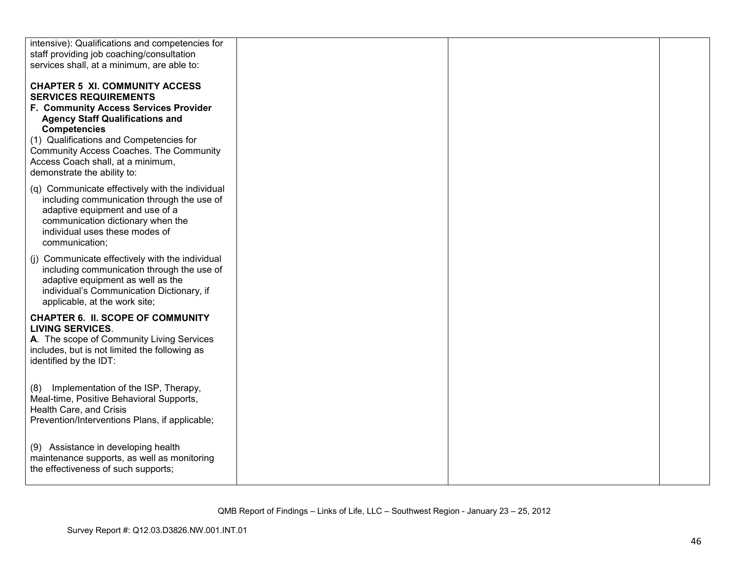| intensive): Qualifications and competencies for                                                                                                                                                                           |  |  |
|---------------------------------------------------------------------------------------------------------------------------------------------------------------------------------------------------------------------------|--|--|
| staff providing job coaching/consultation                                                                                                                                                                                 |  |  |
| services shall, at a minimum, are able to:                                                                                                                                                                                |  |  |
| <b>CHAPTER 5 XI. COMMUNITY ACCESS</b><br><b>SERVICES REQUIREMENTS</b>                                                                                                                                                     |  |  |
| F. Community Access Services Provider<br><b>Agency Staff Qualifications and</b><br><b>Competencies</b>                                                                                                                    |  |  |
| (1) Qualifications and Competencies for<br>Community Access Coaches. The Community<br>Access Coach shall, at a minimum,<br>demonstrate the ability to:                                                                    |  |  |
| (q) Communicate effectively with the individual<br>including communication through the use of<br>adaptive equipment and use of a<br>communication dictionary when the<br>individual uses these modes of<br>communication; |  |  |
| (j) Communicate effectively with the individual<br>including communication through the use of<br>adaptive equipment as well as the<br>individual's Communication Dictionary, if<br>applicable, at the work site;          |  |  |
| <b>CHAPTER 6. II. SCOPE OF COMMUNITY</b><br><b>LIVING SERVICES.</b><br>A. The scope of Community Living Services<br>includes, but is not limited the following as<br>identified by the IDT:                               |  |  |
| Implementation of the ISP, Therapy,<br>(8)<br>Meal-time, Positive Behavioral Supports,<br>Health Care, and Crisis<br>Prevention/Interventions Plans, if applicable;                                                       |  |  |
| (9) Assistance in developing health<br>maintenance supports, as well as monitoring<br>the effectiveness of such supports;                                                                                                 |  |  |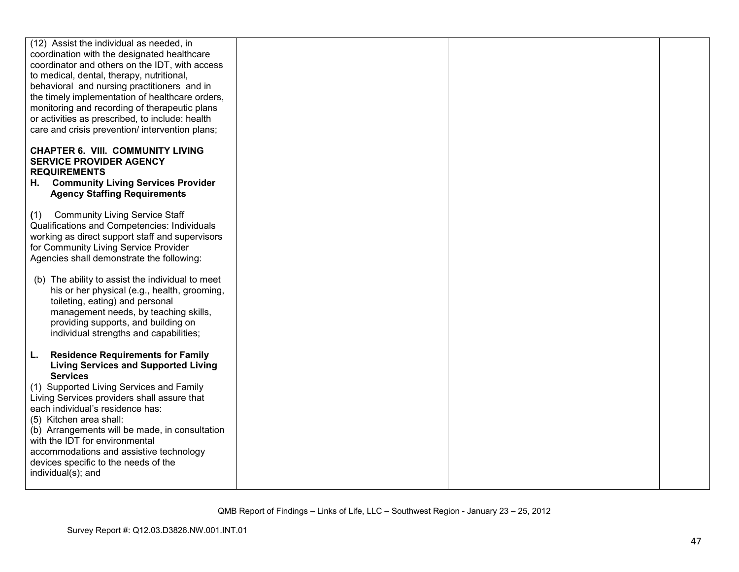| (12) Assist the individual as needed, in         |  |  |
|--------------------------------------------------|--|--|
| coordination with the designated healthcare      |  |  |
| coordinator and others on the IDT, with access   |  |  |
| to medical, dental, therapy, nutritional,        |  |  |
| behavioral and nursing practitioners and in      |  |  |
| the timely implementation of healthcare orders,  |  |  |
|                                                  |  |  |
| monitoring and recording of therapeutic plans    |  |  |
| or activities as prescribed, to include: health  |  |  |
| care and crisis prevention/ intervention plans;  |  |  |
| <b>CHAPTER 6. VIII. COMMUNITY LIVING</b>         |  |  |
| <b>SERVICE PROVIDER AGENCY</b>                   |  |  |
|                                                  |  |  |
| <b>REQUIREMENTS</b>                              |  |  |
| H. Community Living Services Provider            |  |  |
| <b>Agency Staffing Requirements</b>              |  |  |
|                                                  |  |  |
| <b>Community Living Service Staff</b><br>(1)     |  |  |
| Qualifications and Competencies: Individuals     |  |  |
| working as direct support staff and supervisors  |  |  |
| for Community Living Service Provider            |  |  |
| Agencies shall demonstrate the following:        |  |  |
|                                                  |  |  |
| (b) The ability to assist the individual to meet |  |  |
| his or her physical (e.g., health, grooming,     |  |  |
| toileting, eating) and personal                  |  |  |
| management needs, by teaching skills,            |  |  |
| providing supports, and building on              |  |  |
| individual strengths and capabilities;           |  |  |
|                                                  |  |  |
|                                                  |  |  |
| <b>Residence Requirements for Family</b><br>L.   |  |  |
| <b>Living Services and Supported Living</b>      |  |  |
| <b>Services</b>                                  |  |  |
| (1) Supported Living Services and Family         |  |  |
| Living Services providers shall assure that      |  |  |
| each individual's residence has:                 |  |  |
| (5) Kitchen area shall:                          |  |  |
| (b) Arrangements will be made, in consultation   |  |  |
| with the IDT for environmental                   |  |  |
| accommodations and assistive technology          |  |  |
| devices specific to the needs of the             |  |  |
| individual(s); and                               |  |  |
|                                                  |  |  |
|                                                  |  |  |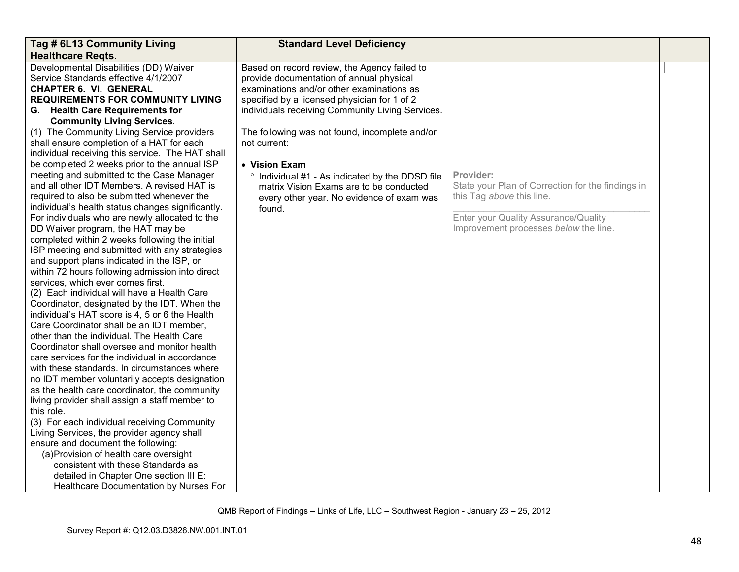| <b>Healthcare Regts.</b><br>Developmental Disabilities (DD) Waiver<br>Based on record review, the Agency failed to<br>Service Standards effective 4/1/2007<br>provide documentation of annual physical<br><b>CHAPTER 6. VI. GENERAL</b><br>examinations and/or other examinations as<br><b>REQUIREMENTS FOR COMMUNITY LIVING</b><br>specified by a licensed physician for 1 of 2<br>G. Health Care Requirements for<br>individuals receiving Community Living Services.<br><b>Community Living Services.</b>                                                                                                                                                                                                                                                                                                                                                                                                                                                                                                                                                                                                                                                                                                                                                                                                                                                                                                                                                                                                                                                                                                                                                                                                                                                                                   |                                                                                                                                                                              |  |
|------------------------------------------------------------------------------------------------------------------------------------------------------------------------------------------------------------------------------------------------------------------------------------------------------------------------------------------------------------------------------------------------------------------------------------------------------------------------------------------------------------------------------------------------------------------------------------------------------------------------------------------------------------------------------------------------------------------------------------------------------------------------------------------------------------------------------------------------------------------------------------------------------------------------------------------------------------------------------------------------------------------------------------------------------------------------------------------------------------------------------------------------------------------------------------------------------------------------------------------------------------------------------------------------------------------------------------------------------------------------------------------------------------------------------------------------------------------------------------------------------------------------------------------------------------------------------------------------------------------------------------------------------------------------------------------------------------------------------------------------------------------------------------------------|------------------------------------------------------------------------------------------------------------------------------------------------------------------------------|--|
|                                                                                                                                                                                                                                                                                                                                                                                                                                                                                                                                                                                                                                                                                                                                                                                                                                                                                                                                                                                                                                                                                                                                                                                                                                                                                                                                                                                                                                                                                                                                                                                                                                                                                                                                                                                                |                                                                                                                                                                              |  |
| (1) The Community Living Service providers<br>The following was not found, incomplete and/or<br>shall ensure completion of a HAT for each<br>not current:<br>individual receiving this service. The HAT shall<br>be completed 2 weeks prior to the annual ISP<br>• Vision Exam<br>meeting and submitted to the Case Manager<br>° Individual #1 - As indicated by the DDSD file<br>and all other IDT Members. A revised HAT is<br>matrix Vision Exams are to be conducted<br>required to also be submitted whenever the<br>every other year. No evidence of exam was<br>individual's health status changes significantly.<br>found.<br>For individuals who are newly allocated to the<br>DD Waiver program, the HAT may be<br>completed within 2 weeks following the initial<br>ISP meeting and submitted with any strategies<br>and support plans indicated in the ISP, or<br>within 72 hours following admission into direct<br>services, which ever comes first.<br>(2) Each individual will have a Health Care<br>Coordinator, designated by the IDT. When the<br>individual's HAT score is 4, 5 or 6 the Health<br>Care Coordinator shall be an IDT member,<br>other than the individual. The Health Care<br>Coordinator shall oversee and monitor health<br>care services for the individual in accordance<br>with these standards. In circumstances where<br>no IDT member voluntarily accepts designation<br>as the health care coordinator, the community<br>living provider shall assign a staff member to<br>this role.<br>(3) For each individual receiving Community<br>Living Services, the provider agency shall<br>ensure and document the following:<br>(a) Provision of health care oversight<br>consistent with these Standards as<br>detailed in Chapter One section III E: | Provider:<br>State your Plan of Correction for the findings in<br>this Tag above this line.<br>Enter your Quality Assurance/Quality<br>Improvement processes below the line. |  |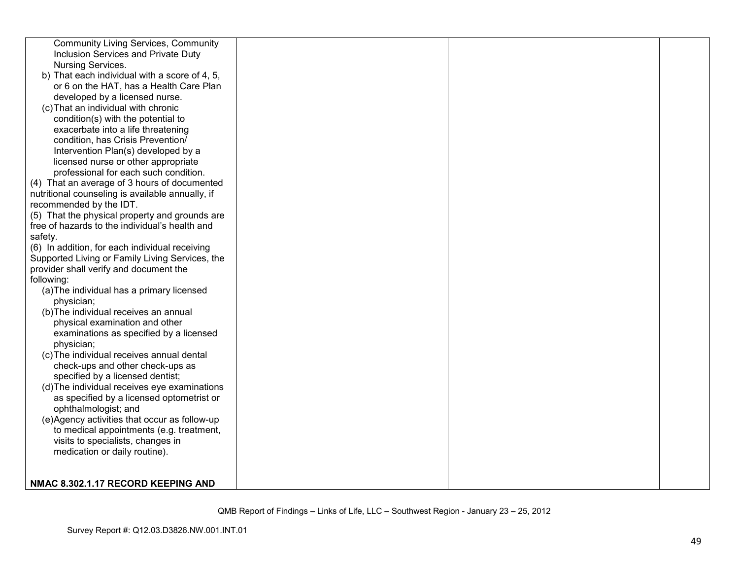| <b>Community Living Services, Community</b>      |  |  |
|--------------------------------------------------|--|--|
| Inclusion Services and Private Duty              |  |  |
| Nursing Services.                                |  |  |
| b) That each individual with a score of 4, 5,    |  |  |
| or 6 on the HAT, has a Health Care Plan          |  |  |
| developed by a licensed nurse.                   |  |  |
| (c) That an individual with chronic              |  |  |
| condition(s) with the potential to               |  |  |
| exacerbate into a life threatening               |  |  |
| condition, has Crisis Prevention/                |  |  |
| Intervention Plan(s) developed by a              |  |  |
| licensed nurse or other appropriate              |  |  |
| professional for each such condition.            |  |  |
| (4) That an average of 3 hours of documented     |  |  |
| nutritional counseling is available annually, if |  |  |
| recommended by the IDT.                          |  |  |
| (5) That the physical property and grounds are   |  |  |
| free of hazards to the individual's health and   |  |  |
| safety.                                          |  |  |
| (6) In addition, for each individual receiving   |  |  |
| Supported Living or Family Living Services, the  |  |  |
| provider shall verify and document the           |  |  |
| following:                                       |  |  |
| (a) The individual has a primary licensed        |  |  |
| physician;                                       |  |  |
| (b) The individual receives an annual            |  |  |
| physical examination and other                   |  |  |
| examinations as specified by a licensed          |  |  |
| physician;                                       |  |  |
| (c) The individual receives annual dental        |  |  |
| check-ups and other check-ups as                 |  |  |
| specified by a licensed dentist;                 |  |  |
| (d) The individual receives eye examinations     |  |  |
| as specified by a licensed optometrist or        |  |  |
| ophthalmologist; and                             |  |  |
| (e)Agency activities that occur as follow-up     |  |  |
| to medical appointments (e.g. treatment,         |  |  |
| visits to specialists, changes in                |  |  |
| medication or daily routine).                    |  |  |
|                                                  |  |  |
|                                                  |  |  |
| NMAC 8.302.1.17 RECORD KEEPING AND               |  |  |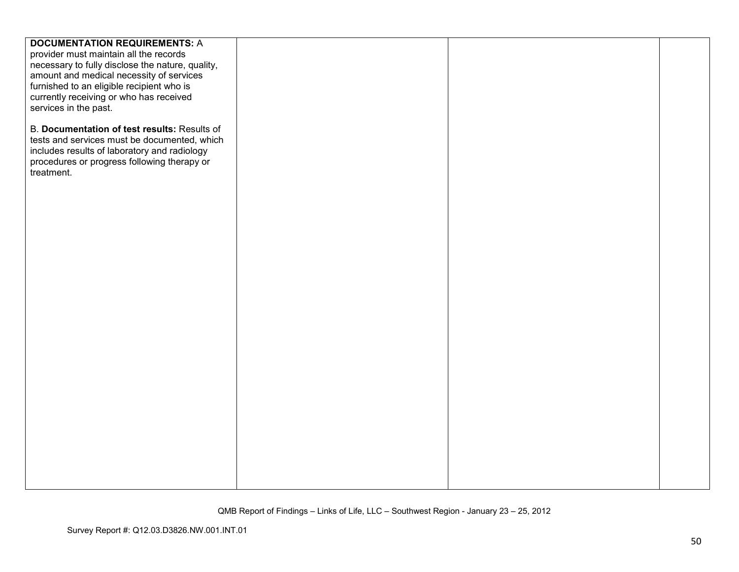| <b>DOCUMENTATION REQUIREMENTS: A</b>             |  |  |
|--------------------------------------------------|--|--|
| provider must maintain all the records           |  |  |
| necessary to fully disclose the nature, quality, |  |  |
| amount and medical necessity of services         |  |  |
| furnished to an eligible recipient who is        |  |  |
| currently receiving or who has received          |  |  |
|                                                  |  |  |
| services in the past.                            |  |  |
|                                                  |  |  |
| B. Documentation of test results: Results of     |  |  |
| tests and services must be documented, which     |  |  |
| includes results of laboratory and radiology     |  |  |
| procedures or progress following therapy or      |  |  |
| treatment.                                       |  |  |
|                                                  |  |  |
|                                                  |  |  |
|                                                  |  |  |
|                                                  |  |  |
|                                                  |  |  |
|                                                  |  |  |
|                                                  |  |  |
|                                                  |  |  |
|                                                  |  |  |
|                                                  |  |  |
|                                                  |  |  |
|                                                  |  |  |
|                                                  |  |  |
|                                                  |  |  |
|                                                  |  |  |
|                                                  |  |  |
|                                                  |  |  |
|                                                  |  |  |
|                                                  |  |  |
|                                                  |  |  |
|                                                  |  |  |
|                                                  |  |  |
|                                                  |  |  |
|                                                  |  |  |
|                                                  |  |  |
|                                                  |  |  |
|                                                  |  |  |
|                                                  |  |  |
|                                                  |  |  |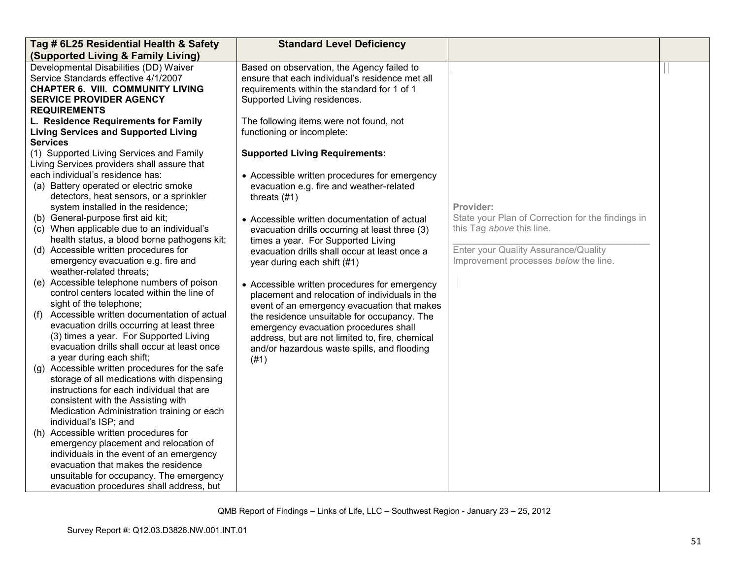| Tag # 6L25 Residential Health & Safety                                                                                                                                                                                                                                                                                                                                                                                                                                                                                                                                                                                                                                                                                                                                                                                                                                                                                                                                                                                                                                                                                                                                                                                                                                                                                                                                                                               | <b>Standard Level Deficiency</b>                                                                                                                                                                                                                                                                                                                                                                                                                                                                                                                                                                                                                                                                                                                                                                          |                                                                                                                                                                              |  |
|----------------------------------------------------------------------------------------------------------------------------------------------------------------------------------------------------------------------------------------------------------------------------------------------------------------------------------------------------------------------------------------------------------------------------------------------------------------------------------------------------------------------------------------------------------------------------------------------------------------------------------------------------------------------------------------------------------------------------------------------------------------------------------------------------------------------------------------------------------------------------------------------------------------------------------------------------------------------------------------------------------------------------------------------------------------------------------------------------------------------------------------------------------------------------------------------------------------------------------------------------------------------------------------------------------------------------------------------------------------------------------------------------------------------|-----------------------------------------------------------------------------------------------------------------------------------------------------------------------------------------------------------------------------------------------------------------------------------------------------------------------------------------------------------------------------------------------------------------------------------------------------------------------------------------------------------------------------------------------------------------------------------------------------------------------------------------------------------------------------------------------------------------------------------------------------------------------------------------------------------|------------------------------------------------------------------------------------------------------------------------------------------------------------------------------|--|
| (Supported Living & Family Living)                                                                                                                                                                                                                                                                                                                                                                                                                                                                                                                                                                                                                                                                                                                                                                                                                                                                                                                                                                                                                                                                                                                                                                                                                                                                                                                                                                                   |                                                                                                                                                                                                                                                                                                                                                                                                                                                                                                                                                                                                                                                                                                                                                                                                           |                                                                                                                                                                              |  |
| Developmental Disabilities (DD) Waiver<br>Service Standards effective 4/1/2007<br><b>CHAPTER 6. VIII. COMMUNITY LIVING</b><br><b>SERVICE PROVIDER AGENCY</b>                                                                                                                                                                                                                                                                                                                                                                                                                                                                                                                                                                                                                                                                                                                                                                                                                                                                                                                                                                                                                                                                                                                                                                                                                                                         | Based on observation, the Agency failed to<br>ensure that each individual's residence met all<br>requirements within the standard for 1 of 1<br>Supported Living residences.                                                                                                                                                                                                                                                                                                                                                                                                                                                                                                                                                                                                                              |                                                                                                                                                                              |  |
| <b>REQUIREMENTS</b><br>L. Residence Requirements for Family<br><b>Living Services and Supported Living</b><br><b>Services</b><br>(1) Supported Living Services and Family<br>Living Services providers shall assure that<br>each individual's residence has:<br>(a) Battery operated or electric smoke<br>detectors, heat sensors, or a sprinkler<br>system installed in the residence;<br>(b) General-purpose first aid kit;<br>(c) When applicable due to an individual's<br>health status, a blood borne pathogens kit;<br>(d) Accessible written procedures for<br>emergency evacuation e.g. fire and<br>weather-related threats;<br>(e) Accessible telephone numbers of poison<br>control centers located within the line of<br>sight of the telephone;<br>Accessible written documentation of actual<br>(f)<br>evacuation drills occurring at least three<br>(3) times a year. For Supported Living<br>evacuation drills shall occur at least once<br>a year during each shift;<br>(g) Accessible written procedures for the safe<br>storage of all medications with dispensing<br>instructions for each individual that are<br>consistent with the Assisting with<br>Medication Administration training or each<br>individual's ISP; and<br>(h) Accessible written procedures for<br>emergency placement and relocation of<br>individuals in the event of an emergency<br>evacuation that makes the residence | The following items were not found, not<br>functioning or incomplete:<br><b>Supported Living Requirements:</b><br>• Accessible written procedures for emergency<br>evacuation e.g. fire and weather-related<br>threats $(#1)$<br>• Accessible written documentation of actual<br>evacuation drills occurring at least three (3)<br>times a year. For Supported Living<br>evacuation drills shall occur at least once a<br>year during each shift (#1)<br>• Accessible written procedures for emergency<br>placement and relocation of individuals in the<br>event of an emergency evacuation that makes<br>the residence unsuitable for occupancy. The<br>emergency evacuation procedures shall<br>address, but are not limited to, fire, chemical<br>and/or hazardous waste spills, and flooding<br>(#1) | Provider:<br>State your Plan of Correction for the findings in<br>this Tag above this line.<br>Enter your Quality Assurance/Quality<br>Improvement processes below the line. |  |
| unsuitable for occupancy. The emergency                                                                                                                                                                                                                                                                                                                                                                                                                                                                                                                                                                                                                                                                                                                                                                                                                                                                                                                                                                                                                                                                                                                                                                                                                                                                                                                                                                              |                                                                                                                                                                                                                                                                                                                                                                                                                                                                                                                                                                                                                                                                                                                                                                                                           |                                                                                                                                                                              |  |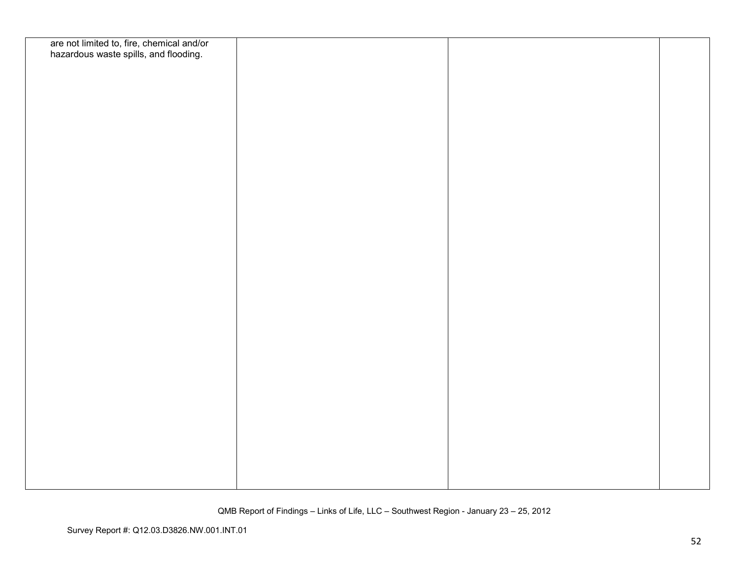| are not limited to, fire, chemical and/or<br>hazardous waste spills, and flooding. |  |  |
|------------------------------------------------------------------------------------|--|--|
|                                                                                    |  |  |
|                                                                                    |  |  |
|                                                                                    |  |  |
|                                                                                    |  |  |
|                                                                                    |  |  |
|                                                                                    |  |  |
|                                                                                    |  |  |
|                                                                                    |  |  |
|                                                                                    |  |  |
|                                                                                    |  |  |
|                                                                                    |  |  |
|                                                                                    |  |  |
|                                                                                    |  |  |
|                                                                                    |  |  |
|                                                                                    |  |  |
|                                                                                    |  |  |
|                                                                                    |  |  |
|                                                                                    |  |  |
|                                                                                    |  |  |
|                                                                                    |  |  |
|                                                                                    |  |  |
|                                                                                    |  |  |
|                                                                                    |  |  |
|                                                                                    |  |  |
|                                                                                    |  |  |
|                                                                                    |  |  |
|                                                                                    |  |  |
|                                                                                    |  |  |
|                                                                                    |  |  |
|                                                                                    |  |  |
|                                                                                    |  |  |
|                                                                                    |  |  |
|                                                                                    |  |  |
|                                                                                    |  |  |
|                                                                                    |  |  |
|                                                                                    |  |  |
|                                                                                    |  |  |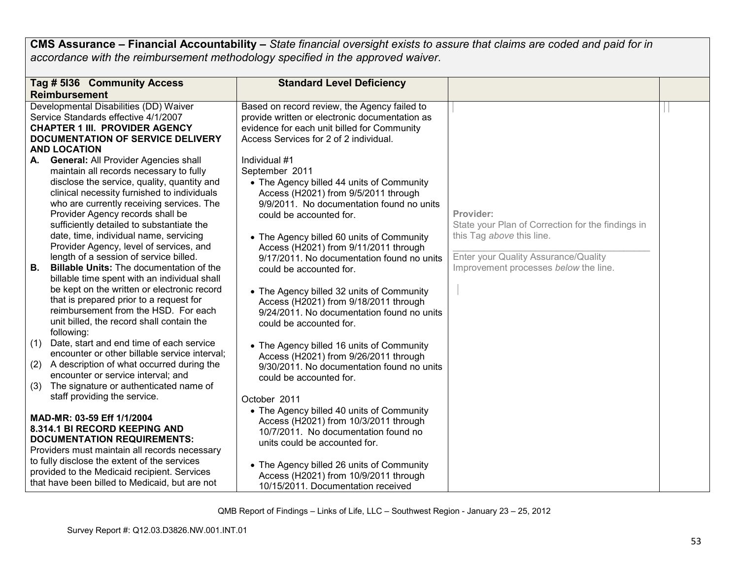**CMS Assurance – Financial Accountability –** *State financial oversight exists to assure that claims are coded and paid for in accordance with the reimbursement methodology specified in the approved waiver*.

|     | Tag # 5136 Community Access                     | <b>Standard Level Deficiency</b>               |                                                   |  |
|-----|-------------------------------------------------|------------------------------------------------|---------------------------------------------------|--|
|     | <b>Reimbursement</b>                            |                                                |                                                   |  |
|     | Developmental Disabilities (DD) Waiver          | Based on record review, the Agency failed to   |                                                   |  |
|     | Service Standards effective 4/1/2007            | provide written or electronic documentation as |                                                   |  |
|     | <b>CHAPTER 1 III. PROVIDER AGENCY</b>           | evidence for each unit billed for Community    |                                                   |  |
|     | DOCUMENTATION OF SERVICE DELIVERY               | Access Services for 2 of 2 individual.         |                                                   |  |
|     | <b>AND LOCATION</b>                             |                                                |                                                   |  |
| А.  | <b>General: All Provider Agencies shall</b>     | Individual #1                                  |                                                   |  |
|     | maintain all records necessary to fully         | September 2011                                 |                                                   |  |
|     | disclose the service, quality, quantity and     | • The Agency billed 44 units of Community      |                                                   |  |
|     | clinical necessity furnished to individuals     |                                                |                                                   |  |
|     | who are currently receiving services. The       | Access (H2021) from 9/5/2011 through           |                                                   |  |
|     |                                                 | 9/9/2011. No documentation found no units      |                                                   |  |
|     | Provider Agency records shall be                | could be accounted for.                        | Provider:                                         |  |
|     | sufficiently detailed to substantiate the       |                                                | State your Plan of Correction for the findings in |  |
|     | date, time, individual name, servicing          | • The Agency billed 60 units of Community      | this Tag above this line.                         |  |
|     | Provider Agency, level of services, and         | Access (H2021) from 9/11/2011 through          |                                                   |  |
|     | length of a session of service billed.          | 9/17/2011. No documentation found no units     | Enter your Quality Assurance/Quality              |  |
| В.  | <b>Billable Units:</b> The documentation of the | could be accounted for.                        | Improvement processes below the line.             |  |
|     | billable time spent with an individual shall    |                                                |                                                   |  |
|     | be kept on the written or electronic record     | • The Agency billed 32 units of Community      |                                                   |  |
|     | that is prepared prior to a request for         | Access (H2021) from 9/18/2011 through          |                                                   |  |
|     | reimbursement from the HSD. For each            | 9/24/2011. No documentation found no units     |                                                   |  |
|     | unit billed, the record shall contain the       | could be accounted for.                        |                                                   |  |
|     | following:                                      |                                                |                                                   |  |
| (1) | Date, start and end time of each service        | • The Agency billed 16 units of Community      |                                                   |  |
|     | encounter or other billable service interval;   | Access (H2021) from 9/26/2011 through          |                                                   |  |
| (2) | A description of what occurred during the       | 9/30/2011. No documentation found no units     |                                                   |  |
|     | encounter or service interval; and              |                                                |                                                   |  |
| (3) | The signature or authenticated name of          | could be accounted for.                        |                                                   |  |
|     | staff providing the service.                    |                                                |                                                   |  |
|     |                                                 | October 2011                                   |                                                   |  |
|     | MAD-MR: 03-59 Eff 1/1/2004                      | • The Agency billed 40 units of Community      |                                                   |  |
|     |                                                 | Access (H2021) from 10/3/2011 through          |                                                   |  |
|     | 8.314.1 BI RECORD KEEPING AND                   | 10/7/2011. No documentation found no           |                                                   |  |
|     | <b>DOCUMENTATION REQUIREMENTS:</b>              | units could be accounted for.                  |                                                   |  |
|     | Providers must maintain all records necessary   |                                                |                                                   |  |
|     | to fully disclose the extent of the services    | • The Agency billed 26 units of Community      |                                                   |  |
|     | provided to the Medicaid recipient. Services    | Access (H2021) from 10/9/2011 through          |                                                   |  |
|     | that have been billed to Medicaid, but are not  | 10/15/2011. Documentation received             |                                                   |  |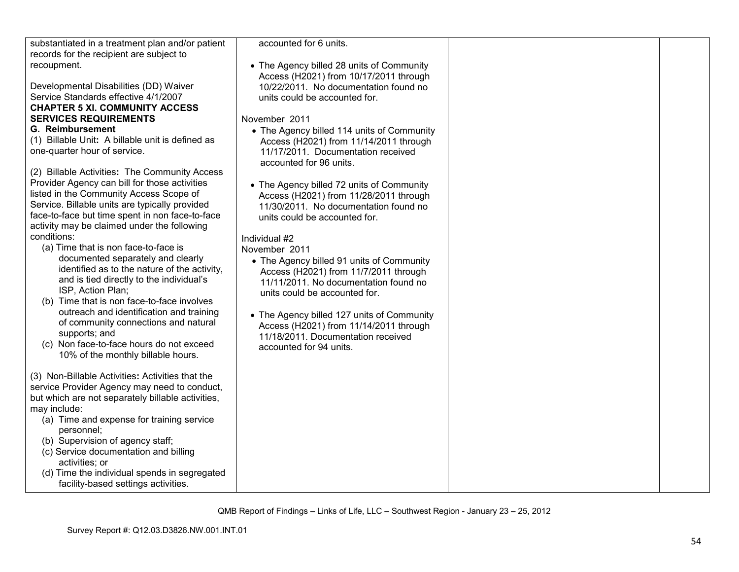| substantiated in a treatment plan and/or patient  | accounted for 6 units.                     |  |
|---------------------------------------------------|--------------------------------------------|--|
| records for the recipient are subject to          |                                            |  |
| recoupment.                                       | • The Agency billed 28 units of Community  |  |
|                                                   | Access (H2021) from 10/17/2011 through     |  |
| Developmental Disabilities (DD) Waiver            | 10/22/2011. No documentation found no      |  |
| Service Standards effective 4/1/2007              | units could be accounted for.              |  |
| <b>CHAPTER 5 XI. COMMUNITY ACCESS</b>             |                                            |  |
| <b>SERVICES REQUIREMENTS</b>                      | November 2011                              |  |
|                                                   |                                            |  |
| <b>G. Reimbursement</b>                           | • The Agency billed 114 units of Community |  |
| (1) Billable Unit: A billable unit is defined as  | Access (H2021) from 11/14/2011 through     |  |
| one-quarter hour of service.                      | 11/17/2011. Documentation received         |  |
|                                                   | accounted for 96 units.                    |  |
| (2) Billable Activities: The Community Access     |                                            |  |
| Provider Agency can bill for those activities     | • The Agency billed 72 units of Community  |  |
| listed in the Community Access Scope of           | Access (H2021) from 11/28/2011 through     |  |
| Service. Billable units are typically provided    | 11/30/2011. No documentation found no      |  |
| face-to-face but time spent in non face-to-face   |                                            |  |
| activity may be claimed under the following       | units could be accounted for.              |  |
|                                                   |                                            |  |
| conditions:                                       | Individual #2                              |  |
| (a) Time that is non face-to-face is              | November 2011                              |  |
| documented separately and clearly                 | • The Agency billed 91 units of Community  |  |
| identified as to the nature of the activity,      | Access (H2021) from 11/7/2011 through      |  |
| and is tied directly to the individual's          | 11/11/2011. No documentation found no      |  |
| ISP, Action Plan;                                 | units could be accounted for.              |  |
| (b) Time that is non face-to-face involves        |                                            |  |
| outreach and identification and training          | • The Agency billed 127 units of Community |  |
| of community connections and natural              | Access (H2021) from 11/14/2011 through     |  |
| supports; and                                     | 11/18/2011. Documentation received         |  |
| (c) Non face-to-face hours do not exceed          |                                            |  |
| 10% of the monthly billable hours.                | accounted for 94 units.                    |  |
|                                                   |                                            |  |
| (3) Non-Billable Activities: Activities that the  |                                            |  |
|                                                   |                                            |  |
| service Provider Agency may need to conduct,      |                                            |  |
| but which are not separately billable activities, |                                            |  |
| may include:                                      |                                            |  |
| (a) Time and expense for training service         |                                            |  |
| personnel;                                        |                                            |  |
| (b) Supervision of agency staff;                  |                                            |  |
| (c) Service documentation and billing             |                                            |  |
| activities; or                                    |                                            |  |
| (d) Time the individual spends in segregated      |                                            |  |
| facility-based settings activities.               |                                            |  |
|                                                   |                                            |  |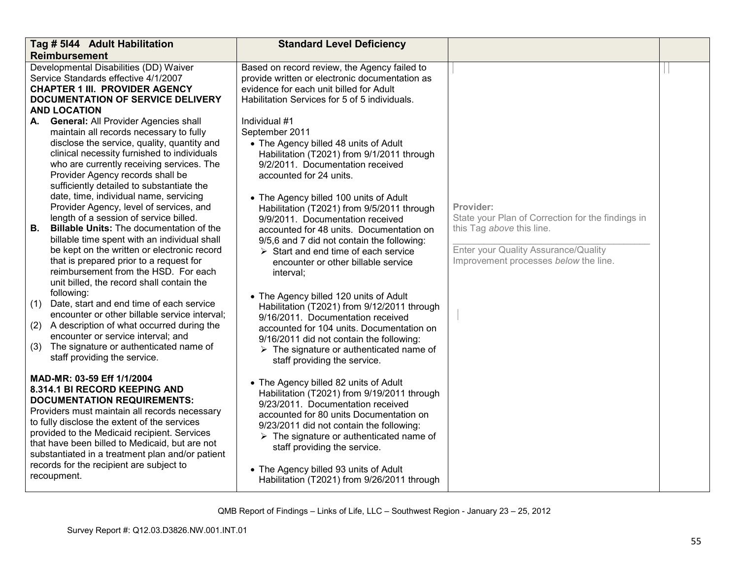| Tag # 5144 Adult Habilitation                                                                                                                                                                                                                                                                                                                                                                                                                                                                                                                                                                                                                                                                                                                                                                                                                                                                                                                                                                                                             | <b>Standard Level Deficiency</b>                                                                                                                                                                                                                                                                                                                                                                                                                                                                                                                                                                                                                                                                                                                                                                                                         |                                                                                                                                                                              |  |
|-------------------------------------------------------------------------------------------------------------------------------------------------------------------------------------------------------------------------------------------------------------------------------------------------------------------------------------------------------------------------------------------------------------------------------------------------------------------------------------------------------------------------------------------------------------------------------------------------------------------------------------------------------------------------------------------------------------------------------------------------------------------------------------------------------------------------------------------------------------------------------------------------------------------------------------------------------------------------------------------------------------------------------------------|------------------------------------------------------------------------------------------------------------------------------------------------------------------------------------------------------------------------------------------------------------------------------------------------------------------------------------------------------------------------------------------------------------------------------------------------------------------------------------------------------------------------------------------------------------------------------------------------------------------------------------------------------------------------------------------------------------------------------------------------------------------------------------------------------------------------------------------|------------------------------------------------------------------------------------------------------------------------------------------------------------------------------|--|
| <b>Reimbursement</b>                                                                                                                                                                                                                                                                                                                                                                                                                                                                                                                                                                                                                                                                                                                                                                                                                                                                                                                                                                                                                      |                                                                                                                                                                                                                                                                                                                                                                                                                                                                                                                                                                                                                                                                                                                                                                                                                                          |                                                                                                                                                                              |  |
| Developmental Disabilities (DD) Waiver<br>Service Standards effective 4/1/2007<br><b>CHAPTER 1 III. PROVIDER AGENCY</b><br>DOCUMENTATION OF SERVICE DELIVERY<br><b>AND LOCATION</b>                                                                                                                                                                                                                                                                                                                                                                                                                                                                                                                                                                                                                                                                                                                                                                                                                                                       | Based on record review, the Agency failed to<br>provide written or electronic documentation as<br>evidence for each unit billed for Adult<br>Habilitation Services for 5 of 5 individuals.                                                                                                                                                                                                                                                                                                                                                                                                                                                                                                                                                                                                                                               |                                                                                                                                                                              |  |
| A. General: All Provider Agencies shall<br>maintain all records necessary to fully<br>disclose the service, quality, quantity and<br>clinical necessity furnished to individuals<br>who are currently receiving services. The<br>Provider Agency records shall be<br>sufficiently detailed to substantiate the<br>date, time, individual name, servicing<br>Provider Agency, level of services, and<br>length of a session of service billed.<br><b>B.</b><br><b>Billable Units: The documentation of the</b><br>billable time spent with an individual shall<br>be kept on the written or electronic record<br>that is prepared prior to a request for<br>reimbursement from the HSD. For each<br>unit billed, the record shall contain the<br>following:<br>Date, start and end time of each service<br>(1)<br>encounter or other billable service interval;<br>A description of what occurred during the<br>(2)<br>encounter or service interval; and<br>The signature or authenticated name of<br>(3)<br>staff providing the service. | Individual #1<br>September 2011<br>• The Agency billed 48 units of Adult<br>Habilitation (T2021) from 9/1/2011 through<br>9/2/2011. Documentation received<br>accounted for 24 units.<br>• The Agency billed 100 units of Adult<br>Habilitation (T2021) from 9/5/2011 through<br>9/9/2011. Documentation received<br>accounted for 48 units. Documentation on<br>9/5,6 and 7 did not contain the following:<br>$\triangleright$ Start and end time of each service<br>encounter or other billable service<br>interval;<br>• The Agency billed 120 units of Adult<br>Habilitation (T2021) from 9/12/2011 through<br>9/16/2011. Documentation received<br>accounted for 104 units. Documentation on<br>9/16/2011 did not contain the following:<br>$\triangleright$ The signature or authenticated name of<br>staff providing the service. | Provider:<br>State your Plan of Correction for the findings in<br>this Tag above this line.<br>Enter your Quality Assurance/Quality<br>Improvement processes below the line. |  |
| MAD-MR: 03-59 Eff 1/1/2004<br>8.314.1 BI RECORD KEEPING AND<br><b>DOCUMENTATION REQUIREMENTS:</b><br>Providers must maintain all records necessary<br>to fully disclose the extent of the services<br>provided to the Medicaid recipient. Services<br>that have been billed to Medicaid, but are not<br>substantiated in a treatment plan and/or patient<br>records for the recipient are subject to<br>recoupment.                                                                                                                                                                                                                                                                                                                                                                                                                                                                                                                                                                                                                       | • The Agency billed 82 units of Adult<br>Habilitation (T2021) from 9/19/2011 through<br>9/23/2011. Documentation received<br>accounted for 80 units Documentation on<br>9/23/2011 did not contain the following:<br>$\triangleright$ The signature or authenticated name of<br>staff providing the service.<br>• The Agency billed 93 units of Adult<br>Habilitation (T2021) from 9/26/2011 through                                                                                                                                                                                                                                                                                                                                                                                                                                      |                                                                                                                                                                              |  |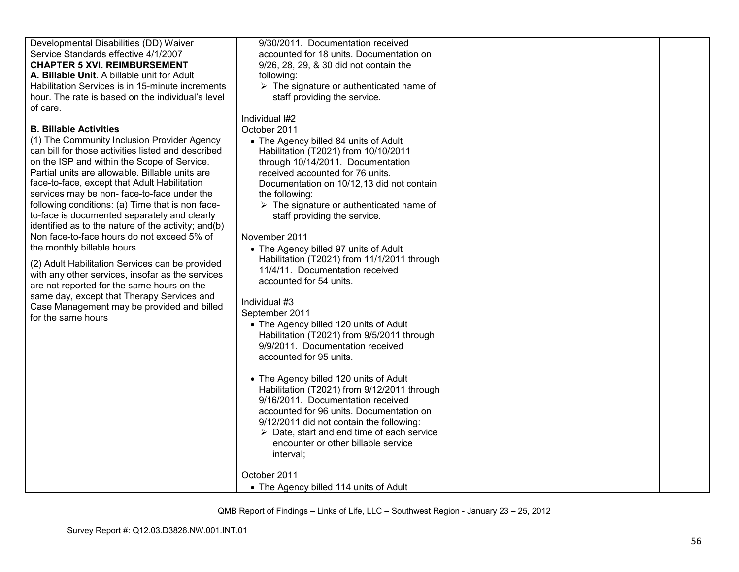| Developmental Disabilities (DD) Waiver                                                                                                                                                                                                                                                                                                                                                                                                                                                                                                                                                                                                                                                                                                                                                                                                            | 9/30/2011. Documentation received                                                                                                                                                                                                                                                                                                                                                                                                                                                                                                                                                                                                                                                                                                                                                                                                                                                                                                        |  |
|---------------------------------------------------------------------------------------------------------------------------------------------------------------------------------------------------------------------------------------------------------------------------------------------------------------------------------------------------------------------------------------------------------------------------------------------------------------------------------------------------------------------------------------------------------------------------------------------------------------------------------------------------------------------------------------------------------------------------------------------------------------------------------------------------------------------------------------------------|------------------------------------------------------------------------------------------------------------------------------------------------------------------------------------------------------------------------------------------------------------------------------------------------------------------------------------------------------------------------------------------------------------------------------------------------------------------------------------------------------------------------------------------------------------------------------------------------------------------------------------------------------------------------------------------------------------------------------------------------------------------------------------------------------------------------------------------------------------------------------------------------------------------------------------------|--|
| Service Standards effective 4/1/2007                                                                                                                                                                                                                                                                                                                                                                                                                                                                                                                                                                                                                                                                                                                                                                                                              | accounted for 18 units. Documentation on                                                                                                                                                                                                                                                                                                                                                                                                                                                                                                                                                                                                                                                                                                                                                                                                                                                                                                 |  |
| <b>CHAPTER 5 XVI. REIMBURSEMENT</b>                                                                                                                                                                                                                                                                                                                                                                                                                                                                                                                                                                                                                                                                                                                                                                                                               | 9/26, 28, 29, & 30 did not contain the                                                                                                                                                                                                                                                                                                                                                                                                                                                                                                                                                                                                                                                                                                                                                                                                                                                                                                   |  |
| A. Billable Unit. A billable unit for Adult                                                                                                                                                                                                                                                                                                                                                                                                                                                                                                                                                                                                                                                                                                                                                                                                       | following:                                                                                                                                                                                                                                                                                                                                                                                                                                                                                                                                                                                                                                                                                                                                                                                                                                                                                                                               |  |
| Habilitation Services is in 15-minute increments                                                                                                                                                                                                                                                                                                                                                                                                                                                                                                                                                                                                                                                                                                                                                                                                  | $\triangleright$ The signature or authenticated name of                                                                                                                                                                                                                                                                                                                                                                                                                                                                                                                                                                                                                                                                                                                                                                                                                                                                                  |  |
| hour. The rate is based on the individual's level                                                                                                                                                                                                                                                                                                                                                                                                                                                                                                                                                                                                                                                                                                                                                                                                 | staff providing the service.                                                                                                                                                                                                                                                                                                                                                                                                                                                                                                                                                                                                                                                                                                                                                                                                                                                                                                             |  |
| of care.                                                                                                                                                                                                                                                                                                                                                                                                                                                                                                                                                                                                                                                                                                                                                                                                                                          |                                                                                                                                                                                                                                                                                                                                                                                                                                                                                                                                                                                                                                                                                                                                                                                                                                                                                                                                          |  |
| <b>B. Billable Activities</b><br>(1) The Community Inclusion Provider Agency<br>can bill for those activities listed and described<br>on the ISP and within the Scope of Service.<br>Partial units are allowable. Billable units are<br>face-to-face, except that Adult Habilitation<br>services may be non-face-to-face under the<br>following conditions: (a) Time that is non face-<br>to-face is documented separately and clearly<br>identified as to the nature of the activity; and(b)<br>Non face-to-face hours do not exceed 5% of<br>the monthly billable hours.<br>(2) Adult Habilitation Services can be provided<br>with any other services, insofar as the services<br>are not reported for the same hours on the<br>same day, except that Therapy Services and<br>Case Management may be provided and billed<br>for the same hours | Individual #2<br>October 2011<br>• The Agency billed 84 units of Adult<br>Habilitation (T2021) from 10/10/2011<br>through 10/14/2011. Documentation<br>received accounted for 76 units.<br>Documentation on 10/12,13 did not contain<br>the following:<br>$\triangleright$ The signature or authenticated name of<br>staff providing the service.<br>November 2011<br>• The Agency billed 97 units of Adult<br>Habilitation (T2021) from 11/1/2011 through<br>11/4/11. Documentation received<br>accounted for 54 units.<br>Individual #3<br>September 2011<br>• The Agency billed 120 units of Adult<br>Habilitation (T2021) from 9/5/2011 through<br>9/9/2011. Documentation received<br>accounted for 95 units.<br>• The Agency billed 120 units of Adult<br>Habilitation (T2021) from 9/12/2011 through<br>9/16/2011. Documentation received<br>accounted for 96 units. Documentation on<br>9/12/2011 did not contain the following: |  |
|                                                                                                                                                                                                                                                                                                                                                                                                                                                                                                                                                                                                                                                                                                                                                                                                                                                   | $\triangleright$ Date, start and end time of each service                                                                                                                                                                                                                                                                                                                                                                                                                                                                                                                                                                                                                                                                                                                                                                                                                                                                                |  |
|                                                                                                                                                                                                                                                                                                                                                                                                                                                                                                                                                                                                                                                                                                                                                                                                                                                   | encounter or other billable service                                                                                                                                                                                                                                                                                                                                                                                                                                                                                                                                                                                                                                                                                                                                                                                                                                                                                                      |  |
|                                                                                                                                                                                                                                                                                                                                                                                                                                                                                                                                                                                                                                                                                                                                                                                                                                                   | interval;                                                                                                                                                                                                                                                                                                                                                                                                                                                                                                                                                                                                                                                                                                                                                                                                                                                                                                                                |  |
|                                                                                                                                                                                                                                                                                                                                                                                                                                                                                                                                                                                                                                                                                                                                                                                                                                                   |                                                                                                                                                                                                                                                                                                                                                                                                                                                                                                                                                                                                                                                                                                                                                                                                                                                                                                                                          |  |
|                                                                                                                                                                                                                                                                                                                                                                                                                                                                                                                                                                                                                                                                                                                                                                                                                                                   |                                                                                                                                                                                                                                                                                                                                                                                                                                                                                                                                                                                                                                                                                                                                                                                                                                                                                                                                          |  |
|                                                                                                                                                                                                                                                                                                                                                                                                                                                                                                                                                                                                                                                                                                                                                                                                                                                   | October 2011<br>• The Agency billed 114 units of Adult                                                                                                                                                                                                                                                                                                                                                                                                                                                                                                                                                                                                                                                                                                                                                                                                                                                                                   |  |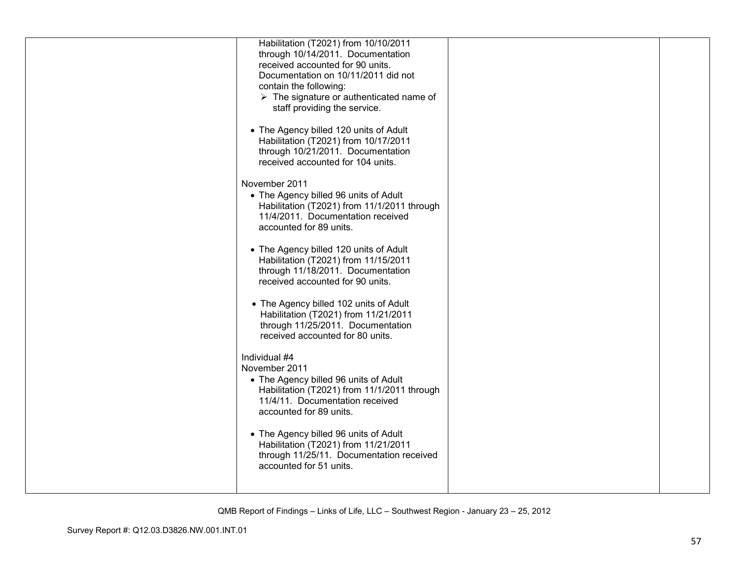| • The Agency billed 102 units of Adult<br>Habilitation (T2021) from 11/21/2011<br>through 11/25/2011. Documentation<br>received accounted for 80 units.<br>Individual #4<br>November 2011<br>• The Agency billed 96 units of Adult<br>Habilitation (T2021) from 11/1/2011 through<br>11/4/11. Documentation received<br>accounted for 89 units.<br>• The Agency billed 96 units of Adult<br>Habilitation (T2021) from 11/21/2011<br>through 11/25/11. Documentation received<br>accounted for 51 units. | Habilitation (T2021) from 10/10/2011<br>through 10/14/2011. Documentation<br>received accounted for 90 units.<br>Documentation on 10/11/2011 did not<br>contain the following:<br>$\triangleright$ The signature or authenticated name of<br>staff providing the service.<br>• The Agency billed 120 units of Adult<br>Habilitation (T2021) from 10/17/2011<br>through 10/21/2011. Documentation<br>received accounted for 104 units.<br>November 2011<br>• The Agency billed 96 units of Adult<br>Habilitation (T2021) from 11/1/2011 through<br>11/4/2011. Documentation received<br>accounted for 89 units.<br>• The Agency billed 120 units of Adult<br>Habilitation (T2021) from 11/15/2011<br>through 11/18/2011. Documentation<br>received accounted for 90 units. |  |
|---------------------------------------------------------------------------------------------------------------------------------------------------------------------------------------------------------------------------------------------------------------------------------------------------------------------------------------------------------------------------------------------------------------------------------------------------------------------------------------------------------|---------------------------------------------------------------------------------------------------------------------------------------------------------------------------------------------------------------------------------------------------------------------------------------------------------------------------------------------------------------------------------------------------------------------------------------------------------------------------------------------------------------------------------------------------------------------------------------------------------------------------------------------------------------------------------------------------------------------------------------------------------------------------|--|
|                                                                                                                                                                                                                                                                                                                                                                                                                                                                                                         |                                                                                                                                                                                                                                                                                                                                                                                                                                                                                                                                                                                                                                                                                                                                                                           |  |
|                                                                                                                                                                                                                                                                                                                                                                                                                                                                                                         |                                                                                                                                                                                                                                                                                                                                                                                                                                                                                                                                                                                                                                                                                                                                                                           |  |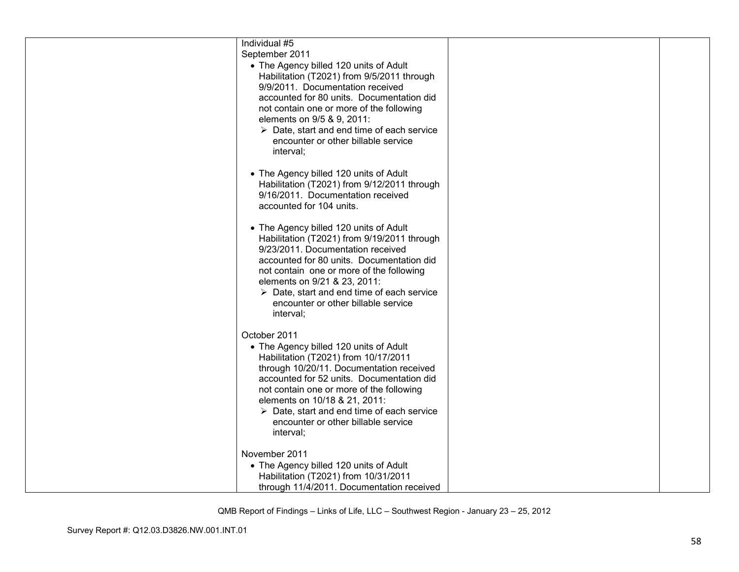| Individual #5                                                                    |  |
|----------------------------------------------------------------------------------|--|
| September 2011                                                                   |  |
| • The Agency billed 120 units of Adult                                           |  |
| Habilitation (T2021) from 9/5/2011 through                                       |  |
| 9/9/2011. Documentation received                                                 |  |
| accounted for 80 units. Documentation did                                        |  |
| not contain one or more of the following                                         |  |
| elements on 9/5 & 9, 2011:                                                       |  |
| $\triangleright$ Date, start and end time of each service                        |  |
| encounter or other billable service                                              |  |
| interval;                                                                        |  |
|                                                                                  |  |
| • The Agency billed 120 units of Adult                                           |  |
| Habilitation (T2021) from 9/12/2011 through                                      |  |
| 9/16/2011. Documentation received                                                |  |
| accounted for 104 units.                                                         |  |
|                                                                                  |  |
| • The Agency billed 120 units of Adult                                           |  |
| Habilitation (T2021) from 9/19/2011 through<br>9/23/2011. Documentation received |  |
| accounted for 80 units. Documentation did                                        |  |
|                                                                                  |  |
| not contain one or more of the following<br>elements on 9/21 & 23, 2011:         |  |
| $\triangleright$ Date, start and end time of each service                        |  |
| encounter or other billable service                                              |  |
| interval;                                                                        |  |
|                                                                                  |  |
| October 2011                                                                     |  |
| • The Agency billed 120 units of Adult                                           |  |
| Habilitation (T2021) from 10/17/2011                                             |  |
| through 10/20/11. Documentation received                                         |  |
| accounted for 52 units. Documentation did                                        |  |
| not contain one or more of the following                                         |  |
| elements on 10/18 & 21, 2011:                                                    |  |
| $\triangleright$ Date, start and end time of each service                        |  |
| encounter or other billable service                                              |  |
| interval;                                                                        |  |
|                                                                                  |  |
| November 2011                                                                    |  |
| • The Agency billed 120 units of Adult                                           |  |
| Habilitation (T2021) from 10/31/2011                                             |  |
| through 11/4/2011. Documentation received                                        |  |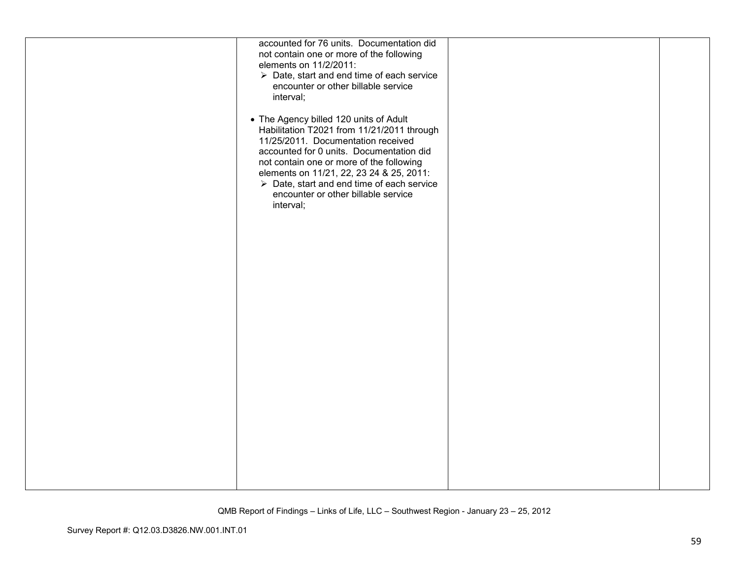|--|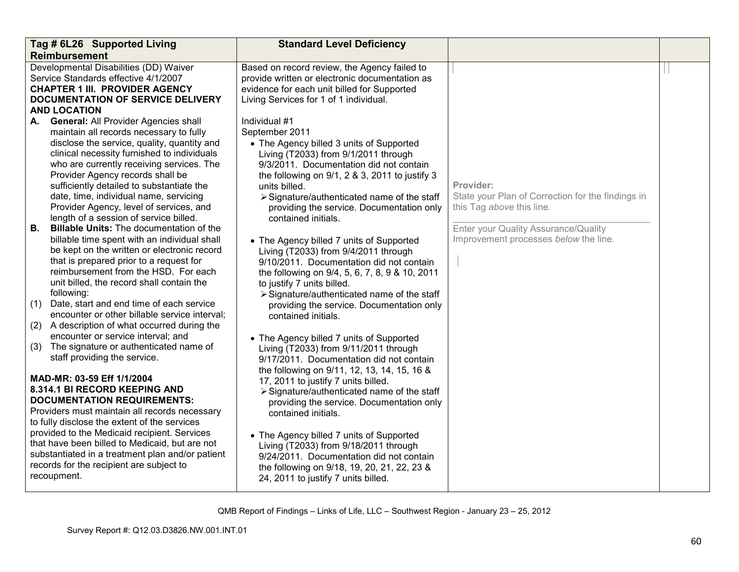| Tag # 6L26 Supported Living                                                                                                                                                                                                                                                                                                                                                                                                                                | <b>Standard Level Deficiency</b>                                                                                                                                                                                                                                                                                                                                                                                             |                                                                                             |  |
|------------------------------------------------------------------------------------------------------------------------------------------------------------------------------------------------------------------------------------------------------------------------------------------------------------------------------------------------------------------------------------------------------------------------------------------------------------|------------------------------------------------------------------------------------------------------------------------------------------------------------------------------------------------------------------------------------------------------------------------------------------------------------------------------------------------------------------------------------------------------------------------------|---------------------------------------------------------------------------------------------|--|
| <b>Reimbursement</b>                                                                                                                                                                                                                                                                                                                                                                                                                                       |                                                                                                                                                                                                                                                                                                                                                                                                                              |                                                                                             |  |
| Developmental Disabilities (DD) Waiver<br>Service Standards effective 4/1/2007<br><b>CHAPTER 1 III. PROVIDER AGENCY</b><br>DOCUMENTATION OF SERVICE DELIVERY<br><b>AND LOCATION</b>                                                                                                                                                                                                                                                                        | Based on record review, the Agency failed to<br>provide written or electronic documentation as<br>evidence for each unit billed for Supported<br>Living Services for 1 of 1 individual.                                                                                                                                                                                                                                      |                                                                                             |  |
| <b>General: All Provider Agencies shall</b><br>А.<br>maintain all records necessary to fully<br>disclose the service, quality, quantity and<br>clinical necessity furnished to individuals<br>who are currently receiving services. The<br>Provider Agency records shall be<br>sufficiently detailed to substantiate the<br>date, time, individual name, servicing<br>Provider Agency, level of services, and<br>length of a session of service billed.    | Individual #1<br>September 2011<br>• The Agency billed 3 units of Supported<br>Living (T2033) from 9/1/2011 through<br>9/3/2011. Documentation did not contain<br>the following on 9/1, 2 & 3, 2011 to justify 3<br>units billed.<br>> Signature/authenticated name of the staff<br>providing the service. Documentation only<br>contained initials.                                                                         | Provider:<br>State your Plan of Correction for the findings in<br>this Tag above this line. |  |
| <b>Billable Units: The documentation of the</b><br>В.<br>billable time spent with an individual shall<br>be kept on the written or electronic record<br>that is prepared prior to a request for<br>reimbursement from the HSD. For each<br>unit billed, the record shall contain the<br>following:<br>Date, start and end time of each service<br>(1)<br>encounter or other billable service interval;<br>A description of what occurred during the<br>(2) | • The Agency billed 7 units of Supported<br>Living (T2033) from 9/4/2011 through<br>9/10/2011. Documentation did not contain<br>the following on 9/4, 5, 6, 7, 8, 9 & 10, 2011<br>to justify 7 units billed.<br>> Signature/authenticated name of the staff<br>providing the service. Documentation only<br>contained initials.                                                                                              | Enter your Quality Assurance/Quality<br>Improvement processes below the line.               |  |
| encounter or service interval; and<br>The signature or authenticated name of<br>(3)<br>staff providing the service.                                                                                                                                                                                                                                                                                                                                        | • The Agency billed 7 units of Supported<br>Living (T2033) from 9/11/2011 through<br>9/17/2011. Documentation did not contain                                                                                                                                                                                                                                                                                                |                                                                                             |  |
| MAD-MR: 03-59 Eff 1/1/2004<br>8.314.1 BI RECORD KEEPING AND<br><b>DOCUMENTATION REQUIREMENTS:</b><br>Providers must maintain all records necessary<br>to fully disclose the extent of the services<br>provided to the Medicaid recipient. Services<br>that have been billed to Medicaid, but are not<br>substantiated in a treatment plan and/or patient<br>records for the recipient are subject to<br>recoupment.                                        | the following on 9/11, 12, 13, 14, 15, 16 &<br>17, 2011 to justify 7 units billed.<br>> Signature/authenticated name of the staff<br>providing the service. Documentation only<br>contained initials.<br>• The Agency billed 7 units of Supported<br>Living (T2033) from 9/18/2011 through<br>9/24/2011. Documentation did not contain<br>the following on 9/18, 19, 20, 21, 22, 23 &<br>24, 2011 to justify 7 units billed. |                                                                                             |  |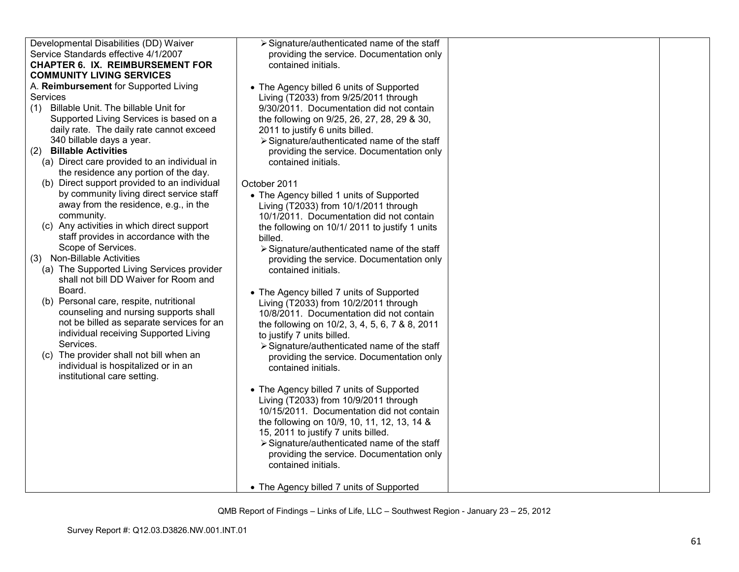| Developmental Disabilities (DD) Waiver                      | > Signature/authenticated name of the staff                                       |  |
|-------------------------------------------------------------|-----------------------------------------------------------------------------------|--|
| Service Standards effective 4/1/2007                        | providing the service. Documentation only                                         |  |
| <b>CHAPTER 6. IX. REIMBURSEMENT FOR</b>                     | contained initials.                                                               |  |
| <b>COMMUNITY LIVING SERVICES</b>                            |                                                                                   |  |
| A. Reimbursement for Supported Living                       | • The Agency billed 6 units of Supported                                          |  |
| Services                                                    | Living (T2033) from 9/25/2011 through                                             |  |
| Billable Unit. The billable Unit for<br>(1)                 | 9/30/2011. Documentation did not contain                                          |  |
| Supported Living Services is based on a                     | the following on 9/25, 26, 27, 28, 29 & 30,                                       |  |
| daily rate. The daily rate cannot exceed                    | 2011 to justify 6 units billed.                                                   |  |
| 340 billable days a year.                                   | > Signature/authenticated name of the staff                                       |  |
| <b>Billable Activities</b><br>(2)                           | providing the service. Documentation only                                         |  |
| (a) Direct care provided to an individual in                | contained initials.                                                               |  |
| the residence any portion of the day.                       |                                                                                   |  |
| (b) Direct support provided to an individual                | October 2011                                                                      |  |
| by community living direct service staff                    | • The Agency billed 1 units of Supported                                          |  |
| away from the residence, e.g., in the                       | Living (T2033) from 10/1/2011 through                                             |  |
| community.                                                  | 10/1/2011. Documentation did not contain                                          |  |
| (c) Any activities in which direct support                  | the following on 10/1/2011 to justify 1 units                                     |  |
| staff provides in accordance with the<br>Scope of Services. | billed.                                                                           |  |
| (3) Non-Billable Activities                                 | $\triangleright$ Signature/authenticated name of the staff                        |  |
| (a) The Supported Living Services provider                  | providing the service. Documentation only                                         |  |
| shall not bill DD Waiver for Room and                       | contained initials.                                                               |  |
| Board.                                                      |                                                                                   |  |
| (b) Personal care, respite, nutritional                     | • The Agency billed 7 units of Supported<br>Living (T2033) from 10/2/2011 through |  |
| counseling and nursing supports shall                       | 10/8/2011. Documentation did not contain                                          |  |
| not be billed as separate services for an                   | the following on 10/2, 3, 4, 5, 6, 7 & 8, 2011                                    |  |
| individual receiving Supported Living                       | to justify 7 units billed.                                                        |  |
| Services.                                                   | > Signature/authenticated name of the staff                                       |  |
| (c) The provider shall not bill when an                     | providing the service. Documentation only                                         |  |
| individual is hospitalized or in an                         | contained initials.                                                               |  |
| institutional care setting.                                 |                                                                                   |  |
|                                                             | • The Agency billed 7 units of Supported                                          |  |
|                                                             | Living (T2033) from 10/9/2011 through                                             |  |
|                                                             | 10/15/2011. Documentation did not contain                                         |  |
|                                                             | the following on 10/9, 10, 11, 12, 13, 14 &                                       |  |
|                                                             | 15, 2011 to justify 7 units billed.                                               |  |
|                                                             | > Signature/authenticated name of the staff                                       |  |
|                                                             | providing the service. Documentation only                                         |  |
|                                                             | contained initials.                                                               |  |
|                                                             |                                                                                   |  |
|                                                             | • The Agency billed 7 units of Supported                                          |  |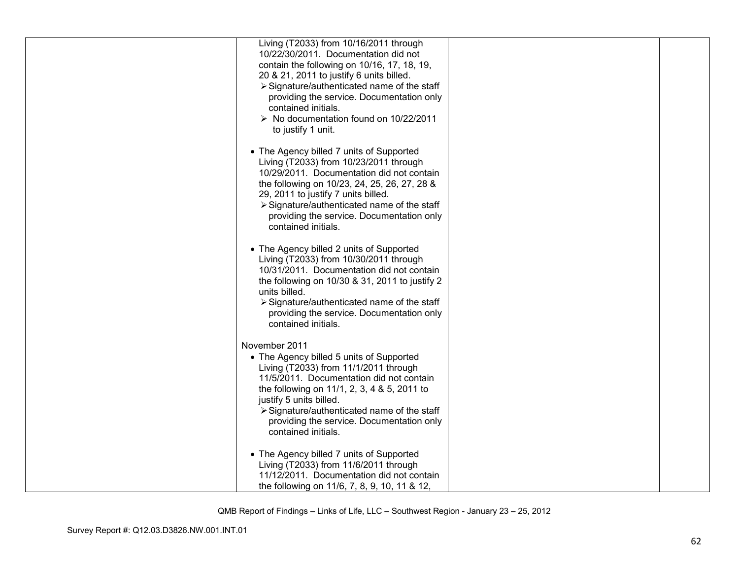| Living (T2033) from 10/16/2011 through<br>10/22/30/2011. Documentation did not<br>contain the following on 10/16, 17, 18, 19,<br>20 & 21, 2011 to justify 6 units billed.<br>> Signature/authenticated name of the staff<br>providing the service. Documentation only<br>contained initials.<br>$\triangleright$ No documentation found on 10/22/2011<br>to justify 1 unit. |  |
|-----------------------------------------------------------------------------------------------------------------------------------------------------------------------------------------------------------------------------------------------------------------------------------------------------------------------------------------------------------------------------|--|
| • The Agency billed 7 units of Supported<br>Living (T2033) from 10/23/2011 through<br>10/29/2011. Documentation did not contain<br>the following on 10/23, 24, 25, 26, 27, 28 &<br>29, 2011 to justify 7 units billed.<br>> Signature/authenticated name of the staff<br>providing the service. Documentation only<br>contained initials.                                   |  |
| • The Agency billed 2 units of Supported<br>Living (T2033) from 10/30/2011 through<br>10/31/2011. Documentation did not contain<br>the following on 10/30 & 31, 2011 to justify 2<br>units billed.<br>> Signature/authenticated name of the staff<br>providing the service. Documentation only<br>contained initials.                                                       |  |
| November 2011<br>• The Agency billed 5 units of Supported<br>Living (T2033) from 11/1/2011 through<br>11/5/2011. Documentation did not contain<br>the following on 11/1, 2, 3, 4 & 5, 2011 to<br>justify 5 units billed.<br>> Signature/authenticated name of the staff<br>providing the service. Documentation only<br>contained initials.                                 |  |
| • The Agency billed 7 units of Supported<br>Living (T2033) from 11/6/2011 through<br>11/12/2011. Documentation did not contain<br>the following on 11/6, 7, 8, 9, 10, 11 & 12,                                                                                                                                                                                              |  |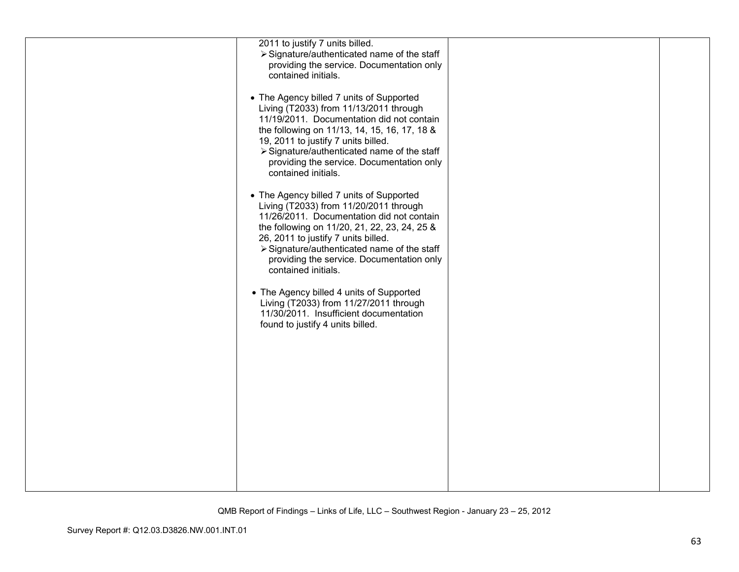| 2011 to justify 7 units billed.<br>> Signature/authenticated name of the staff<br>providing the service. Documentation only<br>contained initials.<br>• The Agency billed 7 units of Supported<br>Living (T2033) from 11/13/2011 through<br>11/19/2011. Documentation did not contain<br>the following on 11/13, 14, 15, 16, 17, 18 &<br>19, 2011 to justify 7 units billed.<br>> Signature/authenticated name of the staff<br>providing the service. Documentation only<br>contained initials.<br>• The Agency billed 7 units of Supported<br>Living (T2033) from 11/20/2011 through<br>11/26/2011. Documentation did not contain<br>the following on 11/20, 21, 22, 23, 24, 25 &<br>26, 2011 to justify 7 units billed.<br>> Signature/authenticated name of the staff<br>providing the service. Documentation only<br>contained initials.<br>• The Agency billed 4 units of Supported<br>Living (T2033) from 11/27/2011 through<br>11/30/2011. Insufficient documentation<br>found to justify 4 units billed. |  |
|------------------------------------------------------------------------------------------------------------------------------------------------------------------------------------------------------------------------------------------------------------------------------------------------------------------------------------------------------------------------------------------------------------------------------------------------------------------------------------------------------------------------------------------------------------------------------------------------------------------------------------------------------------------------------------------------------------------------------------------------------------------------------------------------------------------------------------------------------------------------------------------------------------------------------------------------------------------------------------------------------------------|--|
|                                                                                                                                                                                                                                                                                                                                                                                                                                                                                                                                                                                                                                                                                                                                                                                                                                                                                                                                                                                                                  |  |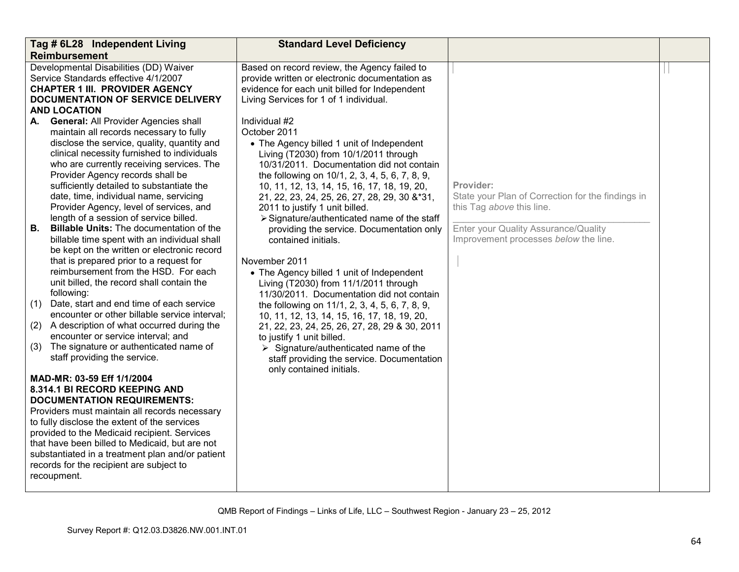| Tag # 6L28 Independent Living                                                                                                                                                                                                                                                                                                                                                                                                                                                                                                                                                                                                                                                                                                                                                                                                                                                                                                                                                                                                      | <b>Standard Level Deficiency</b>                                                                                                                                                                                                                                                                                                                                                                                                                                                                                                                                                                                                                                                                                                                                                                                                                                                                                                            |                                                                                                                                                                              |  |
|------------------------------------------------------------------------------------------------------------------------------------------------------------------------------------------------------------------------------------------------------------------------------------------------------------------------------------------------------------------------------------------------------------------------------------------------------------------------------------------------------------------------------------------------------------------------------------------------------------------------------------------------------------------------------------------------------------------------------------------------------------------------------------------------------------------------------------------------------------------------------------------------------------------------------------------------------------------------------------------------------------------------------------|---------------------------------------------------------------------------------------------------------------------------------------------------------------------------------------------------------------------------------------------------------------------------------------------------------------------------------------------------------------------------------------------------------------------------------------------------------------------------------------------------------------------------------------------------------------------------------------------------------------------------------------------------------------------------------------------------------------------------------------------------------------------------------------------------------------------------------------------------------------------------------------------------------------------------------------------|------------------------------------------------------------------------------------------------------------------------------------------------------------------------------|--|
| <b>Reimbursement</b>                                                                                                                                                                                                                                                                                                                                                                                                                                                                                                                                                                                                                                                                                                                                                                                                                                                                                                                                                                                                               |                                                                                                                                                                                                                                                                                                                                                                                                                                                                                                                                                                                                                                                                                                                                                                                                                                                                                                                                             |                                                                                                                                                                              |  |
| Developmental Disabilities (DD) Waiver<br>Service Standards effective 4/1/2007<br><b>CHAPTER 1 III. PROVIDER AGENCY</b><br>DOCUMENTATION OF SERVICE DELIVERY<br><b>AND LOCATION</b>                                                                                                                                                                                                                                                                                                                                                                                                                                                                                                                                                                                                                                                                                                                                                                                                                                                | Based on record review, the Agency failed to<br>provide written or electronic documentation as<br>evidence for each unit billed for Independent<br>Living Services for 1 of 1 individual.                                                                                                                                                                                                                                                                                                                                                                                                                                                                                                                                                                                                                                                                                                                                                   |                                                                                                                                                                              |  |
| A. General: All Provider Agencies shall<br>maintain all records necessary to fully<br>disclose the service, quality, quantity and<br>clinical necessity furnished to individuals<br>who are currently receiving services. The<br>Provider Agency records shall be<br>sufficiently detailed to substantiate the<br>date, time, individual name, servicing<br>Provider Agency, level of services, and<br>length of a session of service billed.<br>Billable Units: The documentation of the<br><b>B.</b><br>billable time spent with an individual shall<br>be kept on the written or electronic record<br>that is prepared prior to a request for<br>reimbursement from the HSD. For each<br>unit billed, the record shall contain the<br>following:<br>Date, start and end time of each service<br>(1)<br>encounter or other billable service interval;<br>A description of what occurred during the<br>(2)<br>encounter or service interval; and<br>The signature or authenticated name of<br>(3)<br>staff providing the service. | Individual #2<br>October 2011<br>• The Agency billed 1 unit of Independent<br>Living (T2030) from 10/1/2011 through<br>10/31/2011. Documentation did not contain<br>the following on 10/1, 2, 3, 4, 5, 6, 7, 8, 9,<br>10, 11, 12, 13, 14, 15, 16, 17, 18, 19, 20,<br>21, 22, 23, 24, 25, 26, 27, 28, 29, 30 &*31,<br>2011 to justify 1 unit billed.<br>> Signature/authenticated name of the staff<br>providing the service. Documentation only<br>contained initials.<br>November 2011<br>• The Agency billed 1 unit of Independent<br>Living (T2030) from 11/1/2011 through<br>11/30/2011. Documentation did not contain<br>the following on 11/1, 2, 3, 4, 5, 6, 7, 8, 9,<br>10, 11, 12, 13, 14, 15, 16, 17, 18, 19, 20,<br>21, 22, 23, 24, 25, 26, 27, 28, 29 & 30, 2011<br>to justify 1 unit billed.<br>$\triangleright$ Signature/authenticated name of the<br>staff providing the service. Documentation<br>only contained initials. | Provider:<br>State your Plan of Correction for the findings in<br>this Tag above this line.<br>Enter your Quality Assurance/Quality<br>Improvement processes below the line. |  |
| MAD-MR: 03-59 Eff 1/1/2004<br>8.314.1 BI RECORD KEEPING AND<br><b>DOCUMENTATION REQUIREMENTS:</b><br>Providers must maintain all records necessary<br>to fully disclose the extent of the services<br>provided to the Medicaid recipient. Services<br>that have been billed to Medicaid, but are not<br>substantiated in a treatment plan and/or patient<br>records for the recipient are subject to<br>recoupment.                                                                                                                                                                                                                                                                                                                                                                                                                                                                                                                                                                                                                |                                                                                                                                                                                                                                                                                                                                                                                                                                                                                                                                                                                                                                                                                                                                                                                                                                                                                                                                             |                                                                                                                                                                              |  |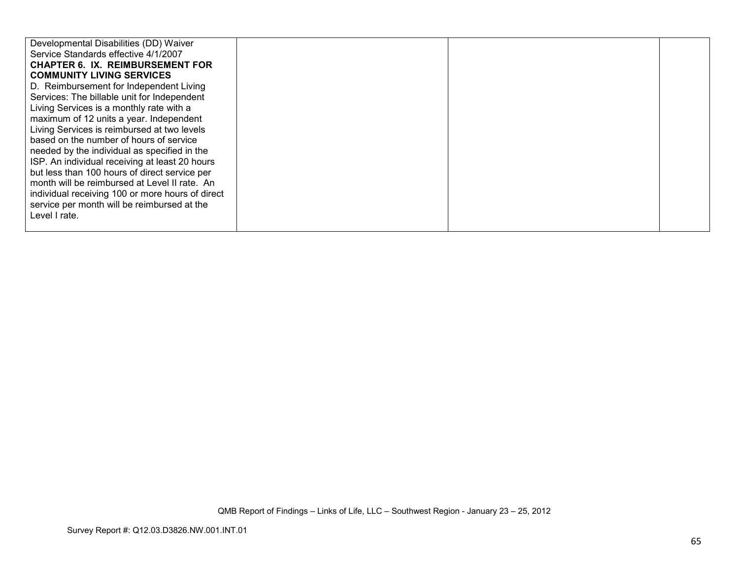| Developmental Disabilities (DD) Waiver           |  |  |
|--------------------------------------------------|--|--|
| Service Standards effective 4/1/2007             |  |  |
| <b>CHAPTER 6. IX. REIMBURSEMENT FOR</b>          |  |  |
| <b>COMMUNITY LIVING SERVICES</b>                 |  |  |
| D. Reimbursement for Independent Living          |  |  |
| Services: The billable unit for Independent      |  |  |
| Living Services is a monthly rate with a         |  |  |
| maximum of 12 units a year. Independent          |  |  |
| Living Services is reimbursed at two levels      |  |  |
| based on the number of hours of service          |  |  |
| needed by the individual as specified in the     |  |  |
| ISP. An individual receiving at least 20 hours   |  |  |
| but less than 100 hours of direct service per    |  |  |
| month will be reimbursed at Level II rate. An    |  |  |
| individual receiving 100 or more hours of direct |  |  |
| service per month will be reimbursed at the      |  |  |
| Level I rate.                                    |  |  |
|                                                  |  |  |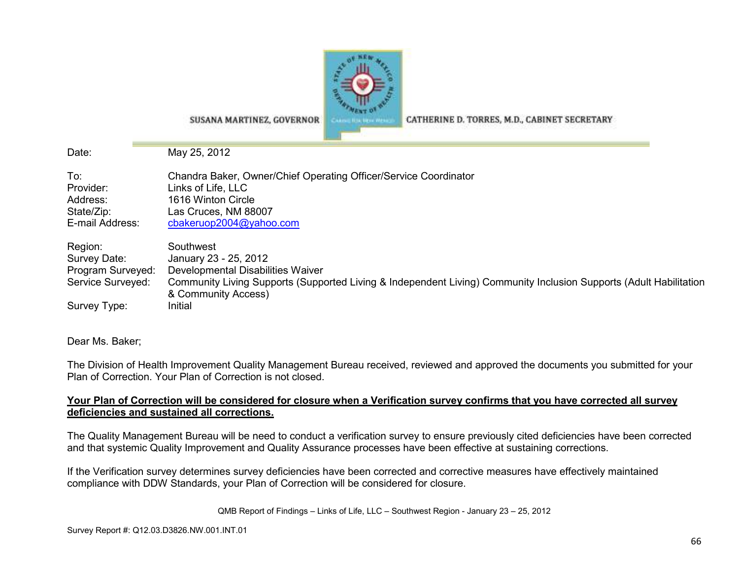

SUSANA MARTINEZ, GOVERNOR

CATHERINE D. TORRES, M.D., CABINET SECRETARY

Date: May 25, 2012

| To:               | Chandra Baker, Owner/Chief Operating Officer/Service Coordinator                                                   |
|-------------------|--------------------------------------------------------------------------------------------------------------------|
| Provider:         | Links of Life, LLC                                                                                                 |
| Address:          | 1616 Winton Circle                                                                                                 |
| State/Zip:        | Las Cruces, NM 88007                                                                                               |
| E-mail Address:   | cbakeruop2004@yahoo.com                                                                                            |
| Region:           | Southwest                                                                                                          |
| Survey Date:      | January 23 - 25, 2012                                                                                              |
| Program Surveyed: | Developmental Disabilities Waiver                                                                                  |
| Service Surveyed: | Community Living Supports (Supported Living & Independent Living) Community Inclusion Supports (Adult Habilitation |
| Survey Type:      | & Community Access)<br>Initial                                                                                     |

Dear Ms. Baker;

The Division of Health Improvement Quality Management Bureau received, reviewed and approved the documents you submitted for your Plan of Correction. Your Plan of Correction is not closed.

## **Your Plan of Correction will be considered for closure when a Verification survey confirms that you have corrected all surveydeficiencies and sustained all corrections.**

The Quality Management Bureau will be need to conduct a verification survey to ensure previously cited deficiencies have been corrected and that systemic Quality Improvement and Quality Assurance processes have been effective at sustaining corrections.

If the Verification survey determines survey deficiencies have been corrected and corrective measures have effectively maintained compliance with DDW Standards, your Plan of Correction will be considered for closure.

QMB Report of Findings – Links of Life, LLC – Southwest Region - January 23 – 25, 2012